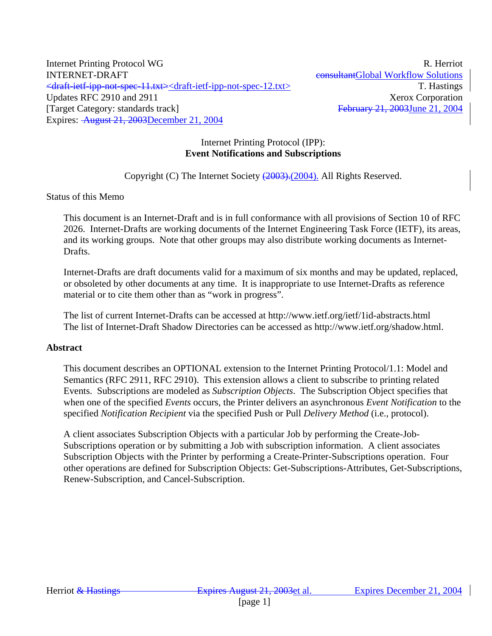Internet Printing Protocol WG R. Herriot INTERNET-DRAFT CONSULTERNET-DRAFT CONSULTERING CONSULTERING CONSULTERING CONSULTERING CONSULTERING CONSULTERING <draft-ietf-ipp-not-spec-11.txt><draft-ietf-ipp-not-spec-12.txt> T. Hastings Updates RFC 2910 and 2911 Xerox Corporation [Target Category: standards track] February 21, 2003June 21, 2004 Expires: August 21, 2003December 21, 2004

## Internet Printing Protocol (IPP): **Event Notifications and Subscriptions**

Copyright (C) The Internet Society (2003). (2004). All Rights Reserved.

Status of this Memo

This document is an Internet-Draft and is in full conformance with all provisions of Section 10 of RFC 2026. Internet-Drafts are working documents of the Internet Engineering Task Force (IETF), its areas, and its working groups. Note that other groups may also distribute working documents as Internet-Drafts.

Internet-Drafts are draft documents valid for a maximum of six months and may be updated, replaced, or obsoleted by other documents at any time. It is inappropriate to use Internet-Drafts as reference material or to cite them other than as "work in progress".

The list of current Internet-Drafts can be accessed at http://www.ietf.org/ietf/1id-abstracts.html The list of Internet-Draft Shadow Directories can be accessed as http://www.ietf.org/shadow.html.

#### **Abstract**

This document describes an OPTIONAL extension to the Internet Printing Protocol/1.1: Model and Semantics (RFC 2911, RFC 2910). This extension allows a client to subscribe to printing related Events. Subscriptions are modeled as *Subscription Objects*. The Subscription Object specifies that when one of the specified *Events* occurs, the Printer delivers an asynchronous *Event Notification* to the specified *Notification Recipient* via the specified Push or Pull *Delivery Method* (i.e., protocol).

A client associates Subscription Objects with a particular Job by performing the Create-Job-Subscriptions operation or by submitting a Job with subscription information. A client associates Subscription Objects with the Printer by performing a Create-Printer-Subscriptions operation. Four other operations are defined for Subscription Objects: Get-Subscriptions-Attributes, Get-Subscriptions, Renew-Subscription, and Cancel-Subscription.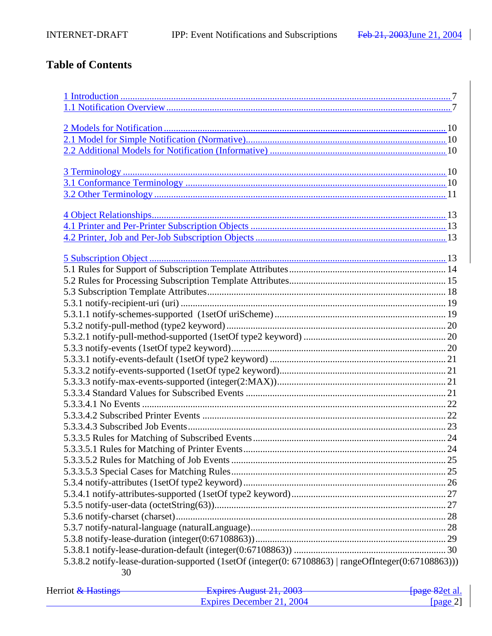# **Table of Contents**

| 5.3.8.2 notify-lease-duration-supported (1setOf (integer(0: 67108863)   rangeOfInteger(0:67108863))) |  |
|------------------------------------------------------------------------------------------------------|--|
| 30                                                                                                   |  |

| Herriot <del>&amp; Hastings</del> | Evoirag August $21, 2002$<br>$\frac{1}{4}$ LADII VS THE THE UNIT | <del>[page 82</del> et al. |
|-----------------------------------|------------------------------------------------------------------|----------------------------|
|                                   | Expires December 21, 2004                                        | [ $page 2$ ]               |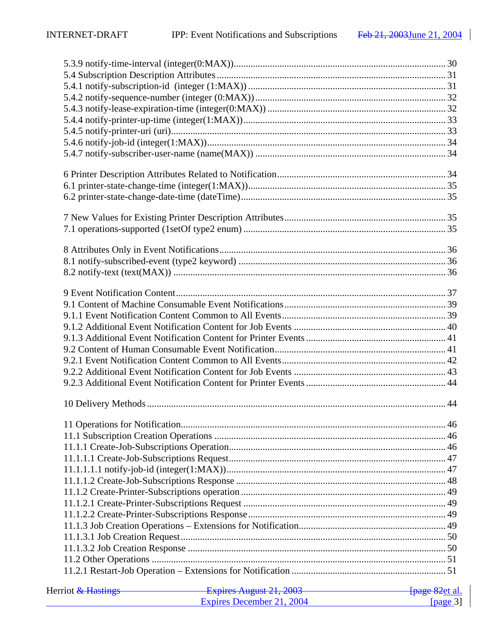| Herriot <del>&amp; Hastings</del> | Expires August 21, 2003 [page 82et al. |          |
|-----------------------------------|----------------------------------------|----------|
|                                   | Expires December 21, 2004              | [page 3] |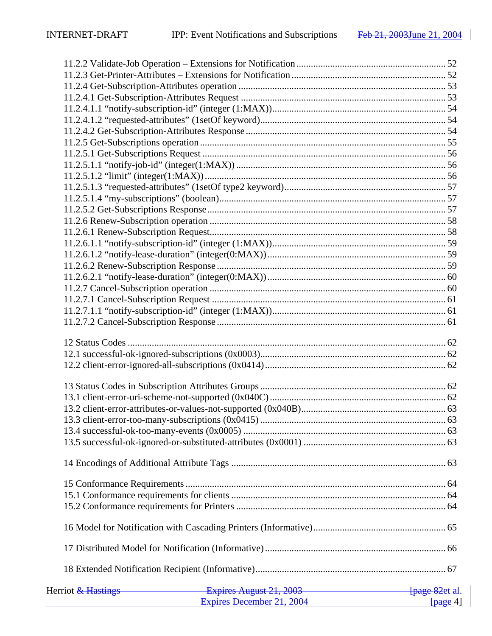| Herriot <del>&amp; Hastings Texpires August 21, 2003</del> Ferrican Controllering Prage 82 et al. |  |
|---------------------------------------------------------------------------------------------------|--|
| Expires December 21, 2004 [page 4]                                                                |  |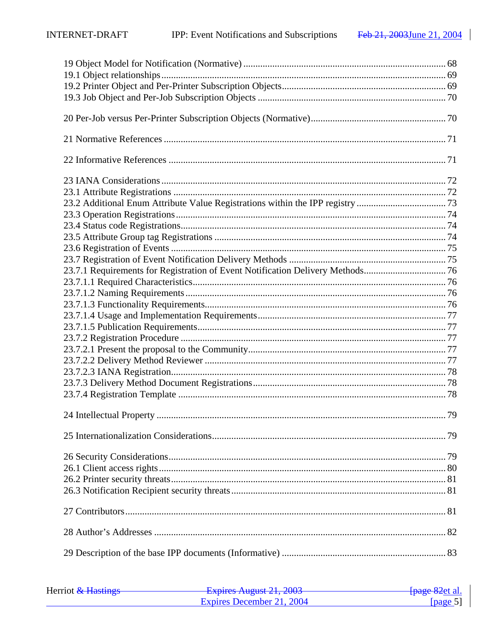| 23.7.1 Requirements for Registration of Event Notification Delivery Methods 76 |  |
|--------------------------------------------------------------------------------|--|
|                                                                                |  |
|                                                                                |  |
|                                                                                |  |
|                                                                                |  |
|                                                                                |  |
|                                                                                |  |
|                                                                                |  |
|                                                                                |  |
|                                                                                |  |
|                                                                                |  |
|                                                                                |  |
|                                                                                |  |
|                                                                                |  |
|                                                                                |  |
|                                                                                |  |
|                                                                                |  |
|                                                                                |  |
|                                                                                |  |
|                                                                                |  |
|                                                                                |  |
|                                                                                |  |
|                                                                                |  |

| Herriot & Hastings | Expires August 21, 2003<br>$\frac{1}{4}$ Lapitus Truguot $\frac{1}{4}$ , $\frac{1}{4}$ | <del>[page 82</del> et al. |
|--------------------|----------------------------------------------------------------------------------------|----------------------------|
|                    | Expires December 21, 2004                                                              | [ $page 5$ ]               |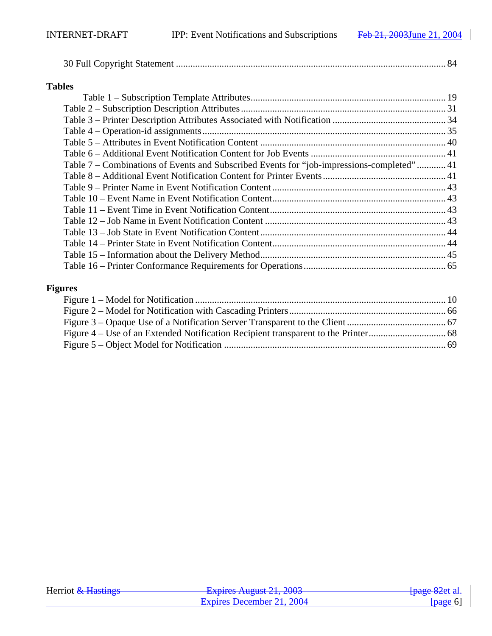# **Tables**

| Table 7 – Combinations of Events and Subscribed Events for "job-impressions-completed" 41 |  |
|-------------------------------------------------------------------------------------------|--|
|                                                                                           |  |
|                                                                                           |  |
|                                                                                           |  |
|                                                                                           |  |
|                                                                                           |  |
|                                                                                           |  |
|                                                                                           |  |
|                                                                                           |  |
|                                                                                           |  |
|                                                                                           |  |

# **Figures**

| Herriot & Hastings | Evnirac August 21, 2002<br><del>- Laphes August 21, 2003</del> | <del>[page 82</del> et al. |
|--------------------|----------------------------------------------------------------|----------------------------|
|                    | Expires December 21, 2004                                      | [ $page 6$ ]               |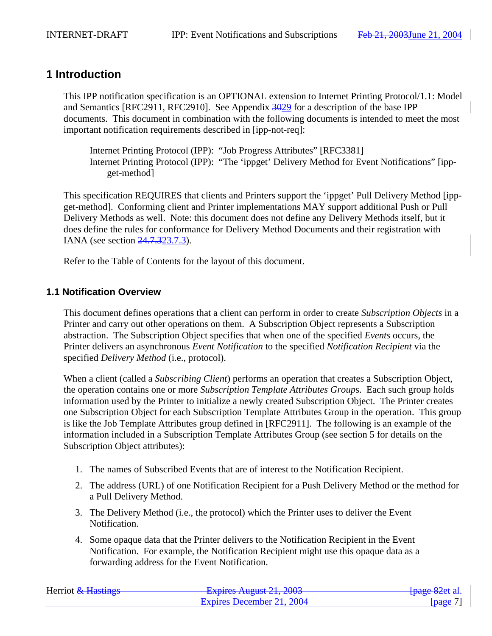# **1 Introduction**

This IPP notification specification is an OPTIONAL extension to Internet Printing Protocol/1.1: Model and Semantics [RFC2911, RFC2910]. See Appendix 3029 for a description of the base IPP documents. This document in combination with the following documents is intended to meet the most important notification requirements described in [ipp-not-req]:

Internet Printing Protocol (IPP): "Job Progress Attributes" [RFC3381] Internet Printing Protocol (IPP): "The 'ippget' Delivery Method for Event Notifications" [ippget-method]

This specification REQUIRES that clients and Printers support the 'ippget' Pull Delivery Method [ippget-method]. Conforming client and Printer implementations MAY support additional Push or Pull Delivery Methods as well. Note: this document does not define any Delivery Methods itself, but it does define the rules for conformance for Delivery Method Documents and their registration with IANA (see section 24.7.323.7.3).

Refer to the Table of Contents for the layout of this document.

# **1.1 Notification Overview**

This document defines operations that a client can perform in order to create *Subscription Objects* in a Printer and carry out other operations on them. A Subscription Object represents a Subscription abstraction. The Subscription Object specifies that when one of the specified *Events* occurs, the Printer delivers an asynchronous *Event Notification* to the specified *Notification Recipient* via the specified *Delivery Method* (i.e., protocol).

When a client (called a *Subscribing Client*) performs an operation that creates a Subscription Object, the operation contains one or more *Subscription Template Attributes Group*s. Each such group holds information used by the Printer to initialize a newly created Subscription Object. The Printer creates one Subscription Object for each Subscription Template Attributes Group in the operation. This group is like the Job Template Attributes group defined in [RFC2911]. The following is an example of the information included in a Subscription Template Attributes Group (see section 5 for details on the Subscription Object attributes):

- 1. The names of Subscribed Events that are of interest to the Notification Recipient.
- 2. The address (URL) of one Notification Recipient for a Push Delivery Method or the method for a Pull Delivery Method.
- 3. The Delivery Method (i.e., the protocol) which the Printer uses to deliver the Event Notification.
- 4. Some opaque data that the Printer delivers to the Notification Recipient in the Event Notification. For example, the Notification Recipient might use this opaque data as a forwarding address for the Event Notification.

| Herriot & Hastings | Evoirac August $21, 2002$<br><b>LAPHUS TYUZUST 41, 400J</b> | <del>[page 82</del> et al.     |
|--------------------|-------------------------------------------------------------|--------------------------------|
|                    | Expires December 21, 2004                                   | $\lceil \text{page 7'} \rceil$ |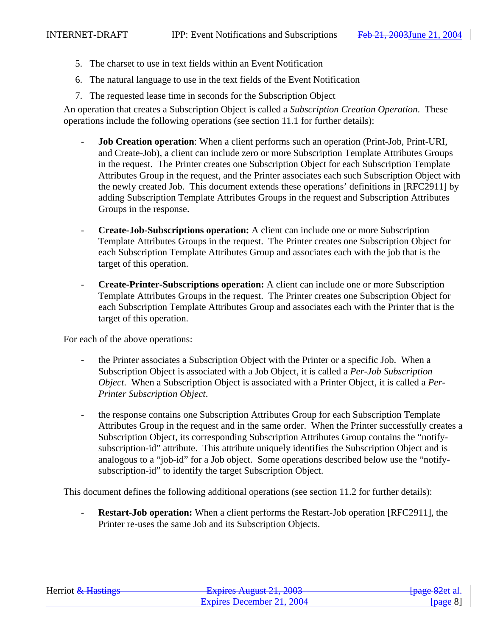- 5. The charset to use in text fields within an Event Notification
- 6. The natural language to use in the text fields of the Event Notification
- 7. The requested lease time in seconds for the Subscription Object

An operation that creates a Subscription Object is called a *Subscription Creation Operation*. These operations include the following operations (see section 11.1 for further details):

- **Job Creation operation**: When a client performs such an operation (Print-Job, Print-URI, and Create-Job), a client can include zero or more Subscription Template Attributes Groups in the request. The Printer creates one Subscription Object for each Subscription Template Attributes Group in the request, and the Printer associates each such Subscription Object with the newly created Job. This document extends these operations' definitions in [RFC2911] by adding Subscription Template Attributes Groups in the request and Subscription Attributes Groups in the response.
- **Create-Job-Subscriptions operation:** A client can include one or more Subscription Template Attributes Groups in the request. The Printer creates one Subscription Object for each Subscription Template Attributes Group and associates each with the job that is the target of this operation.
- **Create-Printer-Subscriptions operation:** A client can include one or more Subscription Template Attributes Groups in the request. The Printer creates one Subscription Object for each Subscription Template Attributes Group and associates each with the Printer that is the target of this operation.

For each of the above operations:

- the Printer associates a Subscription Object with the Printer or a specific Job. When a Subscription Object is associated with a Job Object, it is called a *Per-Job Subscription Object*. When a Subscription Object is associated with a Printer Object, it is called a *Per-Printer Subscription Object*.
- the response contains one Subscription Attributes Group for each Subscription Template Attributes Group in the request and in the same order. When the Printer successfully creates a Subscription Object, its corresponding Subscription Attributes Group contains the "notifysubscription-id" attribute. This attribute uniquely identifies the Subscription Object and is analogous to a "job-id" for a Job object. Some operations described below use the "notifysubscription-id" to identify the target Subscription Object.

This document defines the following additional operations (see section 11.2 for further details):

**Restart-Job operation:** When a client performs the Restart-Job operation [RFC2911], the Printer re-uses the same Job and its Subscription Objects.

| Herriot & Hastings | Evoires August $21, 2002$<br><del>- Expires August 21, 2003</del> | <del>[page 82</del> et al. |
|--------------------|-------------------------------------------------------------------|----------------------------|
|                    | Expires December 21, 2004                                         | [nage 8]                   |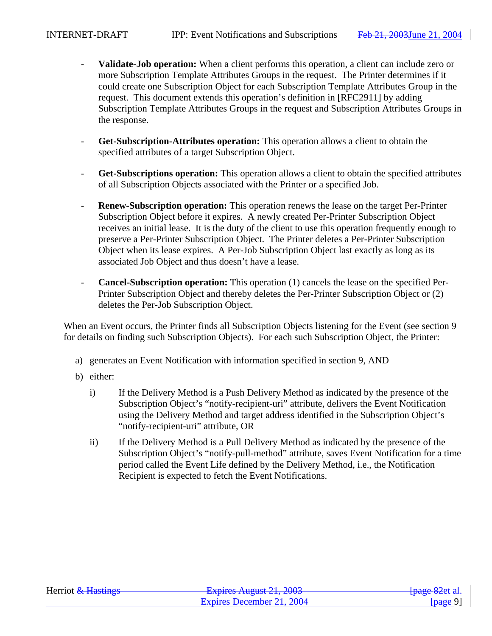- **Validate-Job operation:** When a client performs this operation, a client can include zero or more Subscription Template Attributes Groups in the request. The Printer determines if it could create one Subscription Object for each Subscription Template Attributes Group in the request. This document extends this operation's definition in [RFC2911] by adding Subscription Template Attributes Groups in the request and Subscription Attributes Groups in the response.
- **Get-Subscription-Attributes operation:** This operation allows a client to obtain the specified attributes of a target Subscription Object.
- **Get-Subscriptions operation:** This operation allows a client to obtain the specified attributes of all Subscription Objects associated with the Printer or a specified Job.
- **Renew-Subscription operation:** This operation renews the lease on the target Per-Printer Subscription Object before it expires. A newly created Per-Printer Subscription Object receives an initial lease. It is the duty of the client to use this operation frequently enough to preserve a Per-Printer Subscription Object. The Printer deletes a Per-Printer Subscription Object when its lease expires. A Per-Job Subscription Object last exactly as long as its associated Job Object and thus doesn't have a lease.
- **Cancel-Subscription operation:** This operation (1) cancels the lease on the specified Per-Printer Subscription Object and thereby deletes the Per-Printer Subscription Object or (2) deletes the Per-Job Subscription Object.

When an Event occurs, the Printer finds all Subscription Objects listening for the Event (see section 9 for details on finding such Subscription Objects). For each such Subscription Object, the Printer:

- a) generates an Event Notification with information specified in section 9, AND
- b) either:
	- i) If the Delivery Method is a Push Delivery Method as indicated by the presence of the Subscription Object's "notify-recipient-uri" attribute, delivers the Event Notification using the Delivery Method and target address identified in the Subscription Object's "notify-recipient-uri" attribute, OR
	- ii) If the Delivery Method is a Pull Delivery Method as indicated by the presence of the Subscription Object's "notify-pull-method" attribute, saves Event Notification for a time period called the Event Life defined by the Delivery Method, i.e., the Notification Recipient is expected to fetch the Event Notifications.

| Herriot & Hastings | Evoiras August 21, 2002<br>$\frac{1}{4}$ Lapinos Truguot 21, 2005 | <del>[page 82</del> et al. |
|--------------------|-------------------------------------------------------------------|----------------------------|
|                    | Expires December 21, 2004                                         | [ $page 9$ ]               |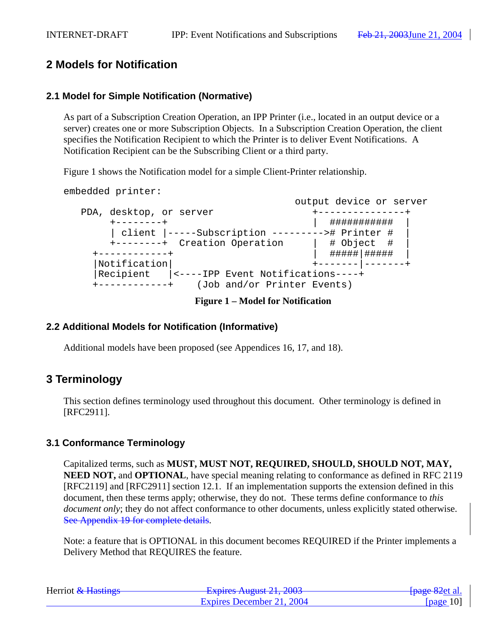# **2 Models for Notification**

# **2.1 Model for Simple Notification (Normative)**

As part of a Subscription Creation Operation, an IPP Printer (i.e., located in an output device or a server) creates one or more Subscription Objects. In a Subscription Creation Operation, the client specifies the Notification Recipient to which the Printer is to deliver Event Notifications. A Notification Recipient can be the Subscribing Client or a third party.

Figure 1 shows the Notification model for a simple Client-Printer relationship.

embedded printer:

 output device or server PDA, desktop, or server  $+$ ---------------+ +--------+ | ########### | | client |-----Subscription ---------># Printer # | +--------+ Creation Operation | # Object +------------+ | #####|##### | |Notification| +-------|-------+ |Recipient |<----IPP Event Notifications----+ +------------+ (Job and/or Printer Events)

**Figure 1 – Model for Notification**

# **2.2 Additional Models for Notification (Informative)**

Additional models have been proposed (see Appendices 16, 17, and 18).

# **3 Terminology**

This section defines terminology used throughout this document. Other terminology is defined in [RFC2911].

# **3.1 Conformance Terminology**

Capitalized terms, such as **MUST, MUST NOT, REQUIRED, SHOULD, SHOULD NOT, MAY, NEED NOT, and OPTIONAL**, have special meaning relating to conformance as defined in RFC 2119 [RFC2119] and [RFC2911] section 12.1. If an implementation supports the extension defined in this document, then these terms apply; otherwise, they do not. These terms define conformance to *this document only*; they do not affect conformance to other documents, unless explicitly stated otherwise. See Appendix 19 for complete details.

Note: a feature that is OPTIONAL in this document becomes REQUIRED if the Printer implements a Delivery Method that REQUIRES the feature.

| Herriot & Hastings | Evoiras August 21, 2003<br><del>- Explics August 21, 2003</del> | <del>- [page 82</del> et al. |
|--------------------|-----------------------------------------------------------------|------------------------------|
|                    | Expires December 21, 2004                                       | [ $page 10$ ]                |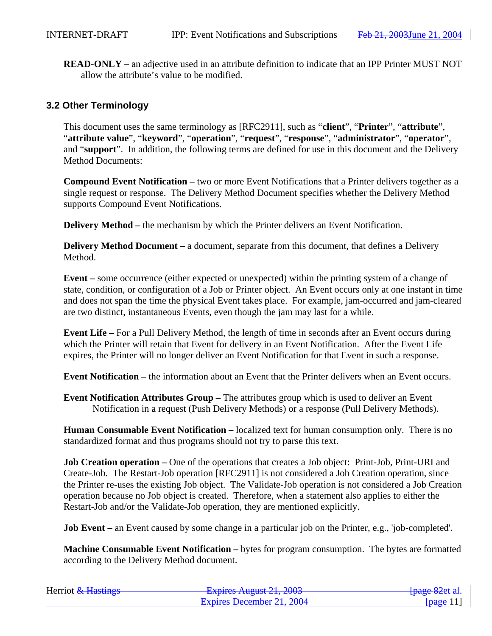**READ-ONLY –** an adjective used in an attribute definition to indicate that an IPP Printer MUST NOT allow the attribute's value to be modified.

### **3.2 Other Terminology**

This document uses the same terminology as [RFC2911], such as "**client**", "**Printer**", "**attribute**", "**attribute value**", "**keyword**", "**operation**", "**request**", "**response**", "**administrator**", "**operator**", and "**support**". In addition, the following terms are defined for use in this document and the Delivery Method Documents:

**Compound Event Notification –** two or more Event Notifications that a Printer delivers together as a single request or response. The Delivery Method Document specifies whether the Delivery Method supports Compound Event Notifications.

**Delivery Method** – the mechanism by which the Printer delivers an Event Notification.

**Delivery Method Document** – a document, separate from this document, that defines a Delivery Method.

**Event –** some occurrence (either expected or unexpected) within the printing system of a change of state, condition, or configuration of a Job or Printer object. An Event occurs only at one instant in time and does not span the time the physical Event takes place. For example, jam-occurred and jam-cleared are two distinct, instantaneous Events, even though the jam may last for a while.

**Event Life –** For a Pull Delivery Method, the length of time in seconds after an Event occurs during which the Printer will retain that Event for delivery in an Event Notification. After the Event Life expires, the Printer will no longer deliver an Event Notification for that Event in such a response.

**Event Notification –** the information about an Event that the Printer delivers when an Event occurs.

**Event Notification Attributes Group –** The attributes group which is used to deliver an Event Notification in a request (Push Delivery Methods) or a response (Pull Delivery Methods).

**Human Consumable Event Notification –** localized text for human consumption only. There is no standardized format and thus programs should not try to parse this text.

**Job Creation operation** – One of the operations that creates a Job object: Print-Job, Print-URI and Create-Job. The Restart-Job operation [RFC2911] is not considered a Job Creation operation, since the Printer re-uses the existing Job object. The Validate-Job operation is not considered a Job Creation operation because no Job object is created. Therefore, when a statement also applies to either the Restart-Job and/or the Validate-Job operation, they are mentioned explicitly.

**Job Event** – an Event caused by some change in a particular job on the Printer, e.g., 'job-completed'.

**Machine Consumable Event Notification –** bytes for program consumption. The bytes are formatted according to the Delivery Method document.

| Herriot & Hastings | Evoirag August 21, 2002<br><b>LAPITUS TYUZUST 41, 400J</b> | <del>fpage 82</del> et al.         |
|--------------------|------------------------------------------------------------|------------------------------------|
|                    | Expires December 21, 2004                                  | $\lceil \text{page} \rceil \rceil$ |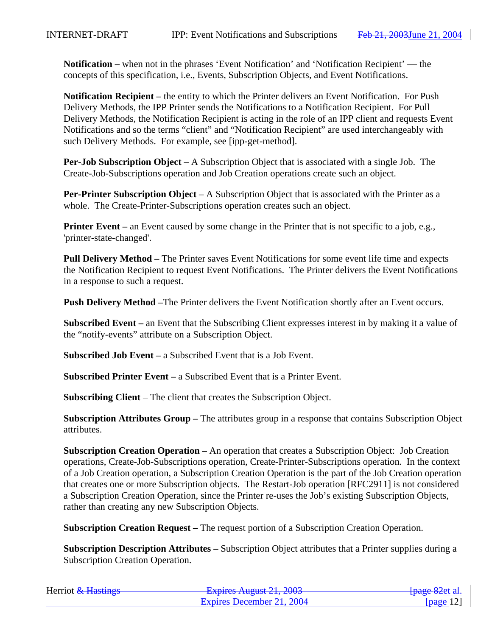**Notification –** when not in the phrases 'Event Notification' and 'Notification Recipient' — the concepts of this specification, i.e., Events, Subscription Objects, and Event Notifications.

**Notification Recipient –** the entity to which the Printer delivers an Event Notification. For Push Delivery Methods, the IPP Printer sends the Notifications to a Notification Recipient. For Pull Delivery Methods, the Notification Recipient is acting in the role of an IPP client and requests Event Notifications and so the terms "client" and "Notification Recipient" are used interchangeably with such Delivery Methods. For example, see [ipp-get-method].

**Per-Job Subscription Object** – A Subscription Object that is associated with a single Job. The Create-Job-Subscriptions operation and Job Creation operations create such an object.

**Per-Printer Subscription Object** – A Subscription Object that is associated with the Printer as a whole. The Create-Printer-Subscriptions operation creates such an object.

**Printer Event** – an Event caused by some change in the Printer that is not specific to a job, e.g., 'printer-state-changed'.

**Pull Delivery Method –** The Printer saves Event Notifications for some event life time and expects the Notification Recipient to request Event Notifications. The Printer delivers the Event Notifications in a response to such a request.

**Push Delivery Method –**The Printer delivers the Event Notification shortly after an Event occurs.

**Subscribed Event –** an Event that the Subscribing Client expresses interest in by making it a value of the "notify-events" attribute on a Subscription Object.

**Subscribed Job Event –** a Subscribed Event that is a Job Event.

**Subscribed Printer Event –** a Subscribed Event that is a Printer Event.

**Subscribing Client** – The client that creates the Subscription Object.

**Subscription Attributes Group –** The attributes group in a response that contains Subscription Object attributes.

**Subscription Creation Operation –** An operation that creates a Subscription Object: Job Creation operations, Create-Job-Subscriptions operation, Create-Printer-Subscriptions operation. In the context of a Job Creation operation, a Subscription Creation Operation is the part of the Job Creation operation that creates one or more Subscription objects. The Restart-Job operation [RFC2911] is not considered a Subscription Creation Operation, since the Printer re-uses the Job's existing Subscription Objects, rather than creating any new Subscription Objects.

**Subscription Creation Request –** The request portion of a Subscription Creation Operation.

**Subscription Description Attributes –** Subscription Object attributes that a Printer supplies during a Subscription Creation Operation.

| Herriot & Hastings | Evoirag August $21.2002$<br><b>LAPITUS TYUZUST 41, 400J</b> | <del>[page 82</del> et al. |
|--------------------|-------------------------------------------------------------|----------------------------|
|                    | Expires December 21, 2004                                   | [ $page 12$ ]              |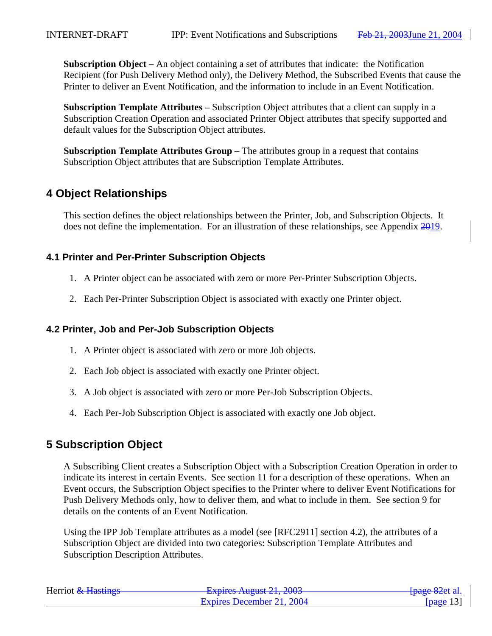**Subscription Object –** An object containing a set of attributes that indicate: the Notification Recipient (for Push Delivery Method only), the Delivery Method, the Subscribed Events that cause the Printer to deliver an Event Notification, and the information to include in an Event Notification.

**Subscription Template Attributes –** Subscription Object attributes that a client can supply in a Subscription Creation Operation and associated Printer Object attributes that specify supported and default values for the Subscription Object attributes.

**Subscription Template Attributes Group** – The attributes group in a request that contains Subscription Object attributes that are Subscription Template Attributes.

# **4 Object Relationships**

This section defines the object relationships between the Printer, Job, and Subscription Objects. It does not define the implementation. For an illustration of these relationships, see Appendix 2019.

# **4.1 Printer and Per-Printer Subscription Objects**

- 1. A Printer object can be associated with zero or more Per-Printer Subscription Objects.
- 2. Each Per-Printer Subscription Object is associated with exactly one Printer object.

# **4.2 Printer, Job and Per-Job Subscription Objects**

- 1. A Printer object is associated with zero or more Job objects.
- 2. Each Job object is associated with exactly one Printer object.
- 3. A Job object is associated with zero or more Per-Job Subscription Objects.
- 4. Each Per-Job Subscription Object is associated with exactly one Job object.

# **5 Subscription Object**

A Subscribing Client creates a Subscription Object with a Subscription Creation Operation in order to indicate its interest in certain Events. See section 11 for a description of these operations. When an Event occurs, the Subscription Object specifies to the Printer where to deliver Event Notifications for Push Delivery Methods only, how to deliver them, and what to include in them. See section 9 for details on the contents of an Event Notification.

Using the IPP Job Template attributes as a model (see [RFC2911] section 4.2), the attributes of a Subscription Object are divided into two categories: Subscription Template Attributes and Subscription Description Attributes.

| Herriot & Hastings | Evoiras August $21, 2002$<br><del>- Expires August 21, 2003</del> | <del>[page 82</del> et al. |
|--------------------|-------------------------------------------------------------------|----------------------------|
|                    | Expires December 21, 2004                                         | [ $page 13$ ]              |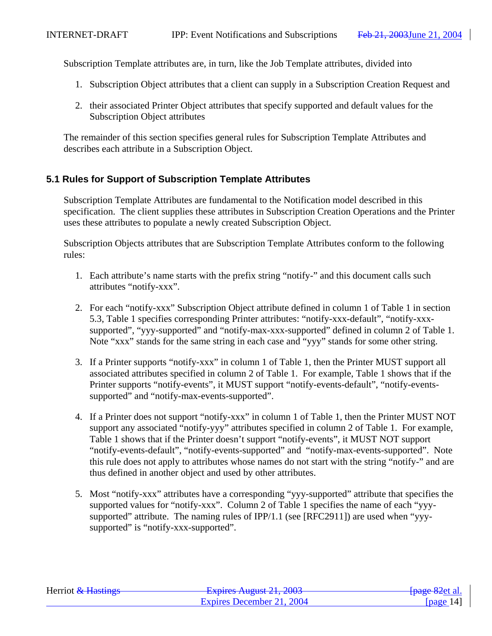Subscription Template attributes are, in turn, like the Job Template attributes, divided into

- 1. Subscription Object attributes that a client can supply in a Subscription Creation Request and
- 2. their associated Printer Object attributes that specify supported and default values for the Subscription Object attributes

The remainder of this section specifies general rules for Subscription Template Attributes and describes each attribute in a Subscription Object.

# **5.1 Rules for Support of Subscription Template Attributes**

Subscription Template Attributes are fundamental to the Notification model described in this specification. The client supplies these attributes in Subscription Creation Operations and the Printer uses these attributes to populate a newly created Subscription Object.

Subscription Objects attributes that are Subscription Template Attributes conform to the following rules:

- 1. Each attribute's name starts with the prefix string "notify-" and this document calls such attributes "notify-xxx".
- 2. For each "notify-xxx" Subscription Object attribute defined in column 1 of Table 1 in section 5.3, Table 1 specifies corresponding Printer attributes: "notify-xxx-default", "notify-xxxsupported", "yyy-supported" and "notify-max-xxx-supported" defined in column 2 of Table 1. Note "xxx" stands for the same string in each case and "yyy" stands for some other string.
- 3. If a Printer supports "notify-xxx" in column 1 of Table 1, then the Printer MUST support all associated attributes specified in column 2 of Table 1. For example, Table 1 shows that if the Printer supports "notify-events", it MUST support "notify-events-default", "notify-eventssupported" and "notify-max-events-supported".
- 4. If a Printer does not support "notify-xxx" in column 1 of Table 1, then the Printer MUST NOT support any associated "notify-yyy" attributes specified in column 2 of Table 1. For example, Table 1 shows that if the Printer doesn't support "notify-events", it MUST NOT support "notify-events-default", "notify-events-supported" and "notify-max-events-supported". Note this rule does not apply to attributes whose names do not start with the string "notify-" and are thus defined in another object and used by other attributes.
- 5. Most "notify-xxx" attributes have a corresponding "yyy-supported" attribute that specifies the supported values for "notify-xxx". Column 2 of Table 1 specifies the name of each "yyysupported" attribute. The naming rules of IPP/1.1 (see [RFC2911]) are used when "yyysupported" is "notify-xxx-supported".

| Herriot & Hastings | Evoiras August 21, 2003<br>$\frac{1}{4}$ LADIIUS THE THE UNIT $\frac{1}{4}$ COUP | <del>[page 82</del> et al. |
|--------------------|----------------------------------------------------------------------------------|----------------------------|
|                    | Expires December 21, 2004                                                        | [page $14$ ]               |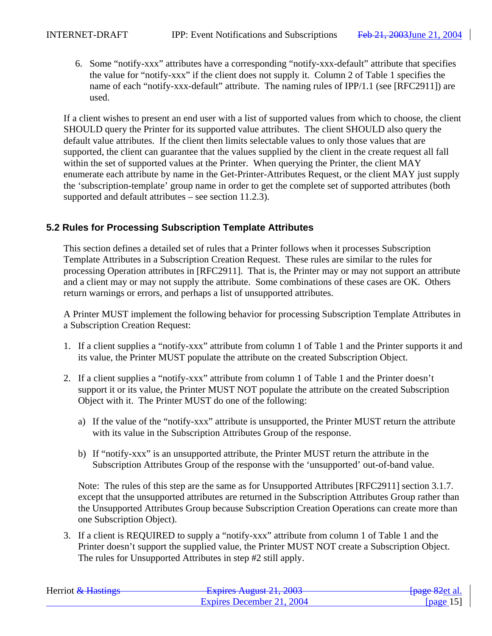6. Some "notify-xxx" attributes have a corresponding "notify-xxx-default" attribute that specifies the value for "notify-xxx" if the client does not supply it. Column 2 of Table 1 specifies the name of each "notify-xxx-default" attribute. The naming rules of IPP/1.1 (see [RFC2911]) are used.

If a client wishes to present an end user with a list of supported values from which to choose, the client SHOULD query the Printer for its supported value attributes. The client SHOULD also query the default value attributes. If the client then limits selectable values to only those values that are supported, the client can guarantee that the values supplied by the client in the create request all fall within the set of supported values at the Printer. When querying the Printer, the client MAY enumerate each attribute by name in the Get-Printer-Attributes Request, or the client MAY just supply the 'subscription-template' group name in order to get the complete set of supported attributes (both supported and default attributes – see section 11.2.3).

# **5.2 Rules for Processing Subscription Template Attributes**

This section defines a detailed set of rules that a Printer follows when it processes Subscription Template Attributes in a Subscription Creation Request. These rules are similar to the rules for processing Operation attributes in [RFC2911]. That is, the Printer may or may not support an attribute and a client may or may not supply the attribute. Some combinations of these cases are OK. Others return warnings or errors, and perhaps a list of unsupported attributes.

A Printer MUST implement the following behavior for processing Subscription Template Attributes in a Subscription Creation Request:

- 1. If a client supplies a "notify-xxx" attribute from column 1 of Table 1 and the Printer supports it and its value, the Printer MUST populate the attribute on the created Subscription Object.
- 2. If a client supplies a "notify-xxx" attribute from column 1 of Table 1 and the Printer doesn't support it or its value, the Printer MUST NOT populate the attribute on the created Subscription Object with it. The Printer MUST do one of the following:
	- a) If the value of the "notify-xxx" attribute is unsupported, the Printer MUST return the attribute with its value in the Subscription Attributes Group of the response.
	- b) If "notify-xxx" is an unsupported attribute, the Printer MUST return the attribute in the Subscription Attributes Group of the response with the 'unsupported' out-of-band value.

Note: The rules of this step are the same as for Unsupported Attributes [RFC2911] section 3.1.7. except that the unsupported attributes are returned in the Subscription Attributes Group rather than the Unsupported Attributes Group because Subscription Creation Operations can create more than one Subscription Object).

3. If a client is REQUIRED to supply a "notify-xxx" attribute from column 1 of Table 1 and the Printer doesn't support the supplied value, the Printer MUST NOT create a Subscription Object. The rules for Unsupported Attributes in step #2 still apply.

| Herriot & Hastings | Evoiras August $21, 2002$<br><b>LAURO AUZUM 41, 400J</b> | <del>[page 82</del> et al. |
|--------------------|----------------------------------------------------------|----------------------------|
|                    | Expires December 21, 2004                                | [page $15$ ]               |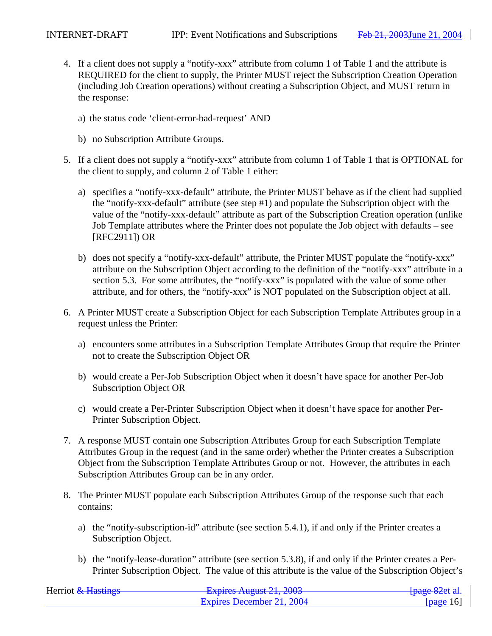- 4. If a client does not supply a "notify-xxx" attribute from column 1 of Table 1 and the attribute is REQUIRED for the client to supply, the Printer MUST reject the Subscription Creation Operation (including Job Creation operations) without creating a Subscription Object, and MUST return in the response:
	- a) the status code 'client-error-bad-request' AND
	- b) no Subscription Attribute Groups.
- 5. If a client does not supply a "notify-xxx" attribute from column 1 of Table 1 that is OPTIONAL for the client to supply, and column 2 of Table 1 either:
	- a) specifies a "notify-xxx-default" attribute, the Printer MUST behave as if the client had supplied the "notify-xxx-default" attribute (see step #1) and populate the Subscription object with the value of the "notify-xxx-default" attribute as part of the Subscription Creation operation (unlike Job Template attributes where the Printer does not populate the Job object with defaults – see [RFC2911]) OR
	- b) does not specify a "notify-xxx-default" attribute, the Printer MUST populate the "notify-xxx" attribute on the Subscription Object according to the definition of the "notify-xxx" attribute in a section 5.3. For some attributes, the "notify-xxx" is populated with the value of some other attribute, and for others, the "notify-xxx" is NOT populated on the Subscription object at all.
- 6. A Printer MUST create a Subscription Object for each Subscription Template Attributes group in a request unless the Printer:
	- a) encounters some attributes in a Subscription Template Attributes Group that require the Printer not to create the Subscription Object OR
	- b) would create a Per-Job Subscription Object when it doesn't have space for another Per-Job Subscription Object OR
	- c) would create a Per-Printer Subscription Object when it doesn't have space for another Per-Printer Subscription Object.
- 7. A response MUST contain one Subscription Attributes Group for each Subscription Template Attributes Group in the request (and in the same order) whether the Printer creates a Subscription Object from the Subscription Template Attributes Group or not. However, the attributes in each Subscription Attributes Group can be in any order.
- 8. The Printer MUST populate each Subscription Attributes Group of the response such that each contains:
	- a) the "notify-subscription-id" attribute (see section 5.4.1), if and only if the Printer creates a Subscription Object.
	- b) the "notify-lease-duration" attribute (see section 5.3.8), if and only if the Printer creates a Per-Printer Subscription Object. The value of this attribute is the value of the Subscription Object's

| Herriot & Hastings | Evoirag August $21, 2002$<br><b>EAPRO AREAD 21, 2005</b> | <del>[page 82</del> et al. |
|--------------------|----------------------------------------------------------|----------------------------|
|                    | Expires December 21, 2004                                | [ $page 16$ ]              |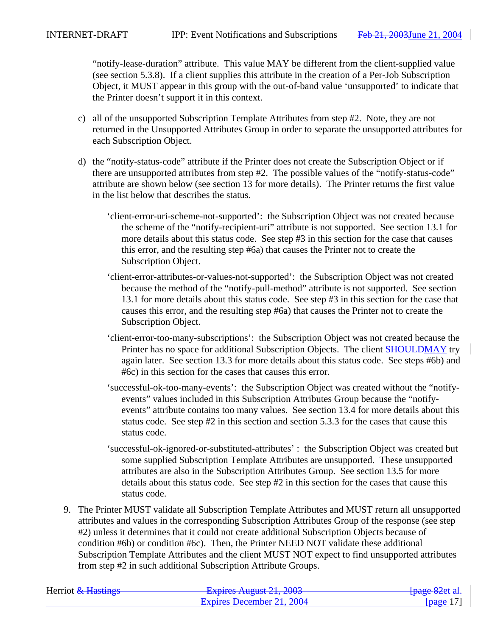"notify-lease-duration" attribute. This value MAY be different from the client-supplied value (see section 5.3.8). If a client supplies this attribute in the creation of a Per-Job Subscription Object, it MUST appear in this group with the out-of-band value 'unsupported' to indicate that the Printer doesn't support it in this context.

- c) all of the unsupported Subscription Template Attributes from step #2. Note, they are not returned in the Unsupported Attributes Group in order to separate the unsupported attributes for each Subscription Object.
- d) the "notify-status-code" attribute if the Printer does not create the Subscription Object or if there are unsupported attributes from step #2. The possible values of the "notify-status-code" attribute are shown below (see section 13 for more details). The Printer returns the first value in the list below that describes the status.
	- 'client-error-uri-scheme-not-supported': the Subscription Object was not created because the scheme of the "notify-recipient-uri" attribute is not supported. See section 13.1 for more details about this status code. See step #3 in this section for the case that causes this error, and the resulting step #6a) that causes the Printer not to create the Subscription Object.
	- 'client-error-attributes-or-values-not-supported': the Subscription Object was not created because the method of the "notify-pull-method" attribute is not supported. See section 13.1 for more details about this status code. See step #3 in this section for the case that causes this error, and the resulting step #6a) that causes the Printer not to create the Subscription Object.
	- 'client-error-too-many-subscriptions': the Subscription Object was not created because the Printer has no space for additional Subscription Objects. The client SHOULDMAY try again later. See section 13.3 for more details about this status code. See steps #6b) and #6c) in this section for the cases that causes this error.
	- 'successful-ok-too-many-events': the Subscription Object was created without the "notifyevents" values included in this Subscription Attributes Group because the "notifyevents" attribute contains too many values. See section 13.4 for more details about this status code. See step #2 in this section and section 5.3.3 for the cases that cause this status code.
	- 'successful-ok-ignored-or-substituted-attributes' : the Subscription Object was created but some supplied Subscription Template Attributes are unsupported. These unsupported attributes are also in the Subscription Attributes Group. See section 13.5 for more details about this status code. See step #2 in this section for the cases that cause this status code.
- 9. The Printer MUST validate all Subscription Template Attributes and MUST return all unsupported attributes and values in the corresponding Subscription Attributes Group of the response (see step #2) unless it determines that it could not create additional Subscription Objects because of condition #6b) or condition #6c). Then, the Printer NEED NOT validate these additional Subscription Template Attributes and the client MUST NOT expect to find unsupported attributes from step #2 in such additional Subscription Attribute Groups.

| Herriot & Hastings | Evoirag August 21, 2002<br>$\frac{1}{4}$ Lapinus Truguot 21, 2005 | <del>[page 82</del> et al. |
|--------------------|-------------------------------------------------------------------|----------------------------|
|                    | Expires December 21, 2004                                         | [page $17$ ]               |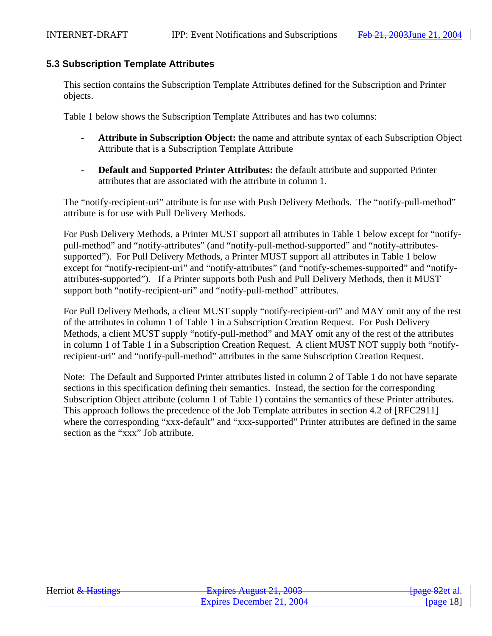#### **5.3 Subscription Template Attributes**

This section contains the Subscription Template Attributes defined for the Subscription and Printer objects.

Table 1 below shows the Subscription Template Attributes and has two columns:

- **Attribute in Subscription Object:** the name and attribute syntax of each Subscription Object Attribute that is a Subscription Template Attribute
- **Default and Supported Printer Attributes:** the default attribute and supported Printer attributes that are associated with the attribute in column 1.

The "notify-recipient-uri" attribute is for use with Push Delivery Methods. The "notify-pull-method" attribute is for use with Pull Delivery Methods.

For Push Delivery Methods, a Printer MUST support all attributes in Table 1 below except for "notifypull-method" and "notify-attributes" (and "notify-pull-method-supported" and "notify-attributessupported"). For Pull Delivery Methods, a Printer MUST support all attributes in Table 1 below except for "notify-recipient-uri" and "notify-attributes" (and "notify-schemes-supported" and "notifyattributes-supported"). If a Printer supports both Push and Pull Delivery Methods, then it MUST support both "notify-recipient-uri" and "notify-pull-method" attributes.

For Pull Delivery Methods, a client MUST supply "notify-recipient-uri" and MAY omit any of the rest of the attributes in column 1 of Table 1 in a Subscription Creation Request. For Push Delivery Methods, a client MUST supply "notify-pull-method" and MAY omit any of the rest of the attributes in column 1 of Table 1 in a Subscription Creation Request. A client MUST NOT supply both "notifyrecipient-uri" and "notify-pull-method" attributes in the same Subscription Creation Request.

Note: The Default and Supported Printer attributes listed in column 2 of Table 1 do not have separate sections in this specification defining their semantics. Instead, the section for the corresponding Subscription Object attribute (column 1 of Table 1) contains the semantics of these Printer attributes. This approach follows the precedence of the Job Template attributes in section 4.2 of [RFC2911] where the corresponding "xxx-default" and "xxx-supported" Printer attributes are defined in the same section as the "xxx" Job attribute.

| Herriot & Hastings | $Evariance$ August 21, 2002<br><b>LAPHUS TYUZUST 41, 400J</b> | <del>[page 82</del> et al. |
|--------------------|---------------------------------------------------------------|----------------------------|
|                    | Expires December 21, 2004                                     | [ $page 18$ ]              |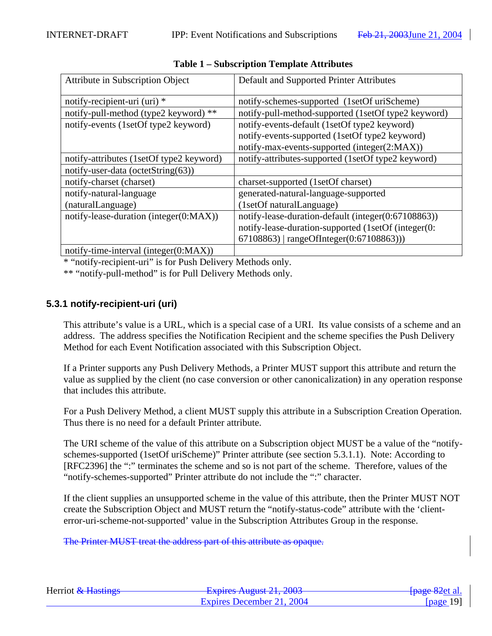| <b>Attribute in Subscription Object</b>   | Default and Supported Printer Attributes            |
|-------------------------------------------|-----------------------------------------------------|
| notify-recipient-uri (uri) *              | notify-schemes-supported (1setOf uriScheme)         |
| notify-pull-method (type2 keyword) **     | notify-pull-method-supported (1setOf type2 keyword) |
| notify-events (1setOf type2 keyword)      | notify-events-default (1setOf type2 keyword)        |
|                                           | notify-events-supported (1setOf type2 keyword)      |
|                                           | notify-max-events-supported (integer(2:MAX))        |
| notify-attributes (1setOf type2 keyword)  | notify-attributes-supported (1setOf type2 keyword)  |
| notify-user-data (octetString(63))        |                                                     |
| notify-charset (charset)                  | charset-supported (1setOf charset)                  |
| notify-natural-language                   | generated-natural-language-supported                |
| (naturalLanguage)                         | (1setOf naturalLanguage)                            |
| notify-lease-duration (integer(0:MAX))    | notify-lease-duration-default (integer(0:67108863)) |
|                                           | notify-lease-duration-supported (1setOf (integer(0: |
|                                           | 67108863)   rangeOfInteger(0:67108863)))            |
| notify-time-interval (integer $(0:MAX)$ ) |                                                     |

**Table 1 – Subscription Template Attributes**

\* "notify-recipient-uri" is for Push Delivery Methods only.

\*\* "notify-pull-method" is for Pull Delivery Methods only.

# **5.3.1 notify-recipient-uri (uri)**

This attribute's value is a URL, which is a special case of a URI. Its value consists of a scheme and an address. The address specifies the Notification Recipient and the scheme specifies the Push Delivery Method for each Event Notification associated with this Subscription Object.

If a Printer supports any Push Delivery Methods, a Printer MUST support this attribute and return the value as supplied by the client (no case conversion or other canonicalization) in any operation response that includes this attribute.

For a Push Delivery Method, a client MUST supply this attribute in a Subscription Creation Operation. Thus there is no need for a default Printer attribute.

The URI scheme of the value of this attribute on a Subscription object MUST be a value of the "notifyschemes-supported (1setOf uriScheme)" Printer attribute (see section 5.3.1.1). Note: According to [RFC2396] the ":" terminates the scheme and so is not part of the scheme. Therefore, values of the "notify-schemes-supported" Printer attribute do not include the ":" character.

If the client supplies an unsupported scheme in the value of this attribute, then the Printer MUST NOT create the Subscription Object and MUST return the "notify-status-code" attribute with the 'clienterror-uri-scheme-not-supported' value in the Subscription Attributes Group in the response.

The Printer MUST treat the address part of this attribute as opaque.

| Herriot & Hastings | Evoiras August $21, 2002$<br><del>- Explics August 21, 2005</del> | <del>[page 82</del> et al. |
|--------------------|-------------------------------------------------------------------|----------------------------|
|                    | Expires December 21, 2004                                         | [ $page 19$ ]              |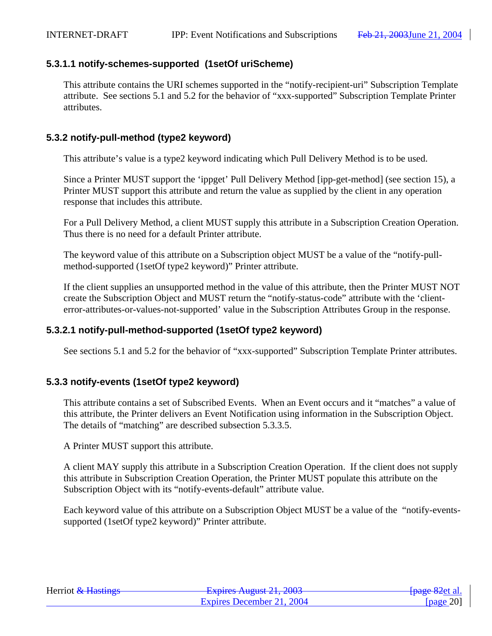# **5.3.1.1 notify-schemes-supported (1setOf uriScheme)**

This attribute contains the URI schemes supported in the "notify-recipient-uri" Subscription Template attribute. See sections 5.1 and 5.2 for the behavior of "xxx-supported" Subscription Template Printer attributes.

# **5.3.2 notify-pull-method (type2 keyword)**

This attribute's value is a type2 keyword indicating which Pull Delivery Method is to be used.

Since a Printer MUST support the 'ippget' Pull Delivery Method [ipp-get-method] (see section 15), a Printer MUST support this attribute and return the value as supplied by the client in any operation response that includes this attribute.

For a Pull Delivery Method, a client MUST supply this attribute in a Subscription Creation Operation. Thus there is no need for a default Printer attribute.

The keyword value of this attribute on a Subscription object MUST be a value of the "notify-pullmethod-supported (1setOf type2 keyword)" Printer attribute.

If the client supplies an unsupported method in the value of this attribute, then the Printer MUST NOT create the Subscription Object and MUST return the "notify-status-code" attribute with the 'clienterror-attributes-or-values-not-supported' value in the Subscription Attributes Group in the response.

# **5.3.2.1 notify-pull-method-supported (1setOf type2 keyword)**

See sections 5.1 and 5.2 for the behavior of "xxx-supported" Subscription Template Printer attributes.

# **5.3.3 notify-events (1setOf type2 keyword)**

This attribute contains a set of Subscribed Events. When an Event occurs and it "matches" a value of this attribute, the Printer delivers an Event Notification using information in the Subscription Object. The details of "matching" are described subsection 5.3.3.5.

A Printer MUST support this attribute.

A client MAY supply this attribute in a Subscription Creation Operation. If the client does not supply this attribute in Subscription Creation Operation, the Printer MUST populate this attribute on the Subscription Object with its "notify-events-default" attribute value.

Each keyword value of this attribute on a Subscription Object MUST be a value of the "notify-eventssupported (1setOf type2 keyword)" Printer attribute.

| Herriot & Hastings | Evoiras August $21, 2002$<br><del>12 2003 August 21, 2003</del> | <del>[page 82</del> et al. |
|--------------------|-----------------------------------------------------------------|----------------------------|
|                    | Expires December 21, 2004                                       | [ $page 20$ ]              |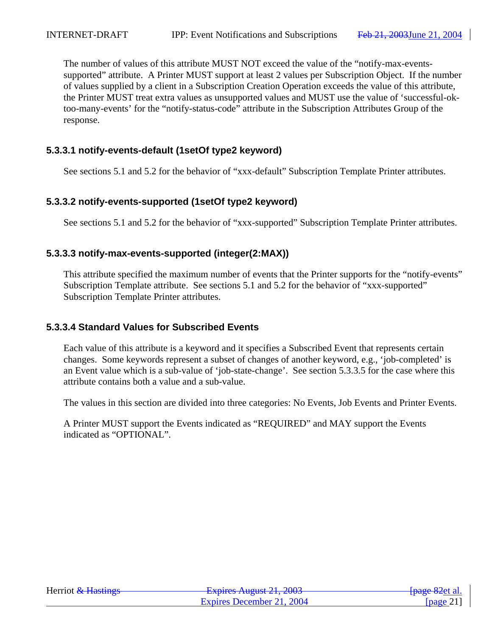The number of values of this attribute MUST NOT exceed the value of the "notify-max-eventssupported" attribute. A Printer MUST support at least 2 values per Subscription Object. If the number of values supplied by a client in a Subscription Creation Operation exceeds the value of this attribute, the Printer MUST treat extra values as unsupported values and MUST use the value of 'successful-oktoo-many-events' for the "notify-status-code" attribute in the Subscription Attributes Group of the response.

# **5.3.3.1 notify-events-default (1setOf type2 keyword)**

See sections 5.1 and 5.2 for the behavior of "xxx-default" Subscription Template Printer attributes.

# **5.3.3.2 notify-events-supported (1setOf type2 keyword)**

See sections 5.1 and 5.2 for the behavior of "xxx-supported" Subscription Template Printer attributes.

# **5.3.3.3 notify-max-events-supported (integer(2:MAX))**

This attribute specified the maximum number of events that the Printer supports for the "notify-events" Subscription Template attribute. See sections 5.1 and 5.2 for the behavior of "xxx-supported" Subscription Template Printer attributes.

# **5.3.3.4 Standard Values for Subscribed Events**

Each value of this attribute is a keyword and it specifies a Subscribed Event that represents certain changes. Some keywords represent a subset of changes of another keyword, e.g., 'job-completed' is an Event value which is a sub-value of 'job-state-change'. See section 5.3.3.5 for the case where this attribute contains both a value and a sub-value.

The values in this section are divided into three categories: No Events, Job Events and Printer Events.

A Printer MUST support the Events indicated as "REQUIRED" and MAY support the Events indicated as "OPTIONAL".

| Herriot & Hastings | Evoirag August $21.2002$<br>$T$ $\alpha$ phus Thezust $21, 200$ J | <del>[page 82</del> et al. |
|--------------------|-------------------------------------------------------------------|----------------------------|
|                    | Expires December 21, 2004                                         | [ $page 21$ ]              |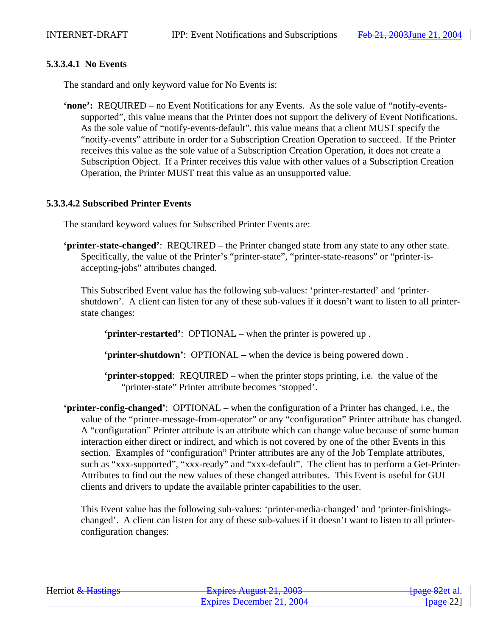#### **5.3.3.4.1 No Events**

The standard and only keyword value for No Events is:

**'none':** REQUIRED – no Event Notifications for any Events. As the sole value of "notify-eventssupported", this value means that the Printer does not support the delivery of Event Notifications. As the sole value of "notify-events-default", this value means that a client MUST specify the "notify-events" attribute in order for a Subscription Creation Operation to succeed. If the Printer receives this value as the sole value of a Subscription Creation Operation, it does not create a Subscription Object. If a Printer receives this value with other values of a Subscription Creation Operation, the Printer MUST treat this value as an unsupported value.

#### **5.3.3.4.2 Subscribed Printer Events**

The standard keyword values for Subscribed Printer Events are:

**'printer-state-changed'**: REQUIRED – the Printer changed state from any state to any other state. Specifically, the value of the Printer's "printer-state", "printer-state-reasons" or "printer-isaccepting-jobs" attributes changed.

This Subscribed Event value has the following sub-values: 'printer-restarted' and 'printershutdown'. A client can listen for any of these sub-values if it doesn't want to listen to all printerstate changes:

**'printer-restarted'**: OPTIONAL – when the printer is powered up .

**'printer-shutdown'**: OPTIONAL **–** when the device is being powered down .

**'printer-stopped**: REQUIRED – when the printer stops printing, i.e. the value of the "printer-state" Printer attribute becomes 'stopped'.

**'printer-config-changed'**:OPTIONAL – when the configuration of a Printer has changed, i.e., the value of the "printer-message-from-operator" or any "configuration" Printer attribute has changed. A "configuration" Printer attribute is an attribute which can change value because of some human interaction either direct or indirect, and which is not covered by one of the other Events in this section. Examples of "configuration" Printer attributes are any of the Job Template attributes, such as "xxx-supported", "xxx-ready" and "xxx-default". The client has to perform a Get-Printer-Attributes to find out the new values of these changed attributes. This Event is useful for GUI clients and drivers to update the available printer capabilities to the user.

This Event value has the following sub-values: 'printer-media-changed' and 'printer-finishingschanged'. A client can listen for any of these sub-values if it doesn't want to listen to all printerconfiguration changes:

| Herriot & Hastings | Evoires August $21.2002$<br>$\frac{1}{4}$ $\frac{1}{4}$ $\frac{1}{4}$ $\frac{1}{4}$ $\frac{1}{4}$ $\frac{1}{4}$ $\frac{1}{4}$ $\frac{1}{4}$ $\frac{1}{4}$ $\frac{1}{4}$ $\frac{1}{4}$ $\frac{1}{4}$ $\frac{1}{4}$ $\frac{1}{4}$ $\frac{1}{4}$ $\frac{1}{4}$ $\frac{1}{4}$ $\frac{1}{4}$ $\frac{1}{4}$ $\frac{1}{4}$ $\frac{1}{4}$ $\frac{1}{4}$ | <del>[page 82</del> et al. |
|--------------------|-------------------------------------------------------------------------------------------------------------------------------------------------------------------------------------------------------------------------------------------------------------------------------------------------------------------------------------------------|----------------------------|
|                    | Expires December 21, 2004                                                                                                                                                                                                                                                                                                                       | [ $page 22$ ]              |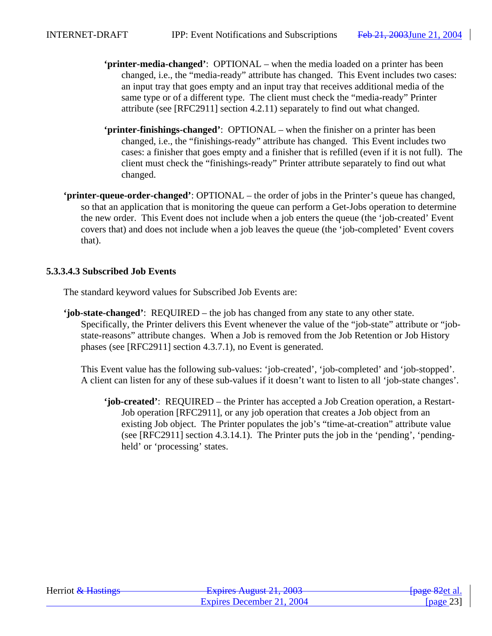- **'printer-media-changed'**:OPTIONAL when the media loaded on a printer has been changed, i.e., the "media-ready" attribute has changed. This Event includes two cases: an input tray that goes empty and an input tray that receives additional media of the same type or of a different type. The client must check the "media-ready" Printer attribute (see [RFC2911] section 4.2.11) separately to find out what changed.
- **'printer-finishings-changed'**:OPTIONAL when the finisher on a printer has been changed, i.e., the "finishings-ready" attribute has changed. This Event includes two cases: a finisher that goes empty and a finisher that is refilled (even if it is not full). The client must check the "finishings-ready" Printer attribute separately to find out what changed.
- **'printer-queue-order-changed'**: OPTIONAL the order of jobs in the Printer's queue has changed, so that an application that is monitoring the queue can perform a Get-Jobs operation to determine the new order. This Event does not include when a job enters the queue (the 'job-created' Event covers that) and does not include when a job leaves the queue (the 'job-completed' Event covers that).

### **5.3.3.4.3 Subscribed Job Events**

The standard keyword values for Subscribed Job Events are:

**'job-state-changed'**: REQUIRED – the job has changed from any state to any other state. Specifically, the Printer delivers this Event whenever the value of the "job-state" attribute or "jobstate-reasons" attribute changes. When a Job is removed from the Job Retention or Job History phases (see [RFC2911] section 4.3.7.1), no Event is generated.

This Event value has the following sub-values: 'job-created', 'job-completed' and 'job-stopped'. A client can listen for any of these sub-values if it doesn't want to listen to all 'job-state changes'.

**'job-created'**: REQUIRED – the Printer has accepted a Job Creation operation, a Restart-Job operation [RFC2911], or any job operation that creates a Job object from an existing Job object. The Printer populates the job's "time-at-creation" attribute value (see [RFC2911] section 4.3.14.1). The Printer puts the job in the 'pending', 'pendingheld' or 'processing' states.

| Herriot & Hastings | $Evariance$ August 21, 2002<br><b>LAPHUS TYUZUST 41, 400J</b> | <del>[page 82</del> et al. |
|--------------------|---------------------------------------------------------------|----------------------------|
|                    | Expires December 21, 2004                                     | page 23                    |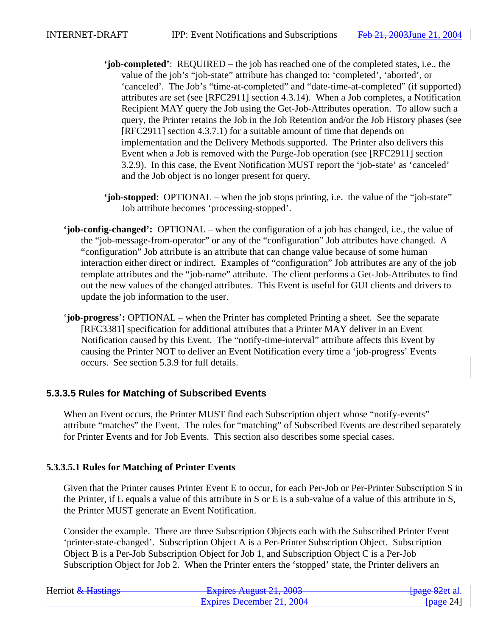- **'job-completed'**: REQUIRED the job has reached one of the completed states, i.e., the value of the job's "job-state" attribute has changed to: 'completed', 'aborted', or 'canceled'. The Job's "time-at-completed" and "date-time-at-completed" (if supported) attributes are set (see [RFC2911] section 4.3.14). When a Job completes, a Notification Recipient MAY query the Job using the Get-Job-Attributes operation. To allow such a query, the Printer retains the Job in the Job Retention and/or the Job History phases (see [RFC2911] section 4.3.7.1) for a suitable amount of time that depends on implementation and the Delivery Methods supported. The Printer also delivers this Event when a Job is removed with the Purge-Job operation (see [RFC2911] section 3.2.9). In this case, the Event Notification MUST report the 'job-state' as 'canceled' and the Job object is no longer present for query.
- **'job-stopped**: OPTIONAL when the job stops printing, i.e. the value of the "job-state" Job attribute becomes 'processing-stopped'.
- **'job-config-changed':** OPTIONAL when the configuration of a job has changed, i.e., the value of the "job-message-from-operator" or any of the "configuration" Job attributes have changed. A "configuration" Job attribute is an attribute that can change value because of some human interaction either direct or indirect. Examples of "configuration" Job attributes are any of the job template attributes and the "job-name" attribute. The client performs a Get-Job-Attributes to find out the new values of the changed attributes. This Event is useful for GUI clients and drivers to update the job information to the user.
- '**job-progress**'**:** OPTIONAL when the Printer has completed Printing a sheet. See the separate [RFC3381] specification for additional attributes that a Printer MAY deliver in an Event Notification caused by this Event. The "notify-time-interval" attribute affects this Event by causing the Printer NOT to deliver an Event Notification every time a 'job-progress' Events occurs. See section 5.3.9 for full details.

# **5.3.3.5 Rules for Matching of Subscribed Events**

When an Event occurs, the Printer MUST find each Subscription object whose "notify-events" attribute "matches" the Event. The rules for "matching" of Subscribed Events are described separately for Printer Events and for Job Events. This section also describes some special cases.

# **5.3.3.5.1 Rules for Matching of Printer Events**

Given that the Printer causes Printer Event E to occur, for each Per-Job or Per-Printer Subscription S in the Printer, if E equals a value of this attribute in S or E is a sub-value of a value of this attribute in S, the Printer MUST generate an Event Notification.

Consider the example. There are three Subscription Objects each with the Subscribed Printer Event 'printer-state-changed'. Subscription Object A is a Per-Printer Subscription Object. Subscription Object B is a Per-Job Subscription Object for Job 1, and Subscription Object C is a Per-Job Subscription Object for Job 2. When the Printer enters the 'stopped' state, the Printer delivers an

| Herriot & Hastings | Evoiras August $21, 2002$<br><del>12 2003 August 21, 2003</del> | <del>-[page 82</del> et al. |
|--------------------|-----------------------------------------------------------------|-----------------------------|
|                    | Expires December 21, 2004                                       | [ $page 24$ ]               |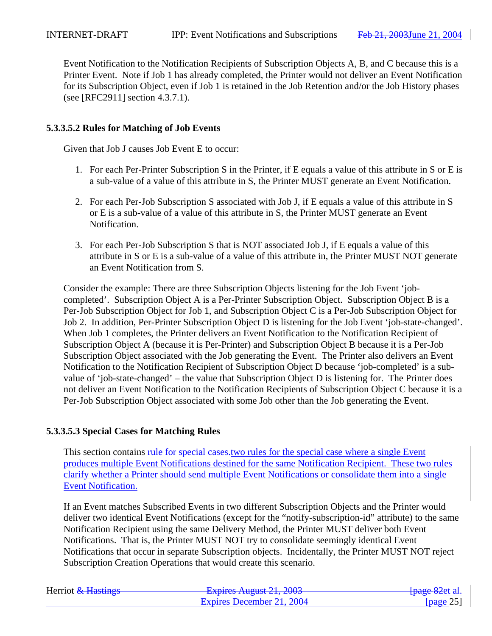Event Notification to the Notification Recipients of Subscription Objects A, B, and C because this is a Printer Event. Note if Job 1 has already completed, the Printer would not deliver an Event Notification for its Subscription Object, even if Job 1 is retained in the Job Retention and/or the Job History phases (see [RFC2911] section 4.3.7.1).

#### **5.3.3.5.2 Rules for Matching of Job Events**

Given that Job J causes Job Event E to occur:

- 1. For each Per-Printer Subscription S in the Printer, if E equals a value of this attribute in S or E is a sub-value of a value of this attribute in S, the Printer MUST generate an Event Notification.
- 2. For each Per-Job Subscription S associated with Job J, if E equals a value of this attribute in S or E is a sub-value of a value of this attribute in S, the Printer MUST generate an Event Notification.
- 3. For each Per-Job Subscription S that is NOT associated Job J, if E equals a value of this attribute in S or E is a sub-value of a value of this attribute in, the Printer MUST NOT generate an Event Notification from S.

Consider the example: There are three Subscription Objects listening for the Job Event 'jobcompleted'. Subscription Object A is a Per-Printer Subscription Object. Subscription Object B is a Per-Job Subscription Object for Job 1, and Subscription Object C is a Per-Job Subscription Object for Job 2. In addition, Per-Printer Subscription Object D is listening for the Job Event 'job-state-changed'. When Job 1 completes, the Printer delivers an Event Notification to the Notification Recipient of Subscription Object A (because it is Per-Printer) and Subscription Object B because it is a Per-Job Subscription Object associated with the Job generating the Event. The Printer also delivers an Event Notification to the Notification Recipient of Subscription Object D because 'job-completed' is a subvalue of 'job-state-changed' – the value that Subscription Object D is listening for. The Printer does not deliver an Event Notification to the Notification Recipients of Subscription Object C because it is a Per-Job Subscription Object associated with some Job other than the Job generating the Event.

#### **5.3.3.5.3 Special Cases for Matching Rules**

This section contains rule for special cases, two rules for the special case where a single Event produces multiple Event Notifications destined for the same Notification Recipient. These two rules clarify whether a Printer should send multiple Event Notifications or consolidate them into a single Event Notification.

If an Event matches Subscribed Events in two different Subscription Objects and the Printer would deliver two identical Event Notifications (except for the "notify-subscription-id" attribute) to the same Notification Recipient using the same Delivery Method, the Printer MUST deliver both Event Notifications. That is, the Printer MUST NOT try to consolidate seemingly identical Event Notifications that occur in separate Subscription objects. Incidentally, the Printer MUST NOT reject Subscription Creation Operations that would create this scenario.

| Herriot & Hastings | Evoiras August $21, 2002$<br><del>12 2003 August 21, 2003</del> | <del>-[page 82</del> et al. |
|--------------------|-----------------------------------------------------------------|-----------------------------|
|                    | Expires December 21, 2004                                       | [ $page 25$ ]               |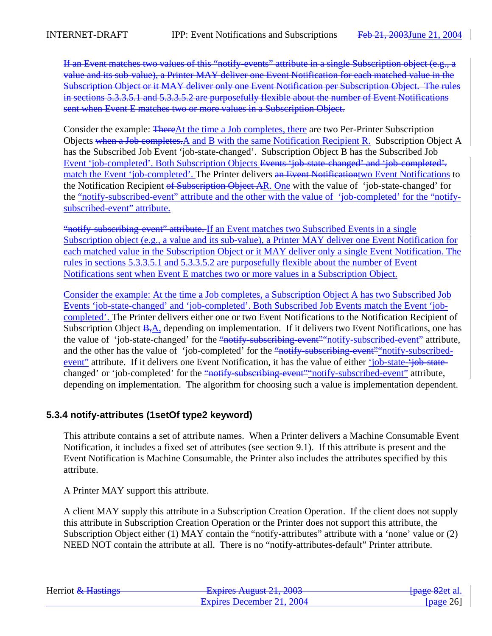If an Event matches two values of this "notify-events" attribute in a single Subscription object (e.g., a value and its sub-value), a Printer MAY deliver one Event Notification for each matched value in the Subscription Object or it MAY deliver only one Event Notification per Subscription Object. The rules in sections 5.3.3.5.1 and 5.3.3.5.2 are purposefully flexible about the number of Event Notifications sent when Event E matches two or more values in a Subscription Object.

Consider the example: ThereAt the time a Job completes, there are two Per-Printer Subscription Objects when a Job completes. A and B with the same Notification Recipient R. Subscription Object A has the Subscribed Job Event 'job-state-changed'. Subscription Object B has the Subscribed Job Event 'job-completed'. Both Subscription Objects Events 'job-state-changed' and 'job-completed'. match the Event 'job-completed'. The Printer delivers an Event Notification two Event Notifications to the Notification Recipient of Subscription Object AR. One with the value of 'job-state-changed' for the "notify-subscribed-event" attribute and the other with the value of 'job-completed' for the "notifysubscribed-event" attribute.

"notify-subscribing-event" attribute. If an Event matches two Subscribed Events in a single Subscription object (e.g., a value and its sub-value), a Printer MAY deliver one Event Notification for each matched value in the Subscription Object or it MAY deliver only a single Event Notification. The rules in sections 5.3.3.5.1 and 5.3.3.5.2 are purposefully flexible about the number of Event Notifications sent when Event E matches two or more values in a Subscription Object.

Consider the example: At the time a Job completes, a Subscription Object A has two Subscribed Job Events 'job-state-changed' and 'job-completed'. Both Subscribed Job Events match the Event 'jobcompleted'. The Printer delivers either one or two Event Notifications to the Notification Recipient of Subscription Object B,A, depending on implementation. If it delivers two Event Notifications, one has the value of 'job-state-changed' for the "notify-subscribing-event" notify-subscribed-event" attribute, and the other has the value of 'job-completed' for the "notify-subscribing-event" notify-subscribedevent" attribute. If it delivers one Event Notification, it has the value of either 'job-state-'job-statechanged' or 'job-completed' for the "notify-subscribing-event" notify-subscribed-event" attribute, depending on implementation. The algorithm for choosing such a value is implementation dependent.

# **5.3.4 notify-attributes (1setOf type2 keyword)**

This attribute contains a set of attribute names. When a Printer delivers a Machine Consumable Event Notification, it includes a fixed set of attributes (see section 9.1). If this attribute is present and the Event Notification is Machine Consumable, the Printer also includes the attributes specified by this attribute.

A Printer MAY support this attribute.

A client MAY supply this attribute in a Subscription Creation Operation. If the client does not supply this attribute in Subscription Creation Operation or the Printer does not support this attribute, the Subscription Object either (1) MAY contain the "notify-attributes" attribute with a 'none' value or (2) NEED NOT contain the attribute at all. There is no "notify-attributes-default" Printer attribute.

| Herriot & Hastings | Evoirag August $21, 2002$<br><del>12 2003 August 21, 2003</del> | <del>-[page 82</del> et al. |
|--------------------|-----------------------------------------------------------------|-----------------------------|
|                    | Expires December 21, 2004                                       | [ $page 26$ ]               |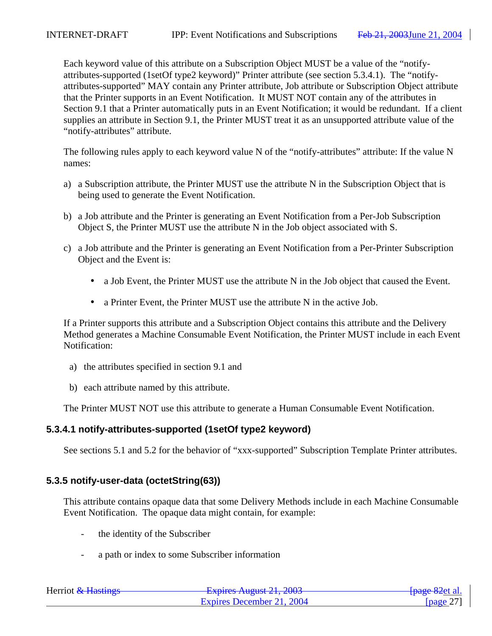Each keyword value of this attribute on a Subscription Object MUST be a value of the "notifyattributes-supported (1setOf type2 keyword)" Printer attribute (see section 5.3.4.1). The "notifyattributes-supported" MAY contain any Printer attribute, Job attribute or Subscription Object attribute that the Printer supports in an Event Notification. It MUST NOT contain any of the attributes in Section 9.1 that a Printer automatically puts in an Event Notification; it would be redundant. If a client supplies an attribute in Section 9.1, the Printer MUST treat it as an unsupported attribute value of the "notify-attributes" attribute.

The following rules apply to each keyword value N of the "notify-attributes" attribute: If the value N names:

- a) a Subscription attribute, the Printer MUST use the attribute N in the Subscription Object that is being used to generate the Event Notification.
- b) a Job attribute and the Printer is generating an Event Notification from a Per-Job Subscription Object S, the Printer MUST use the attribute N in the Job object associated with S.
- c) a Job attribute and the Printer is generating an Event Notification from a Per-Printer Subscription Object and the Event is:
	- a Job Event, the Printer MUST use the attribute N in the Job object that caused the Event.
	- a Printer Event, the Printer MUST use the attribute N in the active Job.

If a Printer supports this attribute and a Subscription Object contains this attribute and the Delivery Method generates a Machine Consumable Event Notification, the Printer MUST include in each Event Notification:

- a) the attributes specified in section 9.1 and
- b) each attribute named by this attribute.

The Printer MUST NOT use this attribute to generate a Human Consumable Event Notification.

#### **5.3.4.1 notify-attributes-supported (1setOf type2 keyword)**

See sections 5.1 and 5.2 for the behavior of "xxx-supported" Subscription Template Printer attributes.

#### **5.3.5 notify-user-data (octetString(63))**

This attribute contains opaque data that some Delivery Methods include in each Machine Consumable Event Notification. The opaque data might contain, for example:

- the identity of the Subscriber
- a path or index to some Subscriber information

| Herriot & Hastings | Evoirag August $21.2002$<br><b>LAPITUS TYUZUST 41, 400J</b> | <del>[page 82</del> et al.] |
|--------------------|-------------------------------------------------------------|-----------------------------|
|                    | Expires December 21, 2004                                   | [ $page 27$ ]               |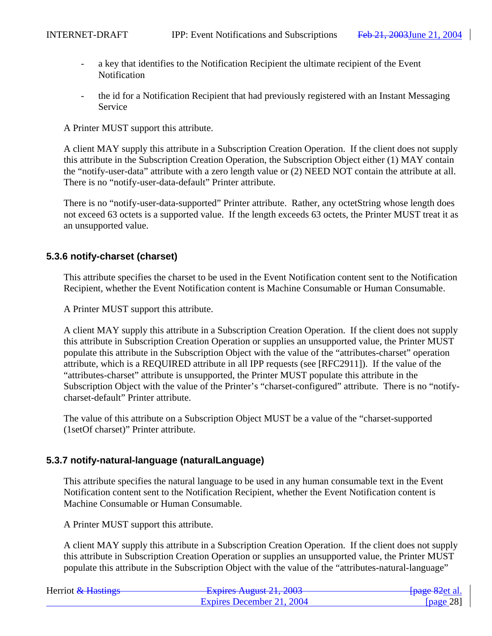- a key that identifies to the Notification Recipient the ultimate recipient of the Event Notification
- the id for a Notification Recipient that had previously registered with an Instant Messaging Service

A Printer MUST support this attribute.

A client MAY supply this attribute in a Subscription Creation Operation. If the client does not supply this attribute in the Subscription Creation Operation, the Subscription Object either (1) MAY contain the "notify-user-data" attribute with a zero length value or (2) NEED NOT contain the attribute at all. There is no "notify-user-data-default" Printer attribute.

There is no "notify-user-data-supported" Printer attribute. Rather, any octetString whose length does not exceed 63 octets is a supported value. If the length exceeds 63 octets, the Printer MUST treat it as an unsupported value.

# **5.3.6 notify-charset (charset)**

This attribute specifies the charset to be used in the Event Notification content sent to the Notification Recipient, whether the Event Notification content is Machine Consumable or Human Consumable.

A Printer MUST support this attribute.

A client MAY supply this attribute in a Subscription Creation Operation. If the client does not supply this attribute in Subscription Creation Operation or supplies an unsupported value, the Printer MUST populate this attribute in the Subscription Object with the value of the "attributes-charset" operation attribute, which is a REQUIRED attribute in all IPP requests (see [RFC2911]). If the value of the "attributes-charset" attribute is unsupported, the Printer MUST populate this attribute in the Subscription Object with the value of the Printer's "charset-configured" attribute. There is no "notifycharset-default" Printer attribute.

The value of this attribute on a Subscription Object MUST be a value of the "charset-supported (1setOf charset)" Printer attribute.

# **5.3.7 notify-natural-language (naturalLanguage)**

This attribute specifies the natural language to be used in any human consumable text in the Event Notification content sent to the Notification Recipient, whether the Event Notification content is Machine Consumable or Human Consumable.

A Printer MUST support this attribute.

A client MAY supply this attribute in a Subscription Creation Operation. If the client does not supply this attribute in Subscription Creation Operation or supplies an unsupported value, the Printer MUST populate this attribute in the Subscription Object with the value of the "attributes-natural-language"

| Herriot & Hastings | Evoiras August $21, 2002$<br>$\frac{1}{4}$ LADII VS Truguot $21, 2005$ | <del>[page 82</del> et al. |
|--------------------|------------------------------------------------------------------------|----------------------------|
|                    | Expires December 21, 2004                                              | [ $page 28$ ]              |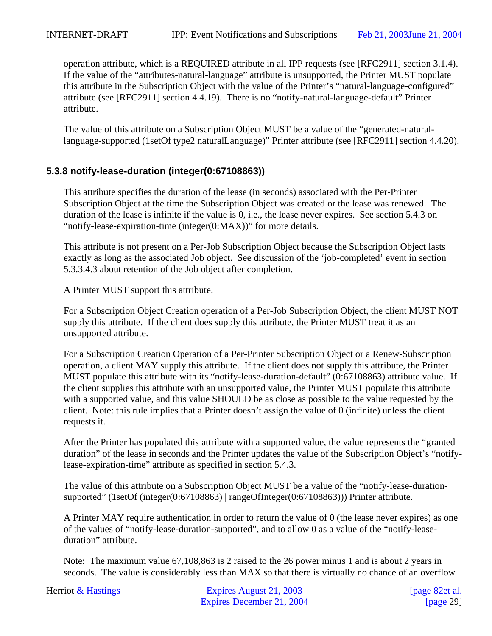operation attribute, which is a REQUIRED attribute in all IPP requests (see [RFC2911] section 3.1.4). If the value of the "attributes-natural-language" attribute is unsupported, the Printer MUST populate this attribute in the Subscription Object with the value of the Printer's "natural-language-configured" attribute (see [RFC2911] section 4.4.19). There is no "notify-natural-language-default" Printer attribute.

The value of this attribute on a Subscription Object MUST be a value of the "generated-naturallanguage-supported (1setOf type2 naturalLanguage)" Printer attribute (see [RFC2911] section 4.4.20).

# **5.3.8 notify-lease-duration (integer(0:67108863))**

This attribute specifies the duration of the lease (in seconds) associated with the Per-Printer Subscription Object at the time the Subscription Object was created or the lease was renewed. The duration of the lease is infinite if the value is 0, i.e., the lease never expires. See section 5.4.3 on "notify-lease-expiration-time (integer(0:MAX))" for more details.

This attribute is not present on a Per-Job Subscription Object because the Subscription Object lasts exactly as long as the associated Job object. See discussion of the 'job-completed' event in section 5.3.3.4.3 about retention of the Job object after completion.

A Printer MUST support this attribute.

For a Subscription Object Creation operation of a Per-Job Subscription Object, the client MUST NOT supply this attribute. If the client does supply this attribute, the Printer MUST treat it as an unsupported attribute.

For a Subscription Creation Operation of a Per-Printer Subscription Object or a Renew-Subscription operation, a client MAY supply this attribute. If the client does not supply this attribute, the Printer MUST populate this attribute with its "notify-lease-duration-default" (0:67108863) attribute value. If the client supplies this attribute with an unsupported value, the Printer MUST populate this attribute with a supported value, and this value SHOULD be as close as possible to the value requested by the client. Note: this rule implies that a Printer doesn't assign the value of 0 (infinite) unless the client requests it.

After the Printer has populated this attribute with a supported value, the value represents the "granted duration" of the lease in seconds and the Printer updates the value of the Subscription Object's "notifylease-expiration-time" attribute as specified in section 5.4.3.

The value of this attribute on a Subscription Object MUST be a value of the "notify-lease-durationsupported" (1setOf (integer(0:67108863) | rangeOfInteger(0:67108863))) Printer attribute.

A Printer MAY require authentication in order to return the value of 0 (the lease never expires) as one of the values of "notify-lease-duration-supported", and to allow 0 as a value of the "notify-leaseduration" attribute.

Note: The maximum value 67,108,863 is 2 raised to the 26 power minus 1 and is about 2 years in seconds. The value is considerably less than MAX so that there is virtually no chance of an overflow

| Herriot & Hastings | Evoirag August $21,2002$<br><b>LAURO AUZUM 41, 400J</b> | <del>[page 82</del> et al. |
|--------------------|---------------------------------------------------------|----------------------------|
|                    | Expires December 21, 2004                               | [page 29]                  |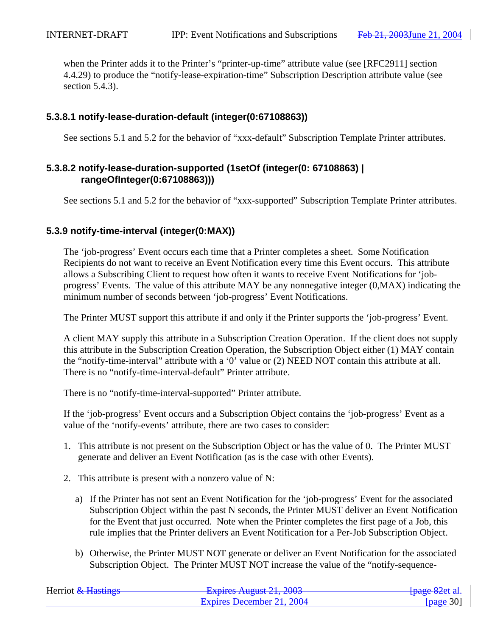when the Printer adds it to the Printer's "printer-up-time" attribute value (see [RFC2911] section 4.4.29) to produce the "notify-lease-expiration-time" Subscription Description attribute value (see section 5.4.3).

## **5.3.8.1 notify-lease-duration-default (integer(0:67108863))**

See sections 5.1 and 5.2 for the behavior of "xxx-default" Subscription Template Printer attributes.

# **5.3.8.2 notify-lease-duration-supported (1setOf (integer(0: 67108863) | rangeOfInteger(0:67108863)))**

See sections 5.1 and 5.2 for the behavior of "xxx-supported" Subscription Template Printer attributes.

# **5.3.9 notify-time-interval (integer(0:MAX))**

The 'job-progress' Event occurs each time that a Printer completes a sheet. Some Notification Recipients do not want to receive an Event Notification every time this Event occurs. This attribute allows a Subscribing Client to request how often it wants to receive Event Notifications for 'jobprogress' Events. The value of this attribute MAY be any nonnegative integer (0,MAX) indicating the minimum number of seconds between 'job-progress' Event Notifications.

The Printer MUST support this attribute if and only if the Printer supports the 'job-progress' Event.

A client MAY supply this attribute in a Subscription Creation Operation. If the client does not supply this attribute in the Subscription Creation Operation, the Subscription Object either (1) MAY contain the "notify-time-interval" attribute with a '0' value or (2) NEED NOT contain this attribute at all. There is no "notify-time-interval-default" Printer attribute.

There is no "notify-time-interval-supported" Printer attribute.

If the 'job-progress' Event occurs and a Subscription Object contains the 'job-progress' Event as a value of the 'notify-events' attribute, there are two cases to consider:

- 1. This attribute is not present on the Subscription Object or has the value of 0. The Printer MUST generate and deliver an Event Notification (as is the case with other Events).
- 2. This attribute is present with a nonzero value of N:
	- a) If the Printer has not sent an Event Notification for the 'job-progress' Event for the associated Subscription Object within the past N seconds, the Printer MUST deliver an Event Notification for the Event that just occurred. Note when the Printer completes the first page of a Job, this rule implies that the Printer delivers an Event Notification for a Per-Job Subscription Object.
	- b) Otherwise, the Printer MUST NOT generate or deliver an Event Notification for the associated Subscription Object. The Printer MUST NOT increase the value of the "notify-sequence-

| Herriot & Hastings | Evnirac August 21, 2003<br>$\frac{1}{4}$ LADII VS Truguot $\frac{1}{4}$ , $\frac{1}{4}$ | <del>[page 82</del> et al. |
|--------------------|-----------------------------------------------------------------------------------------|----------------------------|
|                    | Expires December 21, 2004                                                               | [ $page 30$ ]              |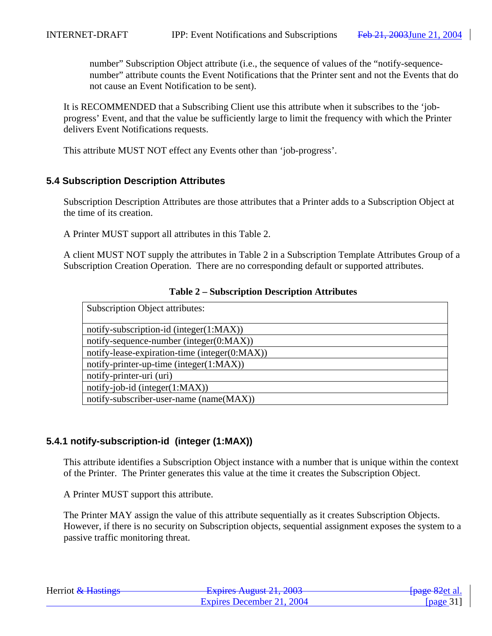number" Subscription Object attribute (i.e., the sequence of values of the "notify-sequencenumber" attribute counts the Event Notifications that the Printer sent and not the Events that do not cause an Event Notification to be sent).

It is RECOMMENDED that a Subscribing Client use this attribute when it subscribes to the 'jobprogress' Event, and that the value be sufficiently large to limit the frequency with which the Printer delivers Event Notifications requests.

This attribute MUST NOT effect any Events other than 'job-progress'.

# **5.4 Subscription Description Attributes**

Subscription Description Attributes are those attributes that a Printer adds to a Subscription Object at the time of its creation.

A Printer MUST support all attributes in this Table 2.

A client MUST NOT supply the attributes in Table 2 in a Subscription Template Attributes Group of a Subscription Creation Operation. There are no corresponding default or supported attributes.

| <b>Subscription Object attributes:</b>        |
|-----------------------------------------------|
|                                               |
| notify-subscription-id (integer(1:MAX))       |
| notify-sequence-number (integer(0:MAX))       |
| notify-lease-expiration-time (integer(0:MAX)) |
| notify-printer-up-time (integer(1:MAX))       |
| notify-printer-uri (uri)                      |
| $notify-job-id (integer(1:MAX))$              |
| notify-subscriber-user-name (name(MAX))       |

### **Table 2 – Subscription Description Attributes**

# **5.4.1 notify-subscription-id (integer (1:MAX))**

This attribute identifies a Subscription Object instance with a number that is unique within the context of the Printer. The Printer generates this value at the time it creates the Subscription Object.

A Printer MUST support this attribute.

The Printer MAY assign the value of this attribute sequentially as it creates Subscription Objects. However, if there is no security on Subscription objects, sequential assignment exposes the system to a passive traffic monitoring threat.

| Herriot & Hastings | Evnirac August 21, 2002<br><b>LAURO AUZUM 21, 2005</b> | <del>[page 82</del> et al. |
|--------------------|--------------------------------------------------------|----------------------------|
|                    | Expires December 21, 2004                              | [page $31$ ]               |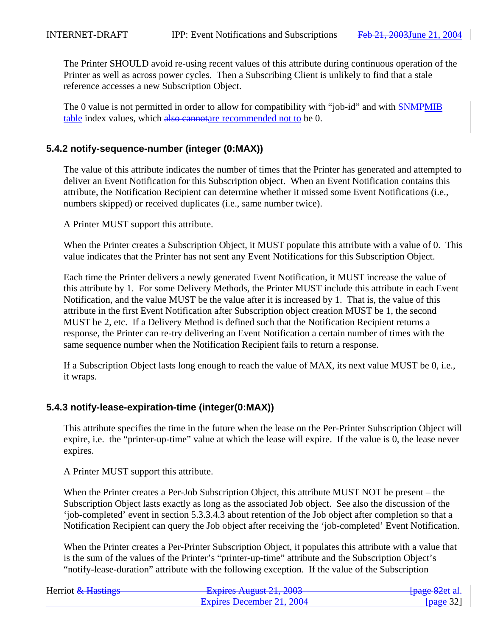The Printer SHOULD avoid re-using recent values of this attribute during continuous operation of the Printer as well as across power cycles. Then a Subscribing Client is unlikely to find that a stale reference accesses a new Subscription Object.

The 0 value is not permitted in order to allow for compatibility with "job-id" and with **SNMPMIB** table index values, which also cannotare recommended not to be 0.

# **5.4.2 notify-sequence-number (integer (0:MAX))**

The value of this attribute indicates the number of times that the Printer has generated and attempted to deliver an Event Notification for this Subscription object. When an Event Notification contains this attribute, the Notification Recipient can determine whether it missed some Event Notifications (i.e., numbers skipped) or received duplicates (i.e., same number twice).

A Printer MUST support this attribute.

When the Printer creates a Subscription Object, it MUST populate this attribute with a value of 0. This value indicates that the Printer has not sent any Event Notifications for this Subscription Object.

Each time the Printer delivers a newly generated Event Notification, it MUST increase the value of this attribute by 1. For some Delivery Methods, the Printer MUST include this attribute in each Event Notification, and the value MUST be the value after it is increased by 1. That is, the value of this attribute in the first Event Notification after Subscription object creation MUST be 1, the second MUST be 2, etc. If a Delivery Method is defined such that the Notification Recipient returns a response, the Printer can re-try delivering an Event Notification a certain number of times with the same sequence number when the Notification Recipient fails to return a response.

If a Subscription Object lasts long enough to reach the value of MAX, its next value MUST be 0, i.e., it wraps.

# **5.4.3 notify-lease-expiration-time (integer(0:MAX))**

This attribute specifies the time in the future when the lease on the Per-Printer Subscription Object will expire, i.e. the "printer-up-time" value at which the lease will expire. If the value is 0, the lease never expires.

A Printer MUST support this attribute.

When the Printer creates a Per-Job Subscription Object, this attribute MUST NOT be present – the Subscription Object lasts exactly as long as the associated Job object. See also the discussion of the 'job-completed' event in section 5.3.3.4.3 about retention of the Job object after completion so that a Notification Recipient can query the Job object after receiving the 'job-completed' Event Notification.

When the Printer creates a Per-Printer Subscription Object, it populates this attribute with a value that is the sum of the values of the Printer's "printer-up-time" attribute and the Subscription Object's "notify-lease-duration" attribute with the following exception. If the value of the Subscription

| Herriot & Hastings | Evnirac August 21, 2003<br>$\frac{1}{2}$ LADII CO THE THE TOULET | <del>- [page 82</del> et al. |
|--------------------|------------------------------------------------------------------|------------------------------|
|                    | Expires December 21, 2004                                        | [ $page 32$ ]                |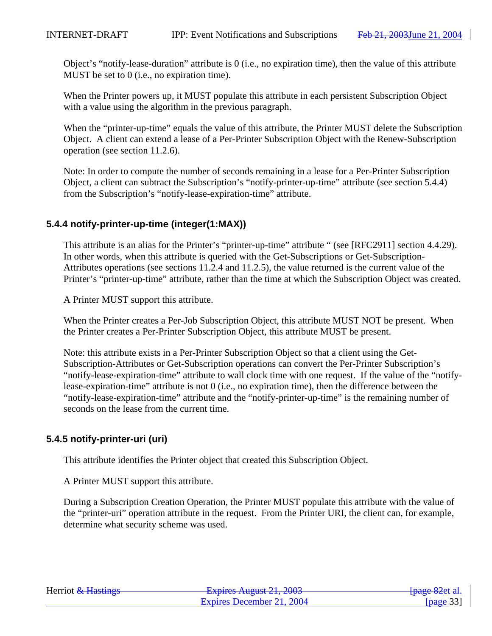Object's "notify-lease-duration" attribute is 0 (i.e., no expiration time), then the value of this attribute MUST be set to 0 (i.e., no expiration time).

When the Printer powers up, it MUST populate this attribute in each persistent Subscription Object with a value using the algorithm in the previous paragraph.

When the "printer-up-time" equals the value of this attribute, the Printer MUST delete the Subscription Object. A client can extend a lease of a Per-Printer Subscription Object with the Renew-Subscription operation (see section 11.2.6).

Note: In order to compute the number of seconds remaining in a lease for a Per-Printer Subscription Object, a client can subtract the Subscription's "notify-printer-up-time" attribute (see section 5.4.4) from the Subscription's "notify-lease-expiration-time" attribute.

# **5.4.4 notify-printer-up-time (integer(1:MAX))**

This attribute is an alias for the Printer's "printer-up-time" attribute " (see [RFC2911] section 4.4.29). In other words, when this attribute is queried with the Get-Subscriptions or Get-Subscription-Attributes operations (see sections 11.2.4 and 11.2.5), the value returned is the current value of the Printer's "printer-up-time" attribute, rather than the time at which the Subscription Object was created.

A Printer MUST support this attribute.

When the Printer creates a Per-Job Subscription Object, this attribute MUST NOT be present. When the Printer creates a Per-Printer Subscription Object, this attribute MUST be present.

Note: this attribute exists in a Per-Printer Subscription Object so that a client using the Get-Subscription-Attributes or Get-Subscription operations can convert the Per-Printer Subscription's "notify-lease-expiration-time" attribute to wall clock time with one request. If the value of the "notifylease-expiration-time" attribute is not 0 (i.e., no expiration time), then the difference between the "notify-lease-expiration-time" attribute and the "notify-printer-up-time" is the remaining number of seconds on the lease from the current time.

# **5.4.5 notify-printer-uri (uri)**

This attribute identifies the Printer object that created this Subscription Object.

A Printer MUST support this attribute.

During a Subscription Creation Operation, the Printer MUST populate this attribute with the value of the "printer-uri" operation attribute in the request. From the Printer URI, the client can, for example, determine what security scheme was used.

| Herriot & Hastings | Evoiras August 21, 2002<br>$\frac{1}{4}$ Laplitos Truguot 21, 2005 | <del>[page 82</del> et al.] |
|--------------------|--------------------------------------------------------------------|-----------------------------|
|                    | Expires December 21, 2004                                          | [ $page 33$ ]               |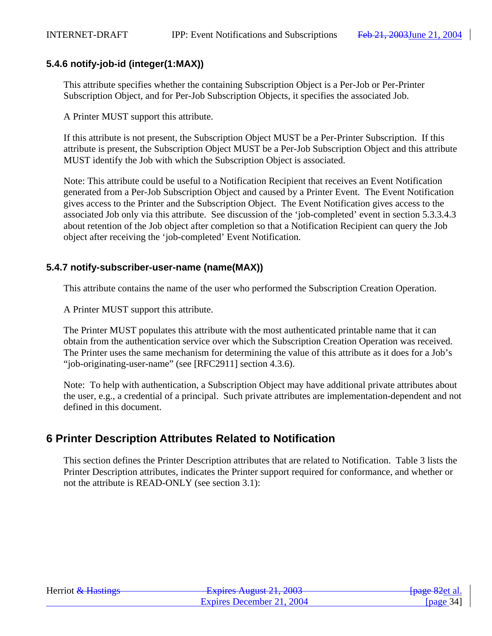# **5.4.6 notify-job-id (integer(1:MAX))**

This attribute specifies whether the containing Subscription Object is a Per-Job or Per-Printer Subscription Object, and for Per-Job Subscription Objects, it specifies the associated Job.

A Printer MUST support this attribute.

If this attribute is not present, the Subscription Object MUST be a Per-Printer Subscription. If this attribute is present, the Subscription Object MUST be a Per-Job Subscription Object and this attribute MUST identify the Job with which the Subscription Object is associated.

Note: This attribute could be useful to a Notification Recipient that receives an Event Notification generated from a Per-Job Subscription Object and caused by a Printer Event. The Event Notification gives access to the Printer and the Subscription Object. The Event Notification gives access to the associated Job only via this attribute. See discussion of the 'job-completed' event in section 5.3.3.4.3 about retention of the Job object after completion so that a Notification Recipient can query the Job object after receiving the 'job-completed' Event Notification.

# **5.4.7 notify-subscriber-user-name (name(MAX))**

This attribute contains the name of the user who performed the Subscription Creation Operation.

A Printer MUST support this attribute.

The Printer MUST populates this attribute with the most authenticated printable name that it can obtain from the authentication service over which the Subscription Creation Operation was received. The Printer uses the same mechanism for determining the value of this attribute as it does for a Job's "job-originating-user-name" (see [RFC2911] section 4.3.6).

Note: To help with authentication, a Subscription Object may have additional private attributes about the user, e.g., a credential of a principal. Such private attributes are implementation-dependent and not defined in this document.

# **6 Printer Description Attributes Related to Notification**

This section defines the Printer Description attributes that are related to Notification. Table 3 lists the Printer Description attributes, indicates the Printer support required for conformance, and whether or not the attribute is READ-ONLY (see section 3.1):

| Herriot & Hastings | Evoirag August $21, 2002$<br>$\frac{1}{4}$ Laplito Truguot 21, 2005 | <del>[page 82</del> et al. |
|--------------------|---------------------------------------------------------------------|----------------------------|
|                    | Expires December 21, 2004                                           | [ $page 34$ ]              |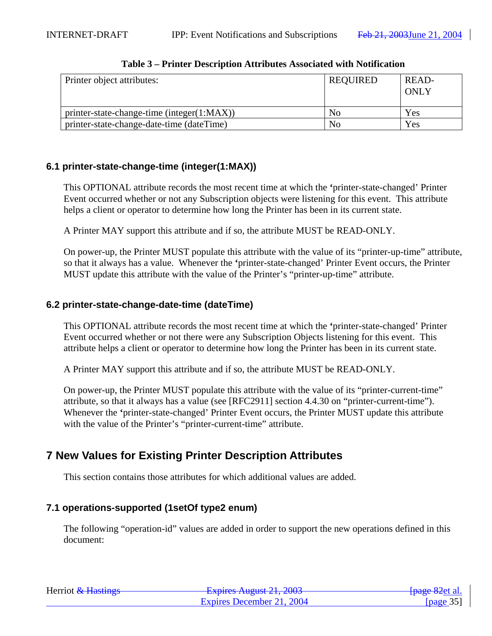| Printer object attributes:                 | <b>REQUIRED</b> | READ-<br>ONLY |
|--------------------------------------------|-----------------|---------------|
| printer-state-change-time (integer(1:MAX)) | N <sub>0</sub>  | Yes           |
| printer-state-change-date-time (dateTime)  | No              | Yes           |

#### **Table 3 – Printer Description Attributes Associated with Notification**

# **6.1 printer-state-change-time (integer(1:MAX))**

This OPTIONAL attribute records the most recent time at which the **'**printer-state-changed' Printer Event occurred whether or not any Subscription objects were listening for this event. This attribute helps a client or operator to determine how long the Printer has been in its current state.

A Printer MAY support this attribute and if so, the attribute MUST be READ-ONLY.

On power-up, the Printer MUST populate this attribute with the value of its "printer-up-time" attribute, so that it always has a value. Whenever the **'**printer-state-changed' Printer Event occurs, the Printer MUST update this attribute with the value of the Printer's "printer-up-time" attribute.

# **6.2 printer-state-change-date-time (dateTime)**

This OPTIONAL attribute records the most recent time at which the **'**printer-state-changed' Printer Event occurred whether or not there were any Subscription Objects listening for this event. This attribute helps a client or operator to determine how long the Printer has been in its current state.

A Printer MAY support this attribute and if so, the attribute MUST be READ-ONLY.

On power-up, the Printer MUST populate this attribute with the value of its "printer-current-time" attribute, so that it always has a value (see [RFC2911] section 4.4.30 on "printer-current-time"). Whenever the **'**printer-state-changed' Printer Event occurs, the Printer MUST update this attribute with the value of the Printer's "printer-current-time" attribute.

# **7 New Values for Existing Printer Description Attributes**

This section contains those attributes for which additional values are added.

# **7.1 operations-supported (1setOf type2 enum)**

The following "operation-id" values are added in order to support the new operations defined in this document:

| Herriot & Hastings | Evoiras August $21, 2002$<br>$\frac{1}{2}$ Laptics August 21, 2003 | <del>[page 82</del> et al. |
|--------------------|--------------------------------------------------------------------|----------------------------|
|                    | Expires December 21, 2004                                          | [page $35$ ]               |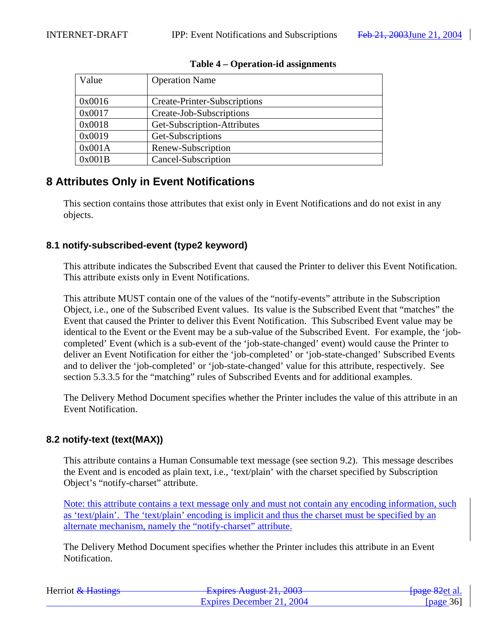| Value  | <b>Operation Name</b>               |
|--------|-------------------------------------|
|        |                                     |
| 0x0016 | <b>Create-Printer-Subscriptions</b> |
| 0x0017 | Create-Job-Subscriptions            |
| 0x0018 | Get-Subscription-Attributes         |
| 0x0019 | Get-Subscriptions                   |
| 0x001A | Renew-Subscription                  |
| 0x001B | Cancel-Subscription                 |

#### **Table 4 – Operation-id assignments**

# **8 Attributes Only in Event Notifications**

This section contains those attributes that exist only in Event Notifications and do not exist in any objects.

# **8.1 notify-subscribed-event (type2 keyword)**

This attribute indicates the Subscribed Event that caused the Printer to deliver this Event Notification. This attribute exists only in Event Notifications.

This attribute MUST contain one of the values of the "notify-events" attribute in the Subscription Object, i.e., one of the Subscribed Event values. Its value is the Subscribed Event that "matches" the Event that caused the Printer to deliver this Event Notification. This Subscribed Event value may be identical to the Event or the Event may be a sub-value of the Subscribed Event. For example, the 'jobcompleted' Event (which is a sub-event of the 'job-state-changed' event) would cause the Printer to deliver an Event Notification for either the 'job-completed' or 'job-state-changed' Subscribed Events and to deliver the 'job-completed' or 'job-state-changed' value for this attribute, respectively. See section 5.3.3.5 for the "matching" rules of Subscribed Events and for additional examples.

The Delivery Method Document specifies whether the Printer includes the value of this attribute in an Event Notification.

# **8.2 notify-text (text(MAX))**

This attribute contains a Human Consumable text message (see section 9.2). This message describes the Event and is encoded as plain text, i.e., 'text/plain' with the charset specified by Subscription Object's "notify-charset" attribute.

Note: this attribute contains a text message only and must not contain any encoding information, such as 'text/plain'. The 'text/plain' encoding is implicit and thus the charset must be specified by an alternate mechanism, namely the "notify-charset" attribute.

The Delivery Method Document specifies whether the Printer includes this attribute in an Event Notification.

| Herriot & Hastings | Evnirac August $21, 2002$<br><del>- Explics August 21, 2003</del> | <del>[page 82</del> et al. |
|--------------------|-------------------------------------------------------------------|----------------------------|
|                    | Expires December 21, 2004                                         | [ $page 36$ ]              |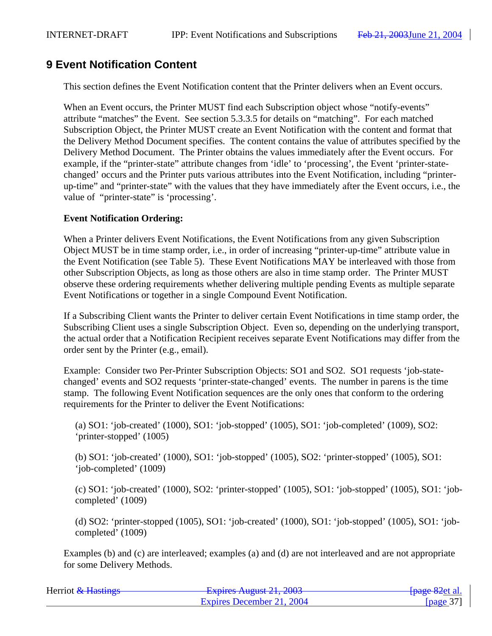# **9 Event Notification Content**

This section defines the Event Notification content that the Printer delivers when an Event occurs.

When an Event occurs, the Printer MUST find each Subscription object whose "notify-events" attribute "matches" the Event. See section 5.3.3.5 for details on "matching". For each matched Subscription Object, the Printer MUST create an Event Notification with the content and format that the Delivery Method Document specifies. The content contains the value of attributes specified by the Delivery Method Document. The Printer obtains the values immediately after the Event occurs. For example, if the "printer-state" attribute changes from 'idle' to 'processing', the Event 'printer-statechanged' occurs and the Printer puts various attributes into the Event Notification, including "printerup-time" and "printer-state" with the values that they have immediately after the Event occurs, i.e., the value of "printer-state" is 'processing'.

## **Event Notification Ordering:**

When a Printer delivers Event Notifications, the Event Notifications from any given Subscription Object MUST be in time stamp order, i.e., in order of increasing "printer-up-time" attribute value in the Event Notification (see Table 5). These Event Notifications MAY be interleaved with those from other Subscription Objects, as long as those others are also in time stamp order. The Printer MUST observe these ordering requirements whether delivering multiple pending Events as multiple separate Event Notifications or together in a single Compound Event Notification.

If a Subscribing Client wants the Printer to deliver certain Event Notifications in time stamp order, the Subscribing Client uses a single Subscription Object. Even so, depending on the underlying transport, the actual order that a Notification Recipient receives separate Event Notifications may differ from the order sent by the Printer (e.g., email).

Example: Consider two Per-Printer Subscription Objects: SO1 and SO2. SO1 requests 'job-statechanged' events and SO2 requests 'printer-state-changed' events. The number in parens is the time stamp. The following Event Notification sequences are the only ones that conform to the ordering requirements for the Printer to deliver the Event Notifications:

(a) SO1: 'job-created' (1000), SO1: 'job-stopped' (1005), SO1: 'job-completed' (1009), SO2: 'printer-stopped' (1005)

(b) SO1: 'job-created' (1000), SO1: 'job-stopped' (1005), SO2: 'printer-stopped' (1005), SO1: 'job-completed' (1009)

(c) SO1: 'job-created' (1000), SO2: 'printer-stopped' (1005), SO1: 'job-stopped' (1005), SO1: 'jobcompleted' (1009)

(d) SO2: 'printer-stopped (1005), SO1: 'job-created' (1000), SO1: 'job-stopped' (1005), SO1: 'jobcompleted' (1009)

Examples (b) and (c) are interleaved; examples (a) and (d) are not interleaved and are not appropriate for some Delivery Methods.

| Herriot & Hastings | Evoiras August $21, 2002$<br><b>LAPIIUS AUGUST 41, 400J</b> | <del>-[page 82</del> et al. |
|--------------------|-------------------------------------------------------------|-----------------------------|
|                    | Expires December 21, 2004                                   | [ $page 37$ ]               |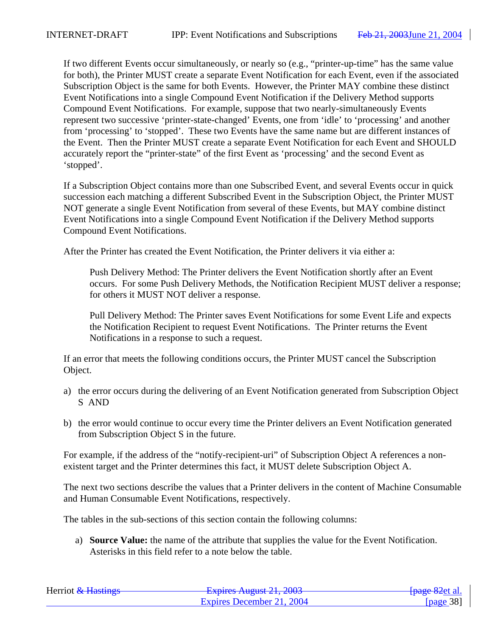If two different Events occur simultaneously, or nearly so (e.g., "printer-up-time" has the same value for both), the Printer MUST create a separate Event Notification for each Event, even if the associated Subscription Object is the same for both Events. However, the Printer MAY combine these distinct Event Notifications into a single Compound Event Notification if the Delivery Method supports Compound Event Notifications. For example, suppose that two nearly-simultaneously Events represent two successive 'printer-state-changed' Events, one from 'idle' to 'processing' and another from 'processing' to 'stopped'. These two Events have the same name but are different instances of the Event. Then the Printer MUST create a separate Event Notification for each Event and SHOULD accurately report the "printer-state" of the first Event as 'processing' and the second Event as 'stopped'.

If a Subscription Object contains more than one Subscribed Event, and several Events occur in quick succession each matching a different Subscribed Event in the Subscription Object, the Printer MUST NOT generate a single Event Notification from several of these Events, but MAY combine distinct Event Notifications into a single Compound Event Notification if the Delivery Method supports Compound Event Notifications.

After the Printer has created the Event Notification, the Printer delivers it via either a:

Push Delivery Method: The Printer delivers the Event Notification shortly after an Event occurs. For some Push Delivery Methods, the Notification Recipient MUST deliver a response; for others it MUST NOT deliver a response.

Pull Delivery Method: The Printer saves Event Notifications for some Event Life and expects the Notification Recipient to request Event Notifications. The Printer returns the Event Notifications in a response to such a request.

If an error that meets the following conditions occurs, the Printer MUST cancel the Subscription Object.

- a) the error occurs during the delivering of an Event Notification generated from Subscription Object S AND
- b) the error would continue to occur every time the Printer delivers an Event Notification generated from Subscription Object S in the future.

For example, if the address of the "notify-recipient-uri" of Subscription Object A references a nonexistent target and the Printer determines this fact, it MUST delete Subscription Object A.

The next two sections describe the values that a Printer delivers in the content of Machine Consumable and Human Consumable Event Notifications, respectively.

The tables in the sub-sections of this section contain the following columns:

a) **Source Value:** the name of the attribute that supplies the value for the Event Notification. Asterisks in this field refer to a note below the table.

| Herriot & Hastings | Evnirac August $21, 2002$<br><del>Laphes August 21, 2003</del> | <del>[page 82</del> et al. |
|--------------------|----------------------------------------------------------------|----------------------------|
|                    | Expires December 21, 2004                                      | [ $page 38$ ]              |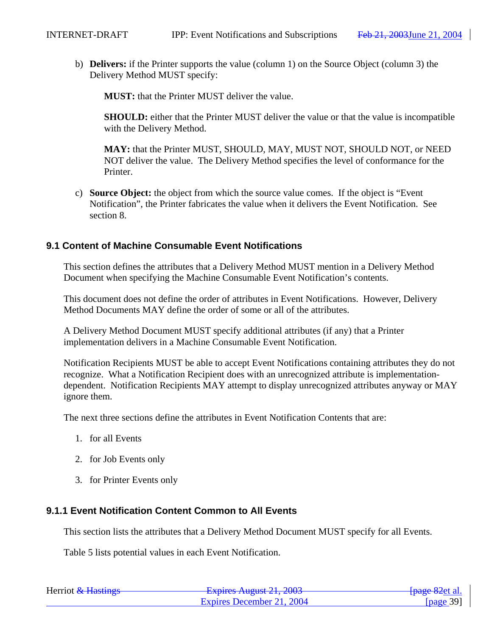b) **Delivers:** if the Printer supports the value (column 1) on the Source Object (column 3) the Delivery Method MUST specify:

**MUST:** that the Printer MUST deliver the value.

**SHOULD:** either that the Printer MUST deliver the value or that the value is incompatible with the Delivery Method.

**MAY:** that the Printer MUST, SHOULD, MAY, MUST NOT, SHOULD NOT, or NEED NOT deliver the value. The Delivery Method specifies the level of conformance for the Printer.

c) **Source Object:** the object from which the source value comes. If the object is "Event Notification", the Printer fabricates the value when it delivers the Event Notification. See section 8.

## **9.1 Content of Machine Consumable Event Notifications**

This section defines the attributes that a Delivery Method MUST mention in a Delivery Method Document when specifying the Machine Consumable Event Notification's contents.

This document does not define the order of attributes in Event Notifications. However, Delivery Method Documents MAY define the order of some or all of the attributes.

A Delivery Method Document MUST specify additional attributes (if any) that a Printer implementation delivers in a Machine Consumable Event Notification.

Notification Recipients MUST be able to accept Event Notifications containing attributes they do not recognize. What a Notification Recipient does with an unrecognized attribute is implementationdependent. Notification Recipients MAY attempt to display unrecognized attributes anyway or MAY ignore them.

The next three sections define the attributes in Event Notification Contents that are:

- 1. for all Events
- 2. for Job Events only
- 3. for Printer Events only

## **9.1.1 Event Notification Content Common to All Events**

This section lists the attributes that a Delivery Method Document MUST specify for all Events.

Table 5 lists potential values in each Event Notification.

| Herriot & Hastings | Evoirag August $21, 2002$<br>$T_{\text{APHCS Tugldot } 21, 2003$ | <del>-[page 82</del> et al. |
|--------------------|------------------------------------------------------------------|-----------------------------|
|                    | Expires December 21, 2004                                        | [ $page 39$ ]               |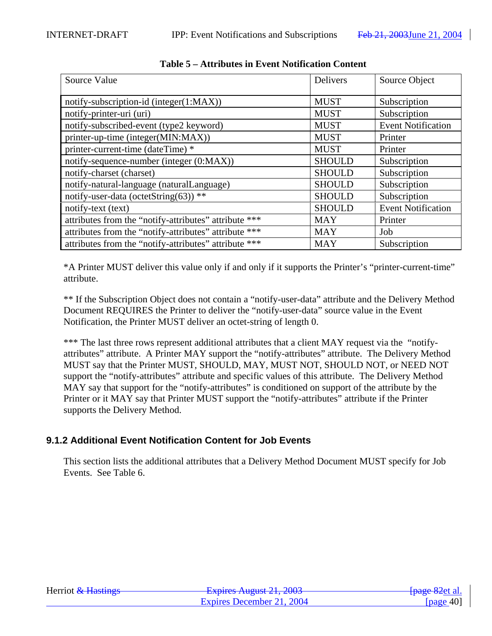| Source Value                                          | Delivers      | Source Object             |
|-------------------------------------------------------|---------------|---------------------------|
| notify-subscription-id (integer(1:MAX))               | <b>MUST</b>   | Subscription              |
| notify-printer-uri (uri)                              | <b>MUST</b>   | Subscription              |
| notify-subscribed-event (type2 keyword)               | <b>MUST</b>   | <b>Event Notification</b> |
| printer-up-time (integer(MIN:MAX))                    | <b>MUST</b>   | Printer                   |
| printer-current-time (dateTime) *                     | <b>MUST</b>   | Printer                   |
| notify-sequence-number (integer (0:MAX))              | <b>SHOULD</b> | Subscription              |
| notify-charset (charset)                              | <b>SHOULD</b> | Subscription              |
| notify-natural-language (naturalLanguage)             | <b>SHOULD</b> | Subscription              |
| notify-user-data (octetString(63)) **                 | <b>SHOULD</b> | Subscription              |
| notify-text (text)                                    | <b>SHOULD</b> | <b>Event Notification</b> |
| attributes from the "notify-attributes" attribute *** | <b>MAY</b>    | Printer                   |
| attributes from the "notify-attributes" attribute *** | <b>MAY</b>    | Job                       |
| attributes from the "notify-attributes" attribute *** | <b>MAY</b>    | Subscription              |

**Table 5 – Attributes in Event Notification Content**

\*A Printer MUST deliver this value only if and only if it supports the Printer's "printer-current-time" attribute.

\*\* If the Subscription Object does not contain a "notify-user-data" attribute and the Delivery Method Document REQUIRES the Printer to deliver the "notify-user-data" source value in the Event Notification, the Printer MUST deliver an octet-string of length 0.

\*\*\* The last three rows represent additional attributes that a client MAY request via the "notifyattributes" attribute. A Printer MAY support the "notify-attributes" attribute. The Delivery Method MUST say that the Printer MUST, SHOULD, MAY, MUST NOT, SHOULD NOT, or NEED NOT support the "notify-attributes" attribute and specific values of this attribute. The Delivery Method MAY say that support for the "notify-attributes" is conditioned on support of the attribute by the Printer or it MAY say that Printer MUST support the "notify-attributes" attribute if the Printer supports the Delivery Method.

# **9.1.2 Additional Event Notification Content for Job Events**

This section lists the additional attributes that a Delivery Method Document MUST specify for Job Events. See Table 6.

| Herriot & Hastings | $Evariance \Lambda1$ and $21.2002$<br>$\frac{1}{4}$ Laplitos Truguot 21, 2005 | <del>[page 82</del> et al. |
|--------------------|-------------------------------------------------------------------------------|----------------------------|
|                    | Expires December 21, 2004                                                     | [ $page 40$ ]              |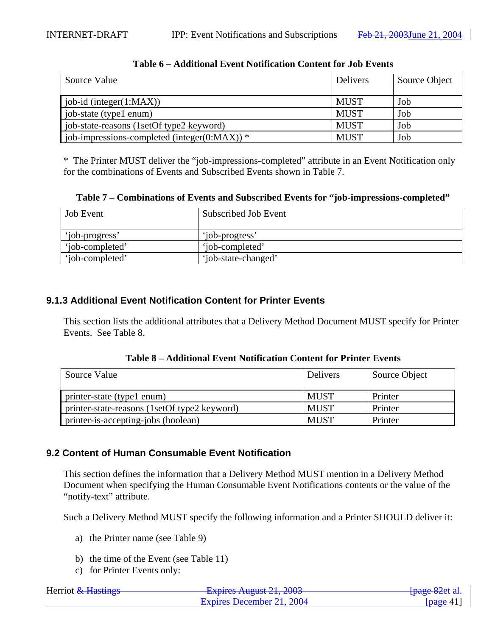| Source Value                                       | <b>Delivers</b> | Source Object |
|----------------------------------------------------|-----------------|---------------|
| job-id (integer $(1:MAX)$ )                        | <b>MUST</b>     | Job           |
| job-state (type1 enum)                             | <b>MUST</b>     | Job           |
| job-state-reasons (1setOf type2 keyword)           | <b>MUST</b>     | Job           |
| job-impressions-completed (integer( $0:MAX$ )) $*$ | <b>MUST</b>     | Job           |

## **Table 6 – Additional Event Notification Content for Job Events**

\* The Printer MUST deliver the "job-impressions-completed" attribute in an Event Notification only for the combinations of Events and Subscribed Events shown in Table 7.

**Table 7 – Combinations of Events and Subscribed Events for "job-impressions-completed"**

| <b>Job</b> Event | Subscribed Job Event |
|------------------|----------------------|
| 'iob-progress'   | 'job-progress'       |
| 'iob-completed'  | 'iob-completed'      |
| 'iob-completed'  | 'iob-state-changed'  |

# **9.1.3 Additional Event Notification Content for Printer Events**

This section lists the additional attributes that a Delivery Method Document MUST specify for Printer Events. See Table 8.

|  |  | Table 8 – Additional Event Notification Content for Printer Events |
|--|--|--------------------------------------------------------------------|
|--|--|--------------------------------------------------------------------|

| Source Value                                 | <b>Delivers</b> | Source Object |
|----------------------------------------------|-----------------|---------------|
| printer-state (type1 enum)                   | <b>MUST</b>     | Printer       |
| printer-state-reasons (1setOf type2 keyword) | <b>MUST</b>     | Printer       |
| printer-is-accepting-jobs (boolean)          | <b>MUST</b>     | Printer       |

## **9.2 Content of Human Consumable Event Notification**

This section defines the information that a Delivery Method MUST mention in a Delivery Method Document when specifying the Human Consumable Event Notifications contents or the value of the "notify-text" attribute.

Such a Delivery Method MUST specify the following information and a Printer SHOULD deliver it:

- a) the Printer name (see Table 9)
- b) the time of the Event (see Table 11)
- c) for Printer Events only:

| Herriot & Hastings | Evoiras August 21, 2003<br><b>LAPITUS TYUZUST 41, 400J</b> | <del>[page 82</del> et al. |
|--------------------|------------------------------------------------------------|----------------------------|
|                    | Expires December 21, 2004                                  | [page 41]                  |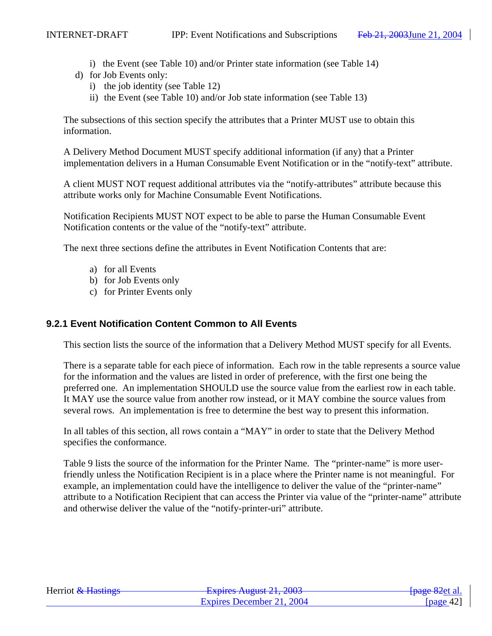- i) the Event (see Table 10) and/or Printer state information (see Table 14)
- d) for Job Events only:
	- i) the job identity (see Table 12)
	- ii) the Event (see Table 10) and/or Job state information (see Table 13)

The subsections of this section specify the attributes that a Printer MUST use to obtain this information.

A Delivery Method Document MUST specify additional information (if any) that a Printer implementation delivers in a Human Consumable Event Notification or in the "notify-text" attribute.

A client MUST NOT request additional attributes via the "notify-attributes" attribute because this attribute works only for Machine Consumable Event Notifications.

Notification Recipients MUST NOT expect to be able to parse the Human Consumable Event Notification contents or the value of the "notify-text" attribute.

The next three sections define the attributes in Event Notification Contents that are:

- a) for all Events
- b) for Job Events only
- c) for Printer Events only

### **9.2.1 Event Notification Content Common to All Events**

This section lists the source of the information that a Delivery Method MUST specify for all Events.

There is a separate table for each piece of information. Each row in the table represents a source value for the information and the values are listed in order of preference, with the first one being the preferred one. An implementation SHOULD use the source value from the earliest row in each table. It MAY use the source value from another row instead, or it MAY combine the source values from several rows. An implementation is free to determine the best way to present this information.

In all tables of this section, all rows contain a "MAY" in order to state that the Delivery Method specifies the conformance.

Table 9 lists the source of the information for the Printer Name. The "printer-name" is more userfriendly unless the Notification Recipient is in a place where the Printer name is not meaningful. For example, an implementation could have the intelligence to deliver the value of the "printer-name" attribute to a Notification Recipient that can access the Printer via value of the "printer-name" attribute and otherwise deliver the value of the "notify-printer-uri" attribute.

| Herriot & Hastings | Evolved August $21,2002$<br><b>LAPITUS TYUZUST 41, 400J</b> | <del>[page 82</del> et al. |
|--------------------|-------------------------------------------------------------|----------------------------|
|                    | Expires December 21, 2004                                   | [ $page 42$ ]              |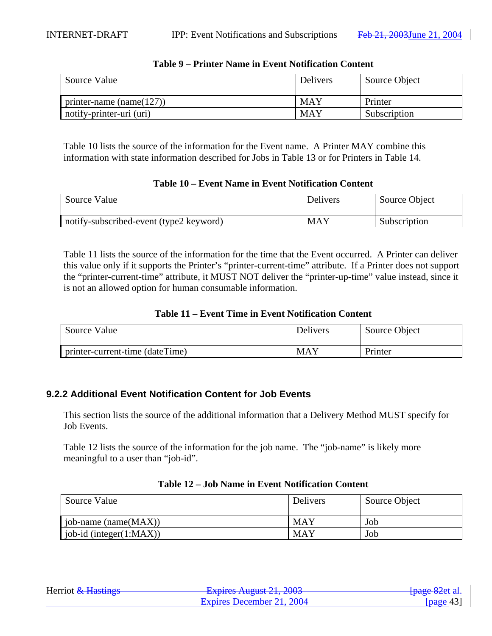| Source Value                 | Delivers   | Source Object |
|------------------------------|------------|---------------|
| printer-name (name $(127)$ ) | MAY        | Printer       |
| notify-printer-uri (uri)     | <b>MAY</b> | Subscription  |

### **Table 9 – Printer Name in Event Notification Content**

Table 10 lists the source of the information for the Event name. A Printer MAY combine this information with state information described for Jobs in Table 13 or for Printers in Table 14.

### **Table 10 – Event Name in Event Notification Content**

| Source Value                            | Delivers   | Source Object |
|-----------------------------------------|------------|---------------|
| notify-subscribed-event (type2 keyword) | <b>MAY</b> | Subscription  |

Table 11 lists the source of the information for the time that the Event occurred. A Printer can deliver this value only if it supports the Printer's "printer-current-time" attribute. If a Printer does not support the "printer-current-time" attribute, it MUST NOT deliver the "printer-up-time" value instead, since it is not an allowed option for human consumable information.

### **Table 11 – Event Time in Event Notification Content**

| Source Value                    | Delivers | Source Object |
|---------------------------------|----------|---------------|
| printer-current-time (dateTime) | MAY      | Printer       |

## **9.2.2 Additional Event Notification Content for Job Events**

This section lists the source of the additional information that a Delivery Method MUST specify for Job Events.

Table 12 lists the source of the information for the job name. The "job-name" is likely more meaningful to a user than "job-id".

| Source Value              | <b>Delivers</b> | Source Object |
|---------------------------|-----------------|---------------|
| job-name (name $(MAX)$ )  | <b>MAY</b>      | Job           |
| $job-id$ (integer(1:MAX)) | <b>MAY</b>      | Job           |

### **Table 12 – Job Name in Event Notification Content**

| Herriot & Hastings | Evoires August $21.2002$<br><b>LAPINS AUGUST 21, 2005</b> | <del>[page 82</del> et al. |
|--------------------|-----------------------------------------------------------|----------------------------|
|                    | Expires December 21, 2004                                 | [page 43]                  |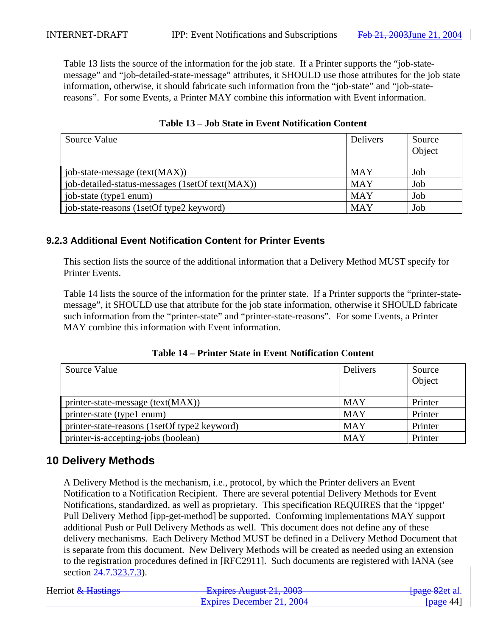Table 13 lists the source of the information for the job state. If a Printer supports the "job-statemessage" and "job-detailed-state-message" attributes, it SHOULD use those attributes for the job state information, otherwise, it should fabricate such information from the "job-state" and "job-statereasons". For some Events, a Printer MAY combine this information with Event information.

| Source Value                                    | Delivers   | Source<br>Object |
|-------------------------------------------------|------------|------------------|
| $\phi$ job-state-message (text(MAX))            | <b>MAY</b> | Job              |
| job-detailed-status-messages (1setOf text(MAX)) | <b>MAY</b> | Job              |
| job-state (type1 enum)                          | <b>MAY</b> | Job              |
| job-state-reasons (1setOf type2 keyword)        | <b>MAY</b> | Job              |

**Table 13 – Job State in Event Notification Content**

# **9.2.3 Additional Event Notification Content for Printer Events**

This section lists the source of the additional information that a Delivery Method MUST specify for Printer Events.

Table 14 lists the source of the information for the printer state. If a Printer supports the "printer-statemessage", it SHOULD use that attribute for the job state information, otherwise it SHOULD fabricate such information from the "printer-state" and "printer-state-reasons". For some Events, a Printer MAY combine this information with Event information.

| Source Value                                 | Delivers   | Source<br>Object |
|----------------------------------------------|------------|------------------|
| printer-state-message (text(MAX))            | MAY        | Printer          |
| printer-state (type1 enum)                   | <b>MAY</b> | Printer          |
| printer-state-reasons (1setOf type2 keyword) | <b>MAY</b> | Printer          |
| printer-is-accepting-jobs (boolean)          | MAY        | Printer          |

### **Table 14 – Printer State in Event Notification Content**

# **10 Delivery Methods**

A Delivery Method is the mechanism, i.e., protocol, by which the Printer delivers an Event Notification to a Notification Recipient. There are several potential Delivery Methods for Event Notifications, standardized, as well as proprietary. This specification REQUIRES that the 'ippget' Pull Delivery Method [ipp-get-method] be supported. Conforming implementations MAY support additional Push or Pull Delivery Methods as well. This document does not define any of these delivery mechanisms. Each Delivery Method MUST be defined in a Delivery Method Document that is separate from this document. New Delivery Methods will be created as needed using an extension to the registration procedures defined in [RFC2911]. Such documents are registered with IANA (see section 24.7.323.7.3).

| Herriot & Hastings | Evnirac August $21, 2002$<br>$\frac{1}{4}$ $\frac{1}{4}$ $\frac{1}{4}$ $\frac{1}{4}$ $\frac{1}{4}$ $\frac{1}{4}$ $\frac{1}{4}$ $\frac{1}{4}$ $\frac{1}{4}$ $\frac{1}{4}$ $\frac{1}{4}$ $\frac{1}{4}$ $\frac{1}{4}$ $\frac{1}{4}$ $\frac{1}{4}$ $\frac{1}{4}$ $\frac{1}{4}$ $\frac{1}{4}$ $\frac{1}{4}$ $\frac{1}{4}$ $\frac{1}{4}$ $\frac{1}{4}$ | <del>[page 82</del> et al. |
|--------------------|--------------------------------------------------------------------------------------------------------------------------------------------------------------------------------------------------------------------------------------------------------------------------------------------------------------------------------------------------|----------------------------|
|                    | Expires December 21, 2004                                                                                                                                                                                                                                                                                                                        | [page 44]                  |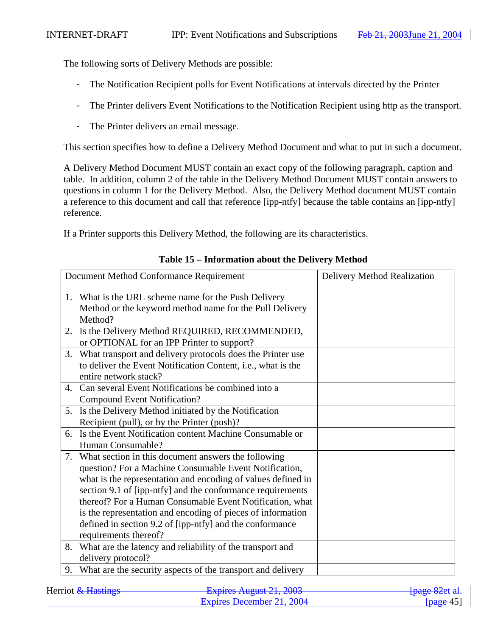The following sorts of Delivery Methods are possible:

- The Notification Recipient polls for Event Notifications at intervals directed by the Printer
- The Printer delivers Event Notifications to the Notification Recipient using http as the transport.
- The Printer delivers an email message.

This section specifies how to define a Delivery Method Document and what to put in such a document.

A Delivery Method Document MUST contain an exact copy of the following paragraph, caption and table. In addition, column 2 of the table in the Delivery Method Document MUST contain answers to questions in column 1 for the Delivery Method. Also, the Delivery Method document MUST contain a reference to this document and call that reference [ipp-ntfy] because the table contains an [ipp-ntfy] reference.

If a Printer supports this Delivery Method, the following are its characteristics.

|    | Document Method Conformance Requirement                      | Delivery Method Realization |
|----|--------------------------------------------------------------|-----------------------------|
|    | 1. What is the URL scheme name for the Push Delivery         |                             |
|    | Method or the keyword method name for the Pull Delivery      |                             |
|    | Method?                                                      |                             |
| 2. | Is the Delivery Method REQUIRED, RECOMMENDED,                |                             |
|    | or OPTIONAL for an IPP Printer to support?                   |                             |
| 3. | What transport and delivery protocols does the Printer use   |                             |
|    | to deliver the Event Notification Content, i.e., what is the |                             |
|    | entire network stack?                                        |                             |
| 4. | Can several Event Notifications be combined into a           |                             |
|    | <b>Compound Event Notification?</b>                          |                             |
|    | 5. Is the Delivery Method initiated by the Notification      |                             |
|    | Recipient (pull), or by the Printer (push)?                  |                             |
| 6. | Is the Event Notification content Machine Consumable or      |                             |
|    | Human Consumable?                                            |                             |
| 7. | What section in this document answers the following          |                             |
|    | question? For a Machine Consumable Event Notification,       |                             |
|    | what is the representation and encoding of values defined in |                             |
|    | section 9.1 of [ipp-ntfy] and the conformance requirements   |                             |
|    | thereof? For a Human Consumable Event Notification, what     |                             |
|    | is the representation and encoding of pieces of information  |                             |
|    | defined in section 9.2 of [ipp-ntfy] and the conformance     |                             |
|    | requirements thereof?                                        |                             |
| 8. | What are the latency and reliability of the transport and    |                             |
|    | delivery protocol?                                           |                             |
| 9. | What are the security aspects of the transport and delivery  |                             |

#### **Table 15 – Information about the Delivery Method**

| Herriot & Hastings | Evoires August $21.2002$<br>$\frac{1}{4}$ Lapinos Truguot 21, 2005 | <del>-[page 82</del> et al. |
|--------------------|--------------------------------------------------------------------|-----------------------------|
|                    | Expires December 21, 2004                                          | [page 45]                   |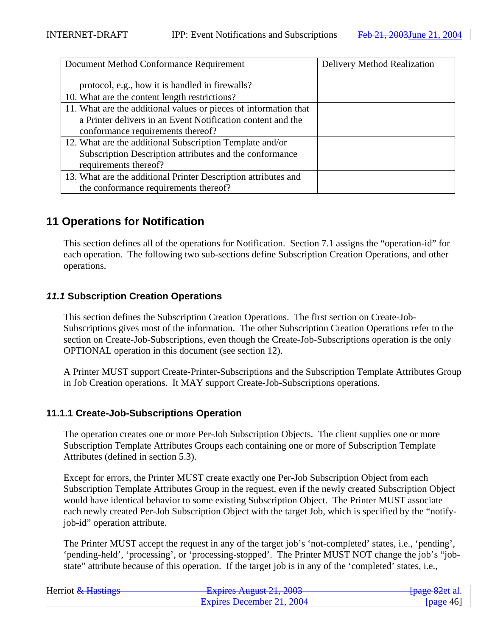| Document Method Conformance Requirement                          | Delivery Method Realization |
|------------------------------------------------------------------|-----------------------------|
| protocol, e.g., how it is handled in firewalls?                  |                             |
| 10. What are the content length restrictions?                    |                             |
| 11. What are the additional values or pieces of information that |                             |
| a Printer delivers in an Event Notification content and the      |                             |
| conformance requirements thereof?                                |                             |
| 12. What are the additional Subscription Template and/or         |                             |
| Subscription Description attributes and the conformance          |                             |
| requirements thereof?                                            |                             |
| 13. What are the additional Printer Description attributes and   |                             |
| the conformance requirements thereof?                            |                             |

# **11 Operations for Notification**

This section defines all of the operations for Notification. Section 7.1 assigns the "operation-id" for each operation. The following two sub-sections define Subscription Creation Operations, and other operations.

## **11.1 Subscription Creation Operations**

This section defines the Subscription Creation Operations. The first section on Create-Job-Subscriptions gives most of the information. The other Subscription Creation Operations refer to the section on Create-Job-Subscriptions, even though the Create-Job-Subscriptions operation is the only OPTIONAL operation in this document (see section 12).

A Printer MUST support Create-Printer-Subscriptions and the Subscription Template Attributes Group in Job Creation operations. It MAY support Create-Job-Subscriptions operations.

## **11.1.1 Create-Job-Subscriptions Operation**

The operation creates one or more Per-Job Subscription Objects. The client supplies one or more Subscription Template Attributes Groups each containing one or more of Subscription Template Attributes (defined in section 5.3).

Except for errors, the Printer MUST create exactly one Per-Job Subscription Object from each Subscription Template Attributes Group in the request, even if the newly created Subscription Object would have identical behavior to some existing Subscription Object. The Printer MUST associate each newly created Per-Job Subscription Object with the target Job, which is specified by the "notifyjob-id" operation attribute.

The Printer MUST accept the request in any of the target job's 'not-completed' states, i.e., 'pending', 'pending-held', 'processing', or 'processing-stopped'. The Printer MUST NOT change the job's "jobstate" attribute because of this operation. If the target job is in any of the 'completed' states, i.e.,

| Herriot & Hastings | Evoiras August 21, 2003<br><b>LAPHUS AUGUST 41, 400J</b> | <del>[page 82</del> et al. |
|--------------------|----------------------------------------------------------|----------------------------|
|                    | Expires December 21, 2004                                | [page 46]                  |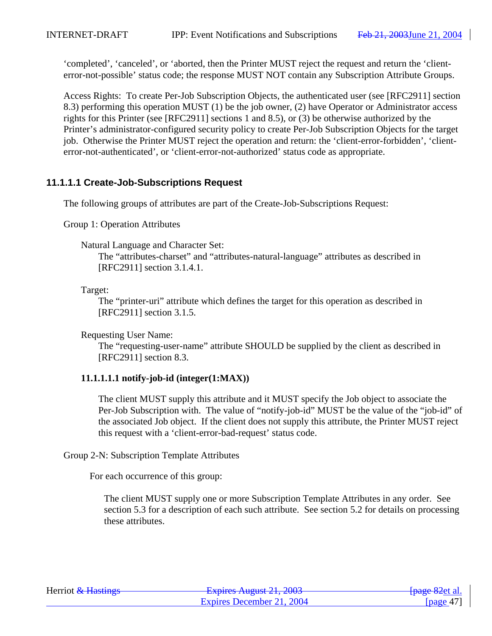'completed', 'canceled', or 'aborted, then the Printer MUST reject the request and return the 'clienterror-not-possible' status code; the response MUST NOT contain any Subscription Attribute Groups.

Access Rights: To create Per-Job Subscription Objects, the authenticated user (see [RFC2911] section 8.3) performing this operation MUST (1) be the job owner, (2) have Operator or Administrator access rights for this Printer (see [RFC2911] sections 1 and 8.5), or (3) be otherwise authorized by the Printer's administrator-configured security policy to create Per-Job Subscription Objects for the target job. Otherwise the Printer MUST reject the operation and return: the 'client-error-forbidden', 'clienterror-not-authenticated', or 'client-error-not-authorized' status code as appropriate.

# **11.1.1.1 Create-Job-Subscriptions Request**

The following groups of attributes are part of the Create-Job-Subscriptions Request:

Group 1: Operation Attributes

Natural Language and Character Set:

The "attributes-charset" and "attributes-natural-language" attributes as described in [RFC2911] section 3.1.4.1.

Target:

The "printer-uri" attribute which defines the target for this operation as described in [RFC2911] section 3.1.5.

Requesting User Name:

The "requesting-user-name" attribute SHOULD be supplied by the client as described in [RFC2911] section 8.3.

## **11.1.1.1.1 notify-job-id (integer(1:MAX))**

The client MUST supply this attribute and it MUST specify the Job object to associate the Per-Job Subscription with. The value of "notify-job-id" MUST be the value of the "job-id" of the associated Job object. If the client does not supply this attribute, the Printer MUST reject this request with a 'client-error-bad-request' status code.

Group 2-N: Subscription Template Attributes

For each occurrence of this group:

The client MUST supply one or more Subscription Template Attributes in any order. See section 5.3 for a description of each such attribute. See section 5.2 for details on processing these attributes.

| Herriot & Hastings | $F$ $\frac{1}{2}$ $\frac{1}{2}$ $\frac{1}{2}$ $\frac{1}{2}$ $\frac{1}{2}$ $\frac{1}{2}$ $\frac{1}{2}$ $\frac{1}{2}$ $\frac{1}{2}$ $\frac{1}{2}$ $\frac{1}{2}$ $\frac{1}{2}$ $\frac{1}{2}$ $\frac{1}{2}$ $\frac{1}{2}$ $\frac{1}{2}$ $\frac{1}{2}$ $\frac{1}{2}$ $\frac{1}{2}$ $\frac{1}{2}$ $\frac{1}{2}$ $\frac{1}{2$<br><b>LAPITUS TYUZUST 41, 400J</b> | <del>[page 82</del> et al. |
|--------------------|-----------------------------------------------------------------------------------------------------------------------------------------------------------------------------------------------------------------------------------------------------------------------------------------------------------------------------------------------------------|----------------------------|
|                    | Expires December 21, 2004                                                                                                                                                                                                                                                                                                                                 | [page $47$ ]               |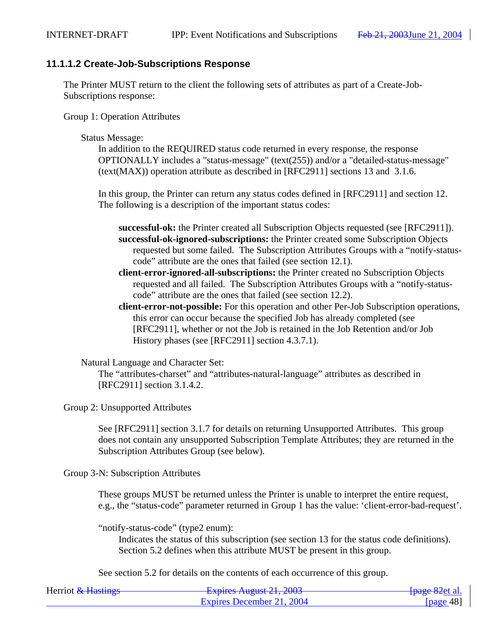## **11.1.1.2 Create-Job-Subscriptions Response**

The Printer MUST return to the client the following sets of attributes as part of a Create-Job-Subscriptions response:

Group 1: Operation Attributes

#### Status Message:

In addition to the REQUIRED status code returned in every response, the response OPTIONALLY includes a "status-message" (text(255)) and/or a "detailed-status-message" (text(MAX)) operation attribute as described in [RFC2911] sections 13 and 3.1.6.

In this group, the Printer can return any status codes defined in [RFC2911] and section 12. The following is a description of the important status codes:

- **successful-ok:** the Printer created all Subscription Objects requested (see [RFC2911]). **successful-ok-ignored-subscriptions:** the Printer created some Subscription Objects requested but some failed. The Subscription Attributes Groups with a "notify-statuscode" attribute are the ones that failed (see section 12.1).
- **client-error-ignored-all-subscriptions:** the Printer created no Subscription Objects requested and all failed. The Subscription Attributes Groups with a "notify-statuscode" attribute are the ones that failed (see section 12.2).
- **client-error-not-possible:** For this operation and other Per-Job Subscription operations, this error can occur because the specified Job has already completed (see [RFC2911], whether or not the Job is retained in the Job Retention and/or Job History phases (see [RFC2911] section 4.3.7.1).

Natural Language and Character Set:

The "attributes-charset" and "attributes-natural-language" attributes as described in [RFC2911] section 3.1.4.2.

Group 2: Unsupported Attributes

See [RFC2911] section 3.1.7 for details on returning Unsupported Attributes. This group does not contain any unsupported Subscription Template Attributes; they are returned in the Subscription Attributes Group (see below).

Group 3-N: Subscription Attributes

These groups MUST be returned unless the Printer is unable to interpret the entire request, e.g., the "status-code" parameter returned in Group 1 has the value: 'client-error-bad-request'.

"notify-status-code" (type2 enum):

Indicates the status of this subscription (see section 13 for the status code definitions). Section 5.2 defines when this attribute MUST be present in this group.

See section 5.2 for details on the contents of each occurrence of this group.

| Herriot & Hastings | Evoiras August 21, 2003<br><b>LAPIIUS AUGUST 41, 400J</b> | <del>[page 82</del> et al. |
|--------------------|-----------------------------------------------------------|----------------------------|
|                    | Expires December 21, 2004                                 | [ $page 48$ ]              |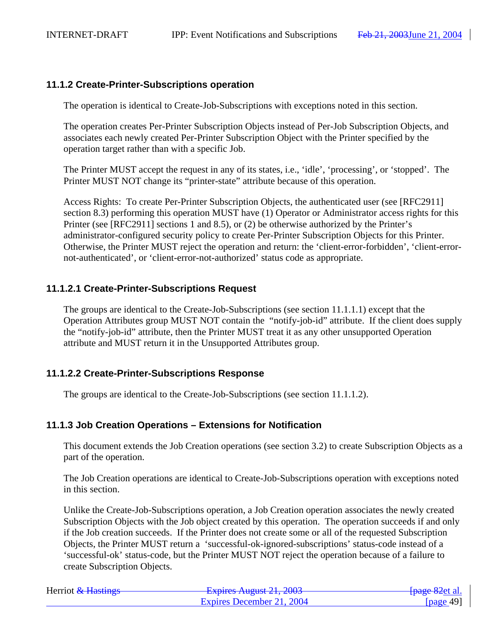## **11.1.2 Create-Printer-Subscriptions operation**

The operation is identical to Create-Job-Subscriptions with exceptions noted in this section.

The operation creates Per-Printer Subscription Objects instead of Per-Job Subscription Objects, and associates each newly created Per-Printer Subscription Object with the Printer specified by the operation target rather than with a specific Job.

The Printer MUST accept the request in any of its states, i.e., 'idle', 'processing', or 'stopped'. The Printer MUST NOT change its "printer-state" attribute because of this operation.

Access Rights: To create Per-Printer Subscription Objects, the authenticated user (see [RFC2911] section 8.3) performing this operation MUST have (1) Operator or Administrator access rights for this Printer (see [RFC2911] sections 1 and 8.5), or (2) be otherwise authorized by the Printer's administrator-configured security policy to create Per-Printer Subscription Objects for this Printer. Otherwise, the Printer MUST reject the operation and return: the 'client-error-forbidden', 'client-errornot-authenticated', or 'client-error-not-authorized' status code as appropriate.

## **11.1.2.1 Create-Printer-Subscriptions Request**

The groups are identical to the Create-Job-Subscriptions (see section 11.1.1.1) except that the Operation Attributes group MUST NOT contain the "notify-job-id" attribute. If the client does supply the "notify-job-id" attribute, then the Printer MUST treat it as any other unsupported Operation attribute and MUST return it in the Unsupported Attributes group.

## **11.1.2.2 Create-Printer-Subscriptions Response**

The groups are identical to the Create-Job-Subscriptions (see section 11.1.1.2).

## **11.1.3 Job Creation Operations – Extensions for Notification**

This document extends the Job Creation operations (see section 3.2) to create Subscription Objects as a part of the operation.

The Job Creation operations are identical to Create-Job-Subscriptions operation with exceptions noted in this section.

Unlike the Create-Job-Subscriptions operation, a Job Creation operation associates the newly created Subscription Objects with the Job object created by this operation. The operation succeeds if and only if the Job creation succeeds. If the Printer does not create some or all of the requested Subscription Objects, the Printer MUST return a 'successful-ok-ignored-subscriptions' status-code instead of a 'successful-ok' status-code, but the Printer MUST NOT reject the operation because of a failure to create Subscription Objects.

| Herriot & Hastings | Evoiras August 21, 2003<br><b>LAPITOS THE 401 21, 2005</b> | <del>[page 82</del> et al. |
|--------------------|------------------------------------------------------------|----------------------------|
|                    | Expires December 21, 2004                                  | [page 49]                  |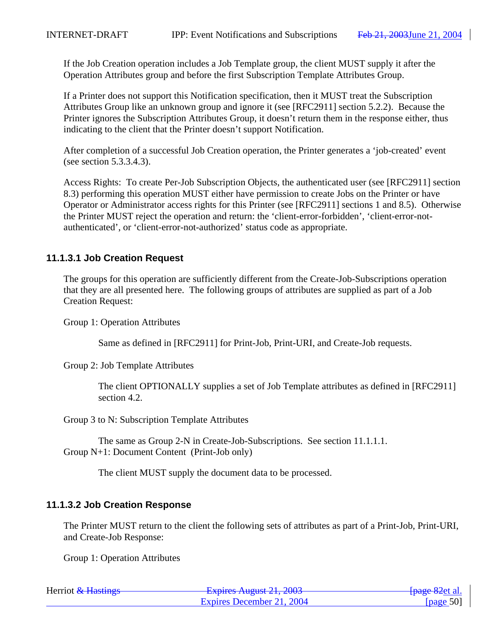If the Job Creation operation includes a Job Template group, the client MUST supply it after the Operation Attributes group and before the first Subscription Template Attributes Group.

If a Printer does not support this Notification specification, then it MUST treat the Subscription Attributes Group like an unknown group and ignore it (see [RFC2911] section 5.2.2). Because the Printer ignores the Subscription Attributes Group, it doesn't return them in the response either, thus indicating to the client that the Printer doesn't support Notification.

After completion of a successful Job Creation operation, the Printer generates a 'job-created' event (see section 5.3.3.4.3).

Access Rights: To create Per-Job Subscription Objects, the authenticated user (see [RFC2911] section 8.3) performing this operation MUST either have permission to create Jobs on the Printer or have Operator or Administrator access rights for this Printer (see [RFC2911] sections 1 and 8.5). Otherwise the Printer MUST reject the operation and return: the 'client-error-forbidden', 'client-error-notauthenticated', or 'client-error-not-authorized' status code as appropriate.

# **11.1.3.1 Job Creation Request**

The groups for this operation are sufficiently different from the Create-Job-Subscriptions operation that they are all presented here. The following groups of attributes are supplied as part of a Job Creation Request:

Group 1: Operation Attributes

Same as defined in [RFC2911] for Print-Job, Print-URI, and Create-Job requests.

Group 2: Job Template Attributes

The client OPTIONALLY supplies a set of Job Template attributes as defined in [RFC2911] section 4.2.

Group 3 to N: Subscription Template Attributes

The same as Group 2-N in Create-Job-Subscriptions. See section 11.1.1.1. Group N+1: Document Content (Print-Job only)

The client MUST supply the document data to be processed.

## **11.1.3.2 Job Creation Response**

The Printer MUST return to the client the following sets of attributes as part of a Print-Job, Print-URI, and Create-Job Response:

Group 1: Operation Attributes

| Herriot & Hastings | Evoiras August $21, 2002$<br><b>LAURO AUZUM 41, 400J</b> | <del>[page 82</del> et al. |
|--------------------|----------------------------------------------------------|----------------------------|
|                    | Expires December 21, 2004                                | [page 50]                  |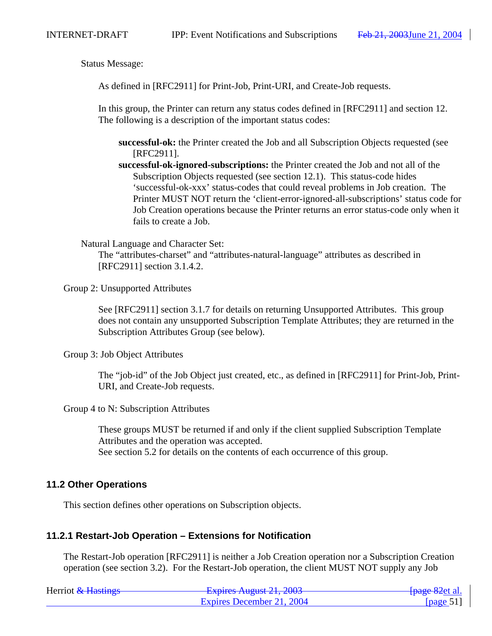Status Message:

As defined in [RFC2911] for Print-Job, Print-URI, and Create-Job requests.

In this group, the Printer can return any status codes defined in [RFC2911] and section 12. The following is a description of the important status codes:

**successful-ok:** the Printer created the Job and all Subscription Objects requested (see [RFC2911].

**successful-ok-ignored-subscriptions:** the Printer created the Job and not all of the Subscription Objects requested (see section 12.1). This status-code hides 'successful-ok-xxx' status-codes that could reveal problems in Job creation. The Printer MUST NOT return the 'client-error-ignored-all-subscriptions' status code for Job Creation operations because the Printer returns an error status-code only when it fails to create a Job.

Natural Language and Character Set:

The "attributes-charset" and "attributes-natural-language" attributes as described in [RFC2911] section 3.1.4.2.

Group 2: Unsupported Attributes

See [RFC2911] section 3.1.7 for details on returning Unsupported Attributes. This group does not contain any unsupported Subscription Template Attributes; they are returned in the Subscription Attributes Group (see below).

Group 3: Job Object Attributes

The "job-id" of the Job Object just created, etc., as defined in [RFC2911] for Print-Job, Print-URI, and Create-Job requests.

Group 4 to N: Subscription Attributes

These groups MUST be returned if and only if the client supplied Subscription Template Attributes and the operation was accepted. See section 5.2 for details on the contents of each occurrence of this group.

#### **11.2 Other Operations**

This section defines other operations on Subscription objects.

#### **11.2.1 Restart-Job Operation – Extensions for Notification**

The Restart-Job operation [RFC2911] is neither a Job Creation operation nor a Subscription Creation operation (see section 3.2). For the Restart-Job operation, the client MUST NOT supply any Job

| Herriot & Hastings | Evoirage August $21, 2002$<br>$\frac{1}{4}$ LAPING THE TREAD $\frac{1}{4}$ The $\frac{1}{4}$ | <del>[page 82</del> et al. |
|--------------------|----------------------------------------------------------------------------------------------|----------------------------|
|                    | Expires December 21, 2004                                                                    | [ $page 51$ ]              |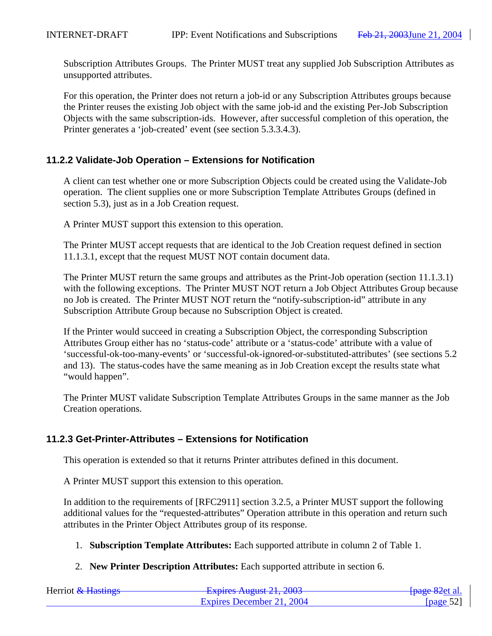Subscription Attributes Groups. The Printer MUST treat any supplied Job Subscription Attributes as unsupported attributes.

For this operation, the Printer does not return a job-id or any Subscription Attributes groups because the Printer reuses the existing Job object with the same job-id and the existing Per-Job Subscription Objects with the same subscription-ids. However, after successful completion of this operation, the Printer generates a 'job-created' event (see section 5.3.3.4.3).

## **11.2.2 Validate-Job Operation – Extensions for Notification**

A client can test whether one or more Subscription Objects could be created using the Validate-Job operation. The client supplies one or more Subscription Template Attributes Groups (defined in section 5.3), just as in a Job Creation request.

A Printer MUST support this extension to this operation.

The Printer MUST accept requests that are identical to the Job Creation request defined in section 11.1.3.1, except that the request MUST NOT contain document data.

The Printer MUST return the same groups and attributes as the Print-Job operation (section 11.1.3.1) with the following exceptions. The Printer MUST NOT return a Job Object Attributes Group because no Job is created. The Printer MUST NOT return the "notify-subscription-id" attribute in any Subscription Attribute Group because no Subscription Object is created.

If the Printer would succeed in creating a Subscription Object, the corresponding Subscription Attributes Group either has no 'status-code' attribute or a 'status-code' attribute with a value of 'successful-ok-too-many-events' or 'successful-ok-ignored-or-substituted-attributes' (see sections 5.2 and 13). The status-codes have the same meaning as in Job Creation except the results state what "would happen".

The Printer MUST validate Subscription Template Attributes Groups in the same manner as the Job Creation operations.

### **11.2.3 Get-Printer-Attributes – Extensions for Notification**

This operation is extended so that it returns Printer attributes defined in this document.

A Printer MUST support this extension to this operation.

In addition to the requirements of [RFC2911] section 3.2.5, a Printer MUST support the following additional values for the "requested-attributes" Operation attribute in this operation and return such attributes in the Printer Object Attributes group of its response.

- 1. **Subscription Template Attributes:** Each supported attribute in column 2 of Table 1.
- 2. **New Printer Description Attributes:** Each supported attribute in section 6.

| Herriot & Hastings | Evoiras August $21, 2002$<br><b>LAPITUS TYUZUST 41, 400J</b> | <del>[page 82</del> et al.] |
|--------------------|--------------------------------------------------------------|-----------------------------|
|                    | Expires December 21, 2004                                    | [ $page 52$ ]               |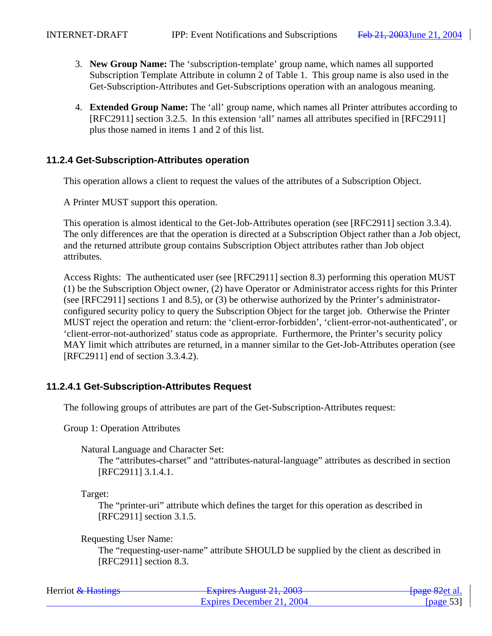- 3. **New Group Name:** The 'subscription-template' group name, which names all supported Subscription Template Attribute in column 2 of Table 1. This group name is also used in the Get-Subscription-Attributes and Get-Subscriptions operation with an analogous meaning.
- 4. **Extended Group Name:** The 'all' group name, which names all Printer attributes according to [RFC2911] section 3.2.5. In this extension 'all' names all attributes specified in [RFC2911] plus those named in items 1 and 2 of this list.

## **11.2.4 Get-Subscription-Attributes operation**

This operation allows a client to request the values of the attributes of a Subscription Object.

A Printer MUST support this operation.

This operation is almost identical to the Get-Job-Attributes operation (see [RFC2911] section 3.3.4). The only differences are that the operation is directed at a Subscription Object rather than a Job object, and the returned attribute group contains Subscription Object attributes rather than Job object attributes.

Access Rights: The authenticated user (see [RFC2911] section 8.3) performing this operation MUST (1) be the Subscription Object owner, (2) have Operator or Administrator access rights for this Printer (see [RFC2911] sections 1 and 8.5), or (3) be otherwise authorized by the Printer's administratorconfigured security policy to query the Subscription Object for the target job. Otherwise the Printer MUST reject the operation and return: the 'client-error-forbidden', 'client-error-not-authenticated', or 'client-error-not-authorized' status code as appropriate. Furthermore, the Printer's security policy MAY limit which attributes are returned, in a manner similar to the Get-Job-Attributes operation (see [RFC2911] end of section 3.3.4.2).

## **11.2.4.1 Get-Subscription-Attributes Request**

The following groups of attributes are part of the Get-Subscription-Attributes request:

Group 1: Operation Attributes

Natural Language and Character Set:

The "attributes-charset" and "attributes-natural-language" attributes as described in section [RFC2911] 3.1.4.1.

Target:

The "printer-uri" attribute which defines the target for this operation as described in [RFC2911] section 3.1.5.

Requesting User Name:

The "requesting-user-name" attribute SHOULD be supplied by the client as described in [RFC2911] section 8.3.

| Herriot & Hastings | Evoirag August $21.2002$<br>$\frac{1}{4}$ Lapinos Truguot 21, 2005 | <del>[page 82</del> et al. |
|--------------------|--------------------------------------------------------------------|----------------------------|
|                    | Expires December 21, 2004                                          | [nage 53]                  |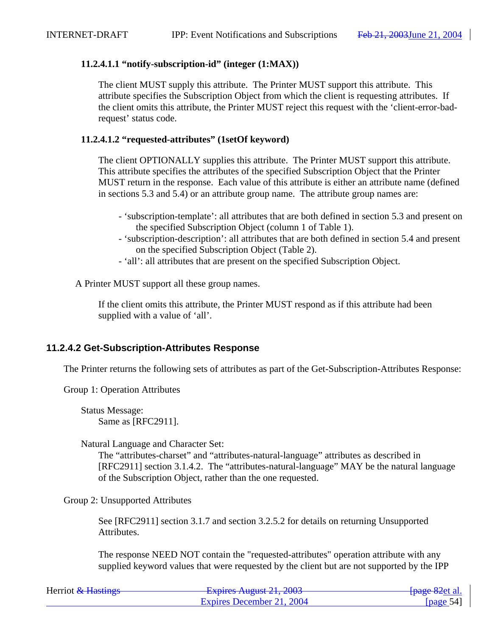## **11.2.4.1.1 "notify-subscription-id" (integer (1:MAX))**

The client MUST supply this attribute. The Printer MUST support this attribute. This attribute specifies the Subscription Object from which the client is requesting attributes. If the client omits this attribute, the Printer MUST reject this request with the 'client-error-badrequest' status code.

## **11.2.4.1.2 "requested-attributes" (1setOf keyword)**

The client OPTIONALLY supplies this attribute. The Printer MUST support this attribute. This attribute specifies the attributes of the specified Subscription Object that the Printer MUST return in the response. Each value of this attribute is either an attribute name (defined in sections 5.3 and 5.4) or an attribute group name. The attribute group names are:

- 'subscription-template': all attributes that are both defined in section 5.3 and present on the specified Subscription Object (column 1 of Table 1).
- 'subscription-description': all attributes that are both defined in section 5.4 and present on the specified Subscription Object (Table 2).
- 'all': all attributes that are present on the specified Subscription Object.

A Printer MUST support all these group names.

If the client omits this attribute, the Printer MUST respond as if this attribute had been supplied with a value of 'all'.

## **11.2.4.2 Get-Subscription-Attributes Response**

The Printer returns the following sets of attributes as part of the Get-Subscription-Attributes Response:

Group 1: Operation Attributes

Status Message: Same as [RFC2911].

Natural Language and Character Set:

The "attributes-charset" and "attributes-natural-language" attributes as described in [RFC2911] section 3.1.4.2. The "attributes-natural-language" MAY be the natural language of the Subscription Object, rather than the one requested.

Group 2: Unsupported Attributes

See [RFC2911] section 3.1.7 and section 3.2.5.2 for details on returning Unsupported Attributes.

The response NEED NOT contain the "requested-attributes" operation attribute with any supplied keyword values that were requested by the client but are not supported by the IPP

| Herriot & Hastings | Evoiras August 21, 2002<br>$\frac{1}{4}$ Laplitos Tugust 21, 2005 | <del>[page 82</del> et al.] |
|--------------------|-------------------------------------------------------------------|-----------------------------|
|                    | Expires December 21, 2004                                         | [page 54]                   |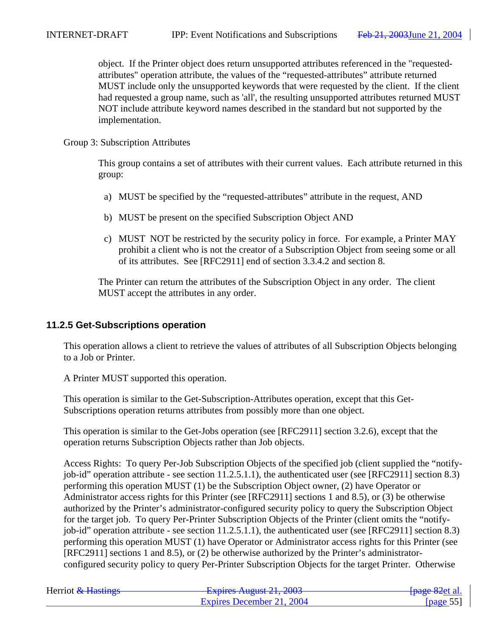object. If the Printer object does return unsupported attributes referenced in the "requestedattributes" operation attribute, the values of the "requested-attributes" attribute returned MUST include only the unsupported keywords that were requested by the client. If the client had requested a group name, such as 'all', the resulting unsupported attributes returned MUST NOT include attribute keyword names described in the standard but not supported by the implementation.

#### Group 3: Subscription Attributes

This group contains a set of attributes with their current values. Each attribute returned in this group:

- a) MUST be specified by the "requested-attributes" attribute in the request, AND
- b) MUST be present on the specified Subscription Object AND
- c) MUST NOT be restricted by the security policy in force. For example, a Printer MAY prohibit a client who is not the creator of a Subscription Object from seeing some or all of its attributes. See [RFC2911] end of section 3.3.4.2 and section 8.

The Printer can return the attributes of the Subscription Object in any order. The client MUST accept the attributes in any order.

### **11.2.5 Get-Subscriptions operation**

This operation allows a client to retrieve the values of attributes of all Subscription Objects belonging to a Job or Printer.

A Printer MUST supported this operation.

This operation is similar to the Get-Subscription-Attributes operation, except that this Get-Subscriptions operation returns attributes from possibly more than one object.

This operation is similar to the Get-Jobs operation (see [RFC2911] section 3.2.6), except that the operation returns Subscription Objects rather than Job objects.

Access Rights: To query Per-Job Subscription Objects of the specified job (client supplied the "notifyjob-id" operation attribute - see section 11.2.5.1.1), the authenticated user (see [RFC2911] section 8.3) performing this operation MUST (1) be the Subscription Object owner, (2) have Operator or Administrator access rights for this Printer (see [RFC2911] sections 1 and 8.5), or (3) be otherwise authorized by the Printer's administrator-configured security policy to query the Subscription Object for the target job. To query Per-Printer Subscription Objects of the Printer (client omits the "notifyjob-id" operation attribute - see section 11.2.5.1.1), the authenticated user (see [RFC2911] section 8.3) performing this operation MUST (1) have Operator or Administrator access rights for this Printer (see [RFC2911] sections 1 and 8.5), or (2) be otherwise authorized by the Printer's administratorconfigured security policy to query Per-Printer Subscription Objects for the target Printer. Otherwise

| Herriot & Hastings | Evoires August $21.2002$<br>$\frac{1}{4}$ Lapinos Truguot 21, 2005 | <del>[page 82</del> et al.     |
|--------------------|--------------------------------------------------------------------|--------------------------------|
|                    | Expires December 21, 2004                                          | $\lceil \text{page 55} \rceil$ |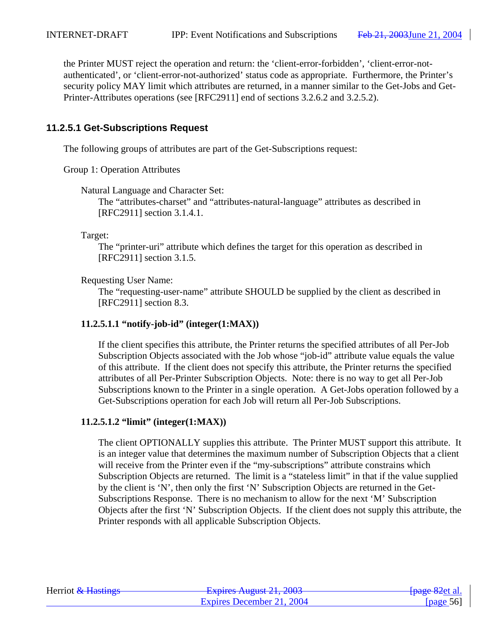the Printer MUST reject the operation and return: the 'client-error-forbidden', 'client-error-notauthenticated', or 'client-error-not-authorized' status code as appropriate. Furthermore, the Printer's security policy MAY limit which attributes are returned, in a manner similar to the Get-Jobs and Get-Printer-Attributes operations (see [RFC2911] end of sections 3.2.6.2 and 3.2.5.2).

## **11.2.5.1 Get-Subscriptions Request**

The following groups of attributes are part of the Get-Subscriptions request:

Group 1: Operation Attributes

Natural Language and Character Set:

The "attributes-charset" and "attributes-natural-language" attributes as described in [RFC2911] section 3.1.4.1.

Target:

The "printer-uri" attribute which defines the target for this operation as described in [RFC2911] section 3.1.5.

Requesting User Name:

The "requesting-user-name" attribute SHOULD be supplied by the client as described in [RFC2911] section 8.3.

## **11.2.5.1.1 "notify-job-id" (integer(1:MAX))**

If the client specifies this attribute, the Printer returns the specified attributes of all Per-Job Subscription Objects associated with the Job whose "job-id" attribute value equals the value of this attribute. If the client does not specify this attribute, the Printer returns the specified attributes of all Per-Printer Subscription Objects. Note: there is no way to get all Per-Job Subscriptions known to the Printer in a single operation. A Get-Jobs operation followed by a Get-Subscriptions operation for each Job will return all Per-Job Subscriptions.

## **11.2.5.1.2 "limit" (integer(1:MAX))**

The client OPTIONALLY supplies this attribute. The Printer MUST support this attribute. It is an integer value that determines the maximum number of Subscription Objects that a client will receive from the Printer even if the "my-subscriptions" attribute constrains which Subscription Objects are returned. The limit is a "stateless limit" in that if the value supplied by the client is 'N', then only the first 'N' Subscription Objects are returned in the Get-Subscriptions Response. There is no mechanism to allow for the next 'M' Subscription Objects after the first 'N' Subscription Objects. If the client does not supply this attribute, the Printer responds with all applicable Subscription Objects.

| Herriot & Hastings | Evoiras August 21, 2003<br><b>LAPITUS TYUZUST 41, 400J</b> | <del>[page 82</del> et al. |
|--------------------|------------------------------------------------------------|----------------------------|
|                    | Expires December 21, 2004                                  | [page 56]                  |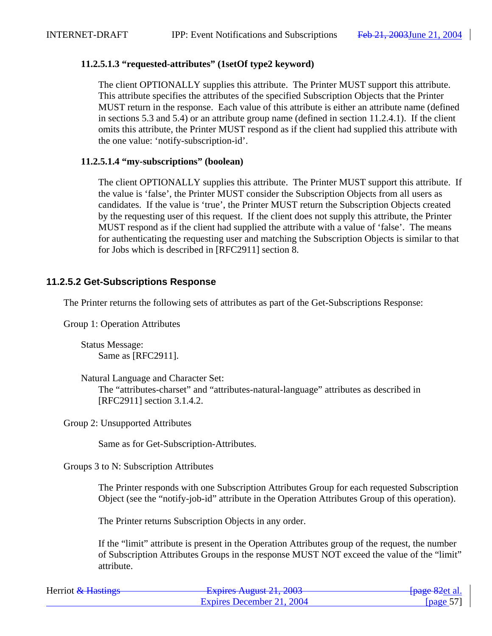## **11.2.5.1.3 "requested-attributes" (1setOf type2 keyword)**

The client OPTIONALLY supplies this attribute. The Printer MUST support this attribute. This attribute specifies the attributes of the specified Subscription Objects that the Printer MUST return in the response. Each value of this attribute is either an attribute name (defined in sections 5.3 and 5.4) or an attribute group name (defined in section 11.2.4.1). If the client omits this attribute, the Printer MUST respond as if the client had supplied this attribute with the one value: 'notify-subscription-id'.

### **11.2.5.1.4 "my-subscriptions" (boolean)**

The client OPTIONALLY supplies this attribute. The Printer MUST support this attribute. If the value is 'false', the Printer MUST consider the Subscription Objects from all users as candidates. If the value is 'true', the Printer MUST return the Subscription Objects created by the requesting user of this request. If the client does not supply this attribute, the Printer MUST respond as if the client had supplied the attribute with a value of 'false'. The means for authenticating the requesting user and matching the Subscription Objects is similar to that for Jobs which is described in [RFC2911] section 8.

## **11.2.5.2 Get-Subscriptions Response**

The Printer returns the following sets of attributes as part of the Get-Subscriptions Response:

Group 1: Operation Attributes

Status Message: Same as [RFC2911].

Natural Language and Character Set:

The "attributes-charset" and "attributes-natural-language" attributes as described in [RFC2911] section 3.1.4.2.

Group 2: Unsupported Attributes

Same as for Get-Subscription-Attributes.

Groups 3 to N: Subscription Attributes

The Printer responds with one Subscription Attributes Group for each requested Subscription Object (see the "notify-job-id" attribute in the Operation Attributes Group of this operation).

The Printer returns Subscription Objects in any order.

If the "limit" attribute is present in the Operation Attributes group of the request, the number of Subscription Attributes Groups in the response MUST NOT exceed the value of the "limit" attribute.

| Herriot & Hastings | Evoirag August $21, 2002$<br>$\frac{1}{4}$ Laplito Truguot 21, 2005 | <del>fpage 82</del> et al. |
|--------------------|---------------------------------------------------------------------|----------------------------|
|                    | Expires December 21, 2004                                           | [page 57]                  |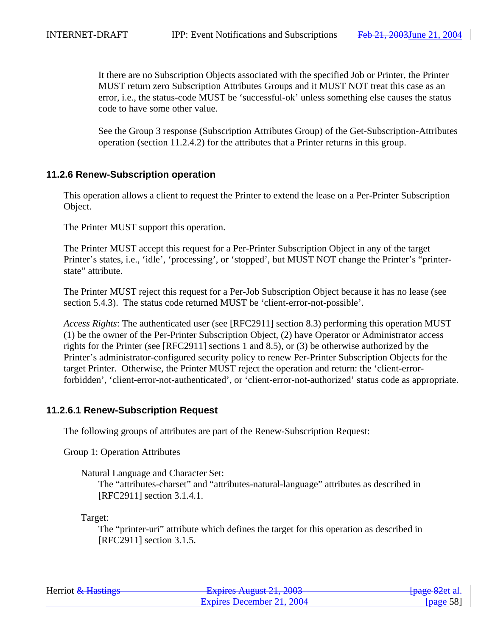It there are no Subscription Objects associated with the specified Job or Printer, the Printer MUST return zero Subscription Attributes Groups and it MUST NOT treat this case as an error, i.e., the status-code MUST be 'successful-ok' unless something else causes the status code to have some other value.

See the Group 3 response (Subscription Attributes Group) of the Get-Subscription-Attributes operation (section 11.2.4.2) for the attributes that a Printer returns in this group.

## **11.2.6 Renew-Subscription operation**

This operation allows a client to request the Printer to extend the lease on a Per-Printer Subscription Object.

The Printer MUST support this operation.

The Printer MUST accept this request for a Per-Printer Subscription Object in any of the target Printer's states, i.e., 'idle', 'processing', or 'stopped', but MUST NOT change the Printer's "printerstate" attribute.

The Printer MUST reject this request for a Per-Job Subscription Object because it has no lease (see section 5.4.3). The status code returned MUST be 'client-error-not-possible'.

*Access Rights*: The authenticated user (see [RFC2911] section 8.3) performing this operation MUST (1) be the owner of the Per-Printer Subscription Object, (2) have Operator or Administrator access rights for the Printer (see [RFC2911] sections 1 and 8.5), or (3) be otherwise authorized by the Printer's administrator-configured security policy to renew Per-Printer Subscription Objects for the target Printer. Otherwise, the Printer MUST reject the operation and return: the 'client-errorforbidden', 'client-error-not-authenticated', or 'client-error-not-authorized' status code as appropriate.

## **11.2.6.1 Renew-Subscription Request**

The following groups of attributes are part of the Renew-Subscription Request:

Group 1: Operation Attributes

Natural Language and Character Set:

The "attributes-charset" and "attributes-natural-language" attributes as described in [RFC2911] section 3.1.4.1.

Target:

The "printer-uri" attribute which defines the target for this operation as described in [RFC2911] section 3.1.5.

| Herriot & Hastings | Evoiras August $21.2002$<br>$\frac{1}{4}$ LADII CO Truguot $\frac{1}{4}$ , $\frac{1}{4}$ 000 | <del>[page 82</del> et al. |
|--------------------|----------------------------------------------------------------------------------------------|----------------------------|
|                    | Expires December 21, 2004                                                                    | [page 58]                  |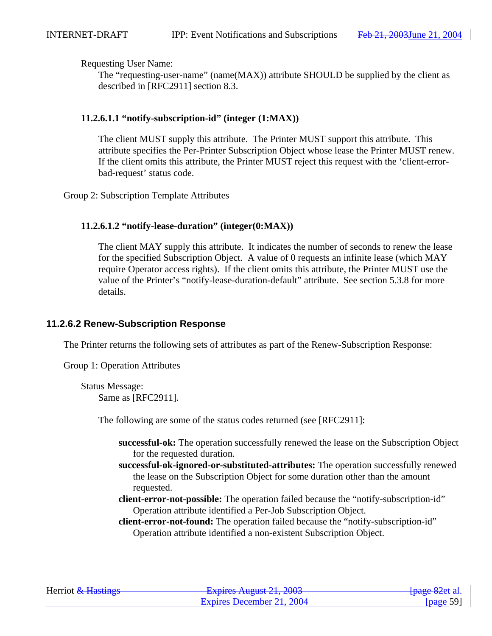Requesting User Name:

The "requesting-user-name" (name(MAX)) attribute SHOULD be supplied by the client as described in [RFC2911] section 8.3.

## **11.2.6.1.1 "notify-subscription-id" (integer (1:MAX))**

The client MUST supply this attribute. The Printer MUST support this attribute. This attribute specifies the Per-Printer Subscription Object whose lease the Printer MUST renew. If the client omits this attribute, the Printer MUST reject this request with the 'client-errorbad-request' status code.

Group 2: Subscription Template Attributes

## **11.2.6.1.2 "notify-lease-duration" (integer(0:MAX))**

The client MAY supply this attribute. It indicates the number of seconds to renew the lease for the specified Subscription Object. A value of 0 requests an infinite lease (which MAY require Operator access rights). If the client omits this attribute, the Printer MUST use the value of the Printer's "notify-lease-duration-default" attribute. See section 5.3.8 for more details.

## **11.2.6.2 Renew-Subscription Response**

The Printer returns the following sets of attributes as part of the Renew-Subscription Response:

Group 1: Operation Attributes

Status Message: Same as [RFC2911].

The following are some of the status codes returned (see [RFC2911]:

- **successful-ok:** The operation successfully renewed the lease on the Subscription Object for the requested duration.
- **successful-ok-ignored-or-substituted-attributes:** The operation successfully renewed the lease on the Subscription Object for some duration other than the amount requested.
- **client-error-not-possible:** The operation failed because the "notify-subscription-id" Operation attribute identified a Per-Job Subscription Object.
- **client-error-not-found:** The operation failed because the "notify-subscription-id" Operation attribute identified a non-existent Subscription Object.

| Herriot & Hastings | Evoirag August $21, 2002$<br><b>LAPITUS TYUZUST 41, 400J</b> | <del>fpage 82</del> et al. |
|--------------------|--------------------------------------------------------------|----------------------------|
|                    | Expires December 21, 2004                                    | [page 59]                  |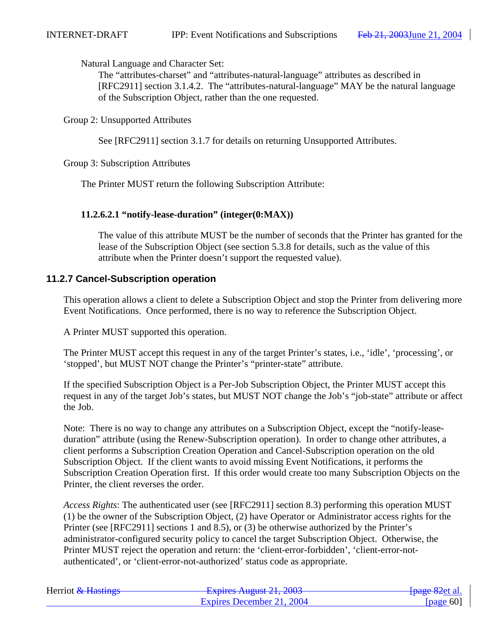Natural Language and Character Set:

The "attributes-charset" and "attributes-natural-language" attributes as described in [RFC2911] section 3.1.4.2. The "attributes-natural-language" MAY be the natural language of the Subscription Object, rather than the one requested.

Group 2: Unsupported Attributes

See [RFC2911] section 3.1.7 for details on returning Unsupported Attributes.

Group 3: Subscription Attributes

The Printer MUST return the following Subscription Attribute:

### **11.2.6.2.1 "notify-lease-duration" (integer(0:MAX))**

The value of this attribute MUST be the number of seconds that the Printer has granted for the lease of the Subscription Object (see section 5.3.8 for details, such as the value of this attribute when the Printer doesn't support the requested value).

## **11.2.7 Cancel-Subscription operation**

This operation allows a client to delete a Subscription Object and stop the Printer from delivering more Event Notifications. Once performed, there is no way to reference the Subscription Object.

A Printer MUST supported this operation.

The Printer MUST accept this request in any of the target Printer's states, i.e., 'idle', 'processing', or 'stopped', but MUST NOT change the Printer's "printer-state" attribute.

If the specified Subscription Object is a Per-Job Subscription Object, the Printer MUST accept this request in any of the target Job's states, but MUST NOT change the Job's "job-state" attribute or affect the Job.

Note: There is no way to change any attributes on a Subscription Object, except the "notify-leaseduration" attribute (using the Renew-Subscription operation). In order to change other attributes, a client performs a Subscription Creation Operation and Cancel-Subscription operation on the old Subscription Object. If the client wants to avoid missing Event Notifications, it performs the Subscription Creation Operation first. If this order would create too many Subscription Objects on the Printer, the client reverses the order.

*Access Rights*: The authenticated user (see [RFC2911] section 8.3) performing this operation MUST (1) be the owner of the Subscription Object, (2) have Operator or Administrator access rights for the Printer (see [RFC2911] sections 1 and 8.5), or (3) be otherwise authorized by the Printer's administrator-configured security policy to cancel the target Subscription Object. Otherwise, the Printer MUST reject the operation and return: the 'client-error-forbidden', 'client-error-notauthenticated', or 'client-error-not-authorized' status code as appropriate.

| Herriot & Hastings | Evoiras August $21, 2002$<br><del>12 2003 August 21, 2003</del> | <del>[page 82</del> et al. |
|--------------------|-----------------------------------------------------------------|----------------------------|
|                    | Expires December 21, 2004                                       | [ $page 60$ ]              |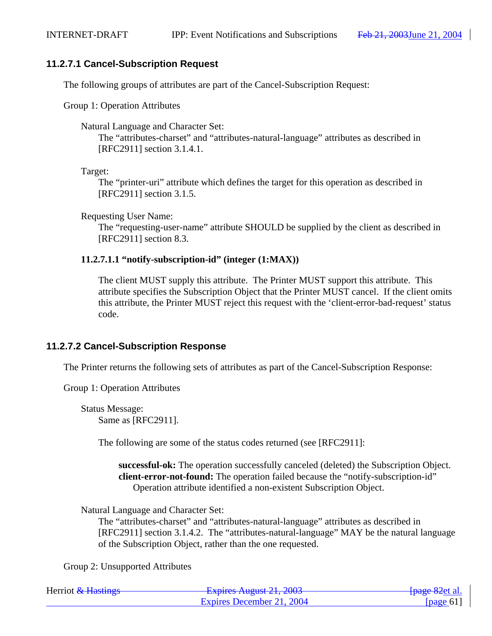## **11.2.7.1 Cancel-Subscription Request**

The following groups of attributes are part of the Cancel-Subscription Request:

Group 1: Operation Attributes

Natural Language and Character Set:

The "attributes-charset" and "attributes-natural-language" attributes as described in [RFC2911] section 3.1.4.1.

Target:

The "printer-uri" attribute which defines the target for this operation as described in [RFC2911] section 3.1.5.

Requesting User Name:

The "requesting-user-name" attribute SHOULD be supplied by the client as described in [RFC2911] section 8.3.

## **11.2.7.1.1 "notify-subscription-id" (integer (1:MAX))**

The client MUST supply this attribute. The Printer MUST support this attribute. This attribute specifies the Subscription Object that the Printer MUST cancel. If the client omits this attribute, the Printer MUST reject this request with the 'client-error-bad-request' status code.

## **11.2.7.2 Cancel-Subscription Response**

The Printer returns the following sets of attributes as part of the Cancel-Subscription Response:

Group 1: Operation Attributes

Status Message: Same as [RFC2911].

The following are some of the status codes returned (see [RFC2911]:

**successful-ok:** The operation successfully canceled (deleted) the Subscription Object. **client-error-not-found:** The operation failed because the "notify-subscription-id" Operation attribute identified a non-existent Subscription Object.

Natural Language and Character Set:

The "attributes-charset" and "attributes-natural-language" attributes as described in [RFC2911] section 3.1.4.2. The "attributes-natural-language" MAY be the natural language of the Subscription Object, rather than the one requested.

Group 2: Unsupported Attributes

| Herriot & Hastings | Evoiras August 21, 2003<br><del>- Explics August 21, 2005</del> | <del>[page 82</del> et al. |
|--------------------|-----------------------------------------------------------------|----------------------------|
|                    | Expires December 21, 2004                                       | [page 61]                  |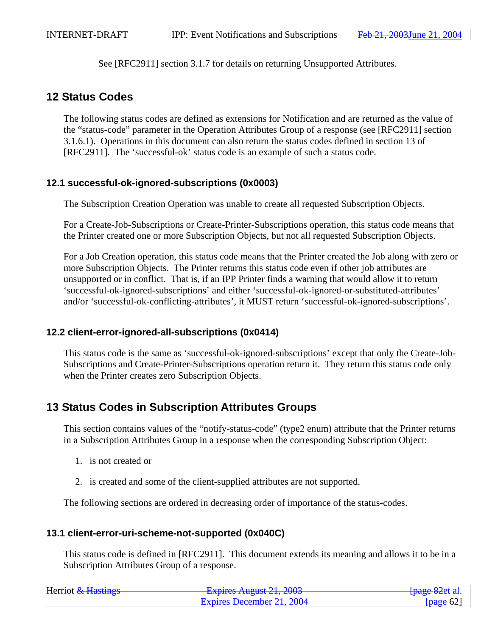See [RFC2911] section 3.1.7 for details on returning Unsupported Attributes.

# **12 Status Codes**

The following status codes are defined as extensions for Notification and are returned as the value of the "status-code" parameter in the Operation Attributes Group of a response (see [RFC2911] section 3.1.6.1). Operations in this document can also return the status codes defined in section 13 of [RFC2911]. The 'successful-ok' status code is an example of such a status code.

# **12.1 successful-ok-ignored-subscriptions (0x0003)**

The Subscription Creation Operation was unable to create all requested Subscription Objects.

For a Create-Job-Subscriptions or Create-Printer-Subscriptions operation, this status code means that the Printer created one or more Subscription Objects, but not all requested Subscription Objects.

For a Job Creation operation, this status code means that the Printer created the Job along with zero or more Subscription Objects. The Printer returns this status code even if other job attributes are unsupported or in conflict. That is, if an IPP Printer finds a warning that would allow it to return 'successful-ok-ignored-subscriptions' and either 'successful-ok-ignored-or-substituted-attributes' and/or 'successful-ok-conflicting-attributes', it MUST return 'successful-ok-ignored-subscriptions'.

## **12.2 client-error-ignored-all-subscriptions (0x0414)**

This status code is the same as 'successful-ok-ignored-subscriptions' except that only the Create-Job-Subscriptions and Create-Printer-Subscriptions operation return it. They return this status code only when the Printer creates zero Subscription Objects.

# **13 Status Codes in Subscription Attributes Groups**

This section contains values of the "notify-status-code" (type2 enum) attribute that the Printer returns in a Subscription Attributes Group in a response when the corresponding Subscription Object:

- 1. is not created or
- 2. is created and some of the client-supplied attributes are not supported.

The following sections are ordered in decreasing order of importance of the status-codes.

## **13.1 client-error-uri-scheme-not-supported (0x040C)**

This status code is defined in [RFC2911]. This document extends its meaning and allows it to be in a Subscription Attributes Group of a response.

| Herriot & Hastings | Evoirag August $21, 2002$<br>$\frac{1}{2}$ Laplito Truguot 21, 2005 | <del>[page 82</del> et al. |
|--------------------|---------------------------------------------------------------------|----------------------------|
|                    | Expires December 21, 2004                                           | [ $page 62$ ]              |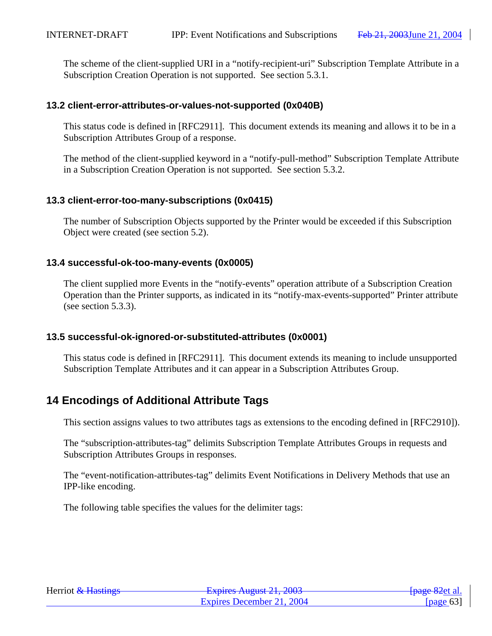The scheme of the client-supplied URI in a "notify-recipient-uri" Subscription Template Attribute in a Subscription Creation Operation is not supported. See section 5.3.1.

## **13.2 client-error-attributes-or-values-not-supported (0x040B)**

This status code is defined in [RFC2911]. This document extends its meaning and allows it to be in a Subscription Attributes Group of a response.

The method of the client-supplied keyword in a "notify-pull-method" Subscription Template Attribute in a Subscription Creation Operation is not supported. See section 5.3.2.

## **13.3 client-error-too-many-subscriptions (0x0415)**

The number of Subscription Objects supported by the Printer would be exceeded if this Subscription Object were created (see section 5.2).

## **13.4 successful-ok-too-many-events (0x0005)**

The client supplied more Events in the "notify-events" operation attribute of a Subscription Creation Operation than the Printer supports, as indicated in its "notify-max-events-supported" Printer attribute (see section 5.3.3).

# **13.5 successful-ok-ignored-or-substituted-attributes (0x0001)**

This status code is defined in [RFC2911]. This document extends its meaning to include unsupported Subscription Template Attributes and it can appear in a Subscription Attributes Group.

# **14 Encodings of Additional Attribute Tags**

This section assigns values to two attributes tags as extensions to the encoding defined in [RFC2910]).

The "subscription-attributes-tag" delimits Subscription Template Attributes Groups in requests and Subscription Attributes Groups in responses.

The "event-notification-attributes-tag" delimits Event Notifications in Delivery Methods that use an IPP-like encoding.

The following table specifies the values for the delimiter tags:

| Herriot & Hastings | Evoiras August $21.2002$<br><del>12 2003 August 21, 2003</del> | <del>[page 82</del> et al. |
|--------------------|----------------------------------------------------------------|----------------------------|
|                    | Expires December 21, 2004                                      | [page 63]                  |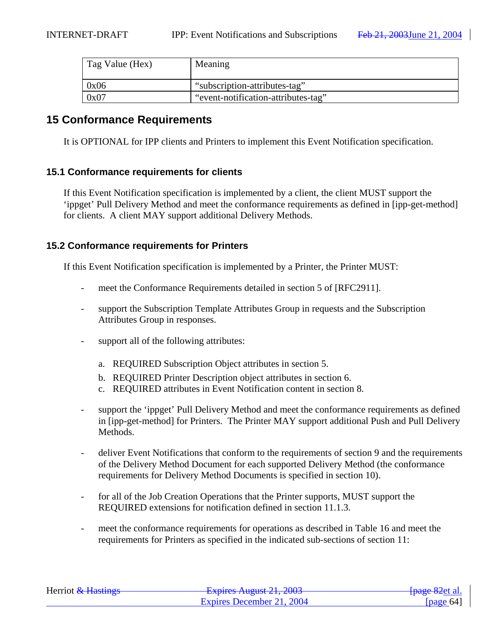| Tag Value (Hex) | Meaning                             |
|-----------------|-------------------------------------|
| 0x06            | "subscription-attributes-tag"       |
| 0x07            | "event-notification-attributes-tag" |

# **15 Conformance Requirements**

It is OPTIONAL for IPP clients and Printers to implement this Event Notification specification.

### **15.1 Conformance requirements for clients**

If this Event Notification specification is implemented by a client, the client MUST support the 'ippget' Pull Delivery Method and meet the conformance requirements as defined in [ipp-get-method] for clients. A client MAY support additional Delivery Methods.

## **15.2 Conformance requirements for Printers**

If this Event Notification specification is implemented by a Printer, the Printer MUST:

- meet the Conformance Requirements detailed in section 5 of [RFC2911].
- support the Subscription Template Attributes Group in requests and the Subscription Attributes Group in responses.
- support all of the following attributes:
	- a. REQUIRED Subscription Object attributes in section 5.
	- b. REQUIRED Printer Description object attributes in section 6.
	- c. REQUIRED attributes in Event Notification content in section 8.
- support the 'ippget' Pull Delivery Method and meet the conformance requirements as defined in [ipp-get-method] for Printers. The Printer MAY support additional Push and Pull Delivery Methods.
- deliver Event Notifications that conform to the requirements of section 9 and the requirements of the Delivery Method Document for each supported Delivery Method (the conformance requirements for Delivery Method Documents is specified in section 10).
- for all of the Job Creation Operations that the Printer supports, MUST support the REQUIRED extensions for notification defined in section 11.1.3.
- meet the conformance requirements for operations as described in Table 16 and meet the requirements for Printers as specified in the indicated sub-sections of section 11:

| Herriot & Hastings | Evoirag August $21, 2002$<br><b>LAPINS AUGUST 41, 400J</b> | <del>[page 82</del> et al. |
|--------------------|------------------------------------------------------------|----------------------------|
|                    | Expires December 21, 2004                                  | [page $64$ ]               |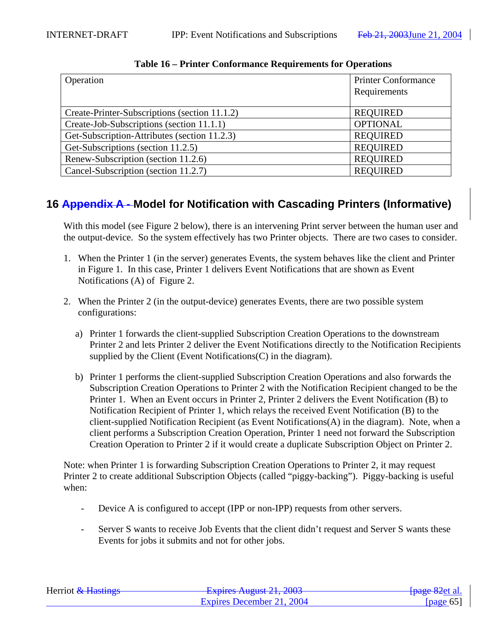| Operation                                     | <b>Printer Conformance</b><br>Requirements |
|-----------------------------------------------|--------------------------------------------|
|                                               |                                            |
| Create-Printer-Subscriptions (section 11.1.2) | <b>REQUIRED</b>                            |
| Create-Job-Subscriptions (section 11.1.1)     | <b>OPTIONAL</b>                            |
| Get-Subscription-Attributes (section 11.2.3)  | <b>REQUIRED</b>                            |
| Get-Subscriptions (section 11.2.5)            | <b>REQUIRED</b>                            |
| Renew-Subscription (section 11.2.6)           | <b>REQUIRED</b>                            |
| Cancel-Subscription (section 11.2.7)          | <b>REQUIRED</b>                            |

**Table 16 – Printer Conformance Requirements for Operations**

# **16 Appendix A - Model for Notification with Cascading Printers (Informative)**

With this model (see Figure 2 below), there is an intervening Print server between the human user and the output-device. So the system effectively has two Printer objects. There are two cases to consider.

- 1. When the Printer 1 (in the server) generates Events, the system behaves like the client and Printer in Figure 1. In this case, Printer 1 delivers Event Notifications that are shown as Event Notifications (A) of Figure 2.
- 2. When the Printer 2 (in the output-device) generates Events, there are two possible system configurations:
	- a) Printer 1 forwards the client-supplied Subscription Creation Operations to the downstream Printer 2 and lets Printer 2 deliver the Event Notifications directly to the Notification Recipients supplied by the Client (Event Notifications (C) in the diagram).
	- b) Printer 1 performs the client-supplied Subscription Creation Operations and also forwards the Subscription Creation Operations to Printer 2 with the Notification Recipient changed to be the Printer 1. When an Event occurs in Printer 2, Printer 2 delivers the Event Notification (B) to Notification Recipient of Printer 1, which relays the received Event Notification (B) to the client-supplied Notification Recipient (as Event Notifications(A) in the diagram). Note, when a client performs a Subscription Creation Operation, Printer 1 need not forward the Subscription Creation Operation to Printer 2 if it would create a duplicate Subscription Object on Printer 2.

Note: when Printer 1 is forwarding Subscription Creation Operations to Printer 2, it may request Printer 2 to create additional Subscription Objects (called "piggy-backing"). Piggy-backing is useful when:

- Device A is configured to accept (IPP or non-IPP) requests from other servers.
- Server S wants to receive Job Events that the client didn't request and Server S wants these Events for jobs it submits and not for other jobs.

| Herriot & Hastings | Evoiras August $21, 2002$<br><del>12 2003 - 12 2003 - 12 2003</del> | <del>[page 82</del> et al. |
|--------------------|---------------------------------------------------------------------|----------------------------|
|                    | Expires December 21, 2004                                           | [page $65$ ]               |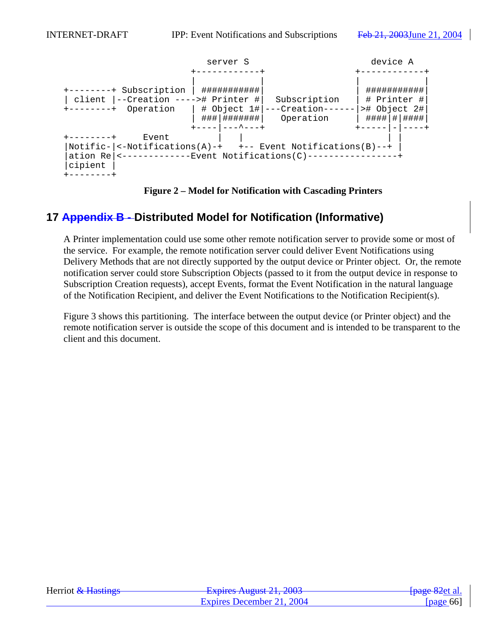

**Figure 2 – Model for Notification with Cascading Printers**

# **17 Appendix B - Distributed Model for Notification (Informative)**

A Printer implementation could use some other remote notification server to provide some or most of the service. For example, the remote notification server could deliver Event Notifications using Delivery Methods that are not directly supported by the output device or Printer object. Or, the remote notification server could store Subscription Objects (passed to it from the output device in response to Subscription Creation requests), accept Events, format the Event Notification in the natural language of the Notification Recipient, and deliver the Event Notifications to the Notification Recipient(s).

Figure 3 shows this partitioning. The interface between the output device (or Printer object) and the remote notification server is outside the scope of this document and is intended to be transparent to the client and this document.

| Herriot & Hastings | Evoirag August $21, 2002$<br><del>- Expires August 21, 2003</del> | <del>[page 82</del> et al. |
|--------------------|-------------------------------------------------------------------|----------------------------|
|                    | Expires December 21, 2004                                         | [ $page 66$ ]              |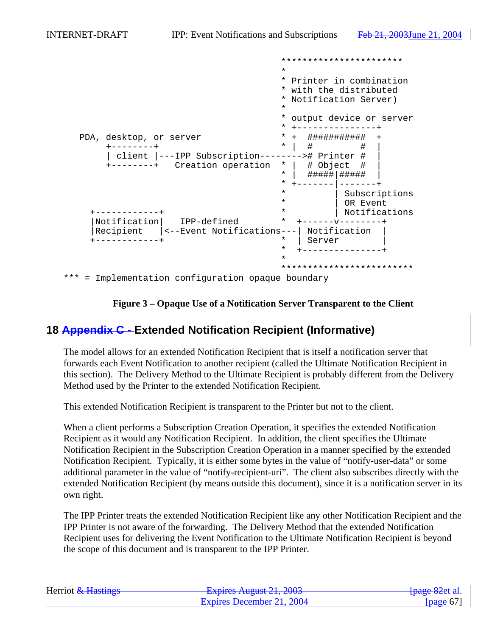|                                                                                                             | ***********************                                                                 |
|-------------------------------------------------------------------------------------------------------------|-----------------------------------------------------------------------------------------|
|                                                                                                             | $\star$                                                                                 |
|                                                                                                             | * Printer in combination<br>* with the distributed<br>* Notification Server)<br>$\star$ |
|                                                                                                             | output device or server                                                                 |
|                                                                                                             |                                                                                         |
| PDA, desktop, or server<br>client  ---IPP Subscription--------># Printer #<br>+--------+ Creation operation | ###########<br>$\star$<br>#<br># Object #<br>$\star$                                    |
|                                                                                                             | #####   #####<br>$\ast$                                                                 |
|                                                                                                             | $\star$<br>Subscriptions<br>$\star$<br>OR Event<br>$\star$                              |
| Notification<br>IPP-defined                                                                                 | Notifications<br>$\star$                                                                |
| Recipient<br> <--Event Notifications---                                                                     | Notification<br>$^\star$<br>Server<br>$- - - - - - - - +$                               |
|                                                                                                             |                                                                                         |
|                                                                                                             | *************************                                                               |
| *** = Implementation configuration opaque boundary                                                          |                                                                                         |



# **18 Appendix C - Extended Notification Recipient (Informative)**

The model allows for an extended Notification Recipient that is itself a notification server that forwards each Event Notification to another recipient (called the Ultimate Notification Recipient in this section). The Delivery Method to the Ultimate Recipient is probably different from the Delivery Method used by the Printer to the extended Notification Recipient.

This extended Notification Recipient is transparent to the Printer but not to the client.

When a client performs a Subscription Creation Operation, it specifies the extended Notification Recipient as it would any Notification Recipient. In addition, the client specifies the Ultimate Notification Recipient in the Subscription Creation Operation in a manner specified by the extended Notification Recipient. Typically, it is either some bytes in the value of "notify-user-data" or some additional parameter in the value of "notify-recipient-uri". The client also subscribes directly with the extended Notification Recipient (by means outside this document), since it is a notification server in its own right.

The IPP Printer treats the extended Notification Recipient like any other Notification Recipient and the IPP Printer is not aware of the forwarding. The Delivery Method that the extended Notification Recipient uses for delivering the Event Notification to the Ultimate Notification Recipient is beyond the scope of this document and is transparent to the IPP Printer.

| Herriot & Hastings | Evoiras August 21, 2003<br><del>- Expires August 21, 2003</del> | <del>[page 82</del> et al. |
|--------------------|-----------------------------------------------------------------|----------------------------|
|                    | Expires December 21, 2004                                       | [page $67$ ]               |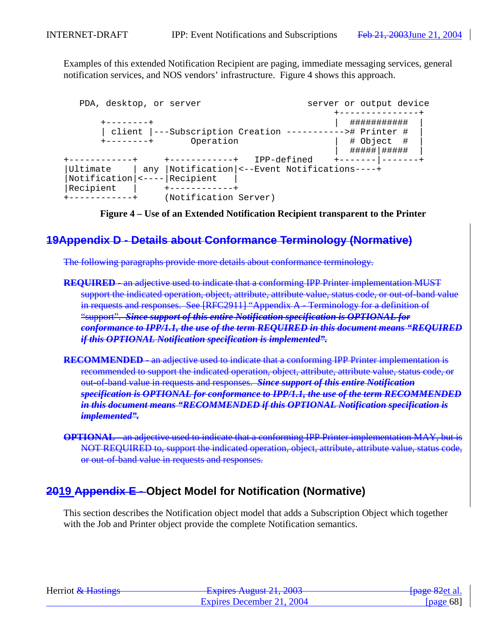Examples of this extended Notification Recipient are paging, immediate messaging services, general notification services, and NOS vendors' infrastructure. Figure 4 shows this approach.

| PDA, desktop, or server         |                                                         |             | server or output device |  |
|---------------------------------|---------------------------------------------------------|-------------|-------------------------|--|
|                                 |                                                         |             |                         |  |
| -------+                        |                                                         |             | ###########             |  |
|                                 | client  ---Subscription Creation ----------># Printer # |             |                         |  |
| --------+                       | Operation                                               |             | # Object #              |  |
|                                 |                                                         |             | #####   #####           |  |
|                                 | +-----------+                                           | IPP-defined | +------- ------         |  |
| Ultimate                        | any  Notification <--Event Notifications----+           |             |                         |  |
| Notification  <----   Recipient |                                                         |             |                         |  |
| Recipient                       |                                                         |             |                         |  |
|                                 | (Notification Server)                                   |             |                         |  |

**Figure 4 – Use of an Extended Notification Recipient transparent to the Printer**

# **19Appendix D - Details about Conformance Terminology (Normative)**

The following paragraphs provide more details about conformance terminology.

- **REQUIRED** an adjective used to indicate that a conforming IPP Printer implementation MUST support the indicated operation, object, attribute, attribute value, status code, or out-of-band value in requests and responses. See [RFC2911] "Appendix A - Terminology for a definition of "support". *Since support of this entire Notification specification is OPTIONAL for conformance to IPP/1.1, the use of the term REQUIRED in this document means "REQUIRED if this OPTIONAL Notification specification is implemented".*
- **RECOMMENDED** an adjective used to indicate that a conforming IPP Printer implementation is recommended to support the indicated operation, object, attribute, attribute value, status code, or out-of-band value in requests and responses. *Since support of this entire Notification specification is OPTIONAL for conformance to IPP/1.1, the use of the term RECOMMENDED in this document means "RECOMMENDED if this OPTIONAL Notification specification is implemented".*
- **OPTIONAL**  an adjective used to indicate that a conforming IPP Printer implementation MAY, but is NOT REQUIRED to, support the indicated operation, object, attribute, attribute value, status code, or out-of-band value in requests and responses.

# **2019 Appendix E - Object Model for Notification (Normative)**

This section describes the Notification object model that adds a Subscription Object which together with the Job and Printer object provide the complete Notification semantics.

| Herriot & Hastings | Evoiras August 21, 2002<br>$\frac{1}{4}$ Laplitos Turgust 21, 2005 | <del>[page 82</del> et al. |
|--------------------|--------------------------------------------------------------------|----------------------------|
|                    | Expires December 21, 2004                                          | [ $page 68$ ]              |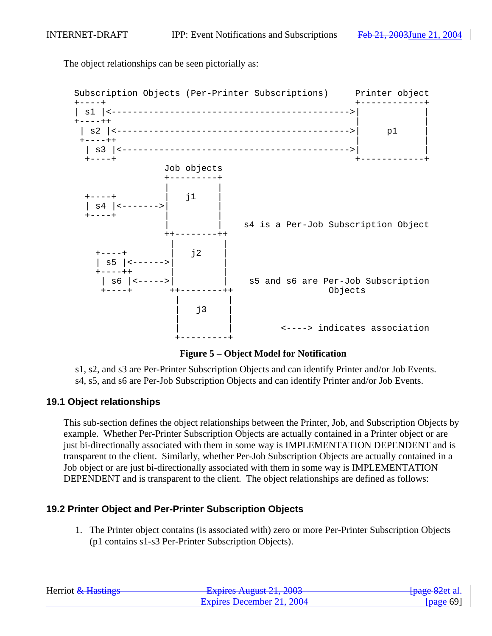The object relationships can be seen pictorially as:



**Figure 5 – Object Model for Notification**

s1, s2, and s3 are Per-Printer Subscription Objects and can identify Printer and/or Job Events. s4, s5, and s6 are Per-Job Subscription Objects and can identify Printer and/or Job Events.

## **19.1 Object relationships**

This sub-section defines the object relationships between the Printer, Job, and Subscription Objects by example. Whether Per-Printer Subscription Objects are actually contained in a Printer object or are just bi-directionally associated with them in some way is IMPLEMENTATION DEPENDENT and is transparent to the client. Similarly, whether Per-Job Subscription Objects are actually contained in a Job object or are just bi-directionally associated with them in some way is IMPLEMENTATION DEPENDENT and is transparent to the client. The object relationships are defined as follows:

## **19.2 Printer Object and Per-Printer Subscription Objects**

1. The Printer object contains (is associated with) zero or more Per-Printer Subscription Objects (p1 contains s1-s3 Per-Printer Subscription Objects).

| Herriot & Hastings | Evoiras August $21, 2002$<br><del>12 2003 - 12 2003 - 12 2003</del> | <del>[page 82</del> et al. |
|--------------------|---------------------------------------------------------------------|----------------------------|
|                    | Expires December 21, 2004                                           | [page 69]                  |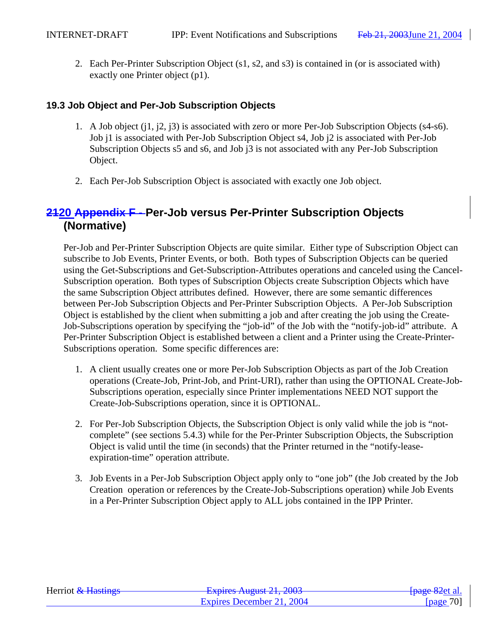2. Each Per-Printer Subscription Object (s1, s2, and s3) is contained in (or is associated with) exactly one Printer object (p1).

# **19.3 Job Object and Per-Job Subscription Objects**

- 1. A Job object (j1, j2, j3) is associated with zero or more Per-Job Subscription Objects (s4-s6). Job j1 is associated with Per-Job Subscription Object s4, Job j2 is associated with Per-Job Subscription Objects s5 and s6, and Job j3 is not associated with any Per-Job Subscription Object.
- 2. Each Per-Job Subscription Object is associated with exactly one Job object.

# **2120 Appendix F - Per-Job versus Per-Printer Subscription Objects (Normative)**

Per-Job and Per-Printer Subscription Objects are quite similar. Either type of Subscription Object can subscribe to Job Events, Printer Events, or both. Both types of Subscription Objects can be queried using the Get-Subscriptions and Get-Subscription-Attributes operations and canceled using the Cancel-Subscription operation. Both types of Subscription Objects create Subscription Objects which have the same Subscription Object attributes defined. However, there are some semantic differences between Per-Job Subscription Objects and Per-Printer Subscription Objects. A Per-Job Subscription Object is established by the client when submitting a job and after creating the job using the Create-Job-Subscriptions operation by specifying the "job-id" of the Job with the "notify-job-id" attribute. A Per-Printer Subscription Object is established between a client and a Printer using the Create-Printer-Subscriptions operation. Some specific differences are:

- 1. A client usually creates one or more Per-Job Subscription Objects as part of the Job Creation operations (Create-Job, Print-Job, and Print-URI), rather than using the OPTIONAL Create-Job-Subscriptions operation, especially since Printer implementations NEED NOT support the Create-Job-Subscriptions operation, since it is OPTIONAL.
- 2. For Per-Job Subscription Objects, the Subscription Object is only valid while the job is "notcomplete" (see sections 5.4.3) while for the Per-Printer Subscription Objects, the Subscription Object is valid until the time (in seconds) that the Printer returned in the "notify-leaseexpiration-time" operation attribute.
- 3. Job Events in a Per-Job Subscription Object apply only to "one job" (the Job created by the Job Creation operation or references by the Create-Job-Subscriptions operation) while Job Events in a Per-Printer Subscription Object apply to ALL jobs contained in the IPP Printer.

| Herriot & Hastings | $Evariance$ August 21, 2002<br><b>LAPIIUS AUGUST 41, 400J</b> | <del>[page 82</del> et al. |
|--------------------|---------------------------------------------------------------|----------------------------|
|                    | Expires December 21, 2004                                     | [page $70$ ]               |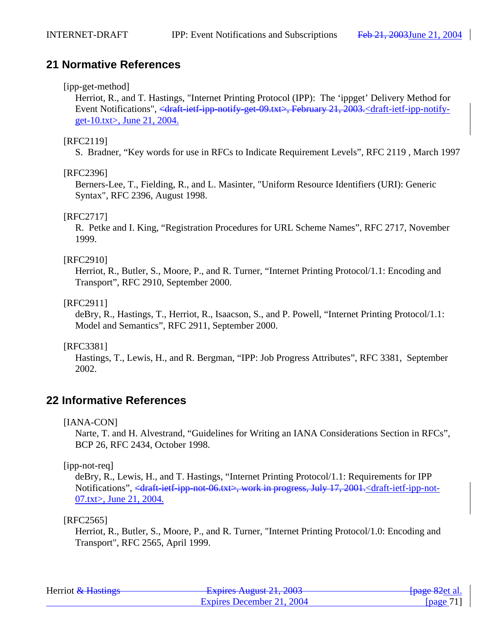# **21 Normative References**

## [ipp-get-method]

Herriot, R., and T. Hastings, "Internet Printing Protocol (IPP): The 'ippget' Delivery Method for Event Notifications", <draft-ietf-ipp-notify-get-09.txt>, February 21, 2003.<draft-ietf-ipp-notifyget-10.txt>, June 21, 2004.

## [RFC2119]

S. Bradner, "Key words for use in RFCs to Indicate Requirement Levels", RFC 2119 , March 1997

## [RFC2396]

Berners-Lee, T., Fielding, R., and L. Masinter, "Uniform Resource Identifiers (URI): Generic Syntax", RFC 2396, August 1998.

## [RFC2717]

R. Petke and I. King, "Registration Procedures for URL Scheme Names", RFC 2717, November 1999.

## [RFC2910]

Herriot, R., Butler, S., Moore, P., and R. Turner, "Internet Printing Protocol/1.1: Encoding and Transport", RFC 2910, September 2000.

## [RFC2911]

deBry, R., Hastings, T., Herriot, R., Isaacson, S., and P. Powell, "Internet Printing Protocol/1.1: Model and Semantics", RFC 2911, September 2000.

## [RFC3381]

Hastings, T., Lewis, H., and R. Bergman, "IPP: Job Progress Attributes", RFC 3381, September 2002.

# **22 Informative References**

[IANA-CON]

Narte, T. and H. Alvestrand, "Guidelines for Writing an IANA Considerations Section in RFCs", BCP 26, RFC 2434, October 1998.

## [ipp-not-req]

deBry, R., Lewis, H., and T. Hastings, "Internet Printing Protocol/1.1: Requirements for IPP Notifications", <draft-ietf-ipp-not-06.txt>, work in progress, July 17, 2001.<draft-ietf-ipp-not-07.txt>, June 21, 2004.

### [RFC2565]

Herriot, R., Butler, S., Moore, P., and R. Turner, "Internet Printing Protocol/1.0: Encoding and Transport", RFC 2565, April 1999.

| Herriot & Hastings | Evnirac August $21, 2002$<br><del>- Expires August 21, 2003</del> | <del>[page 82</del> et al. |
|--------------------|-------------------------------------------------------------------|----------------------------|
|                    | Expires December 21, 2004                                         | [ $page 71$ ]              |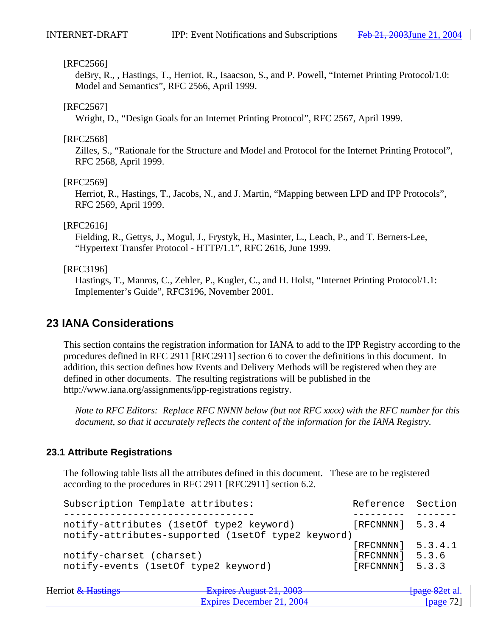#### [RFC2566]

deBry, R., , Hastings, T., Herriot, R., Isaacson, S., and P. Powell, "Internet Printing Protocol/1.0: Model and Semantics", RFC 2566, April 1999.

#### [RFC2567]

Wright, D., "Design Goals for an Internet Printing Protocol", RFC 2567, April 1999.

#### [RFC2568]

Zilles, S., "Rationale for the Structure and Model and Protocol for the Internet Printing Protocol", RFC 2568, April 1999.

#### [RFC2569]

Herriot, R., Hastings, T., Jacobs, N., and J. Martin, "Mapping between LPD and IPP Protocols", RFC 2569, April 1999.

#### [RFC2616]

Fielding, R., Gettys, J., Mogul, J., Frystyk, H., Masinter, L., Leach, P., and T. Berners-Lee, "Hypertext Transfer Protocol - HTTP/1.1", RFC 2616, June 1999.

#### [RFC3196]

Hastings, T., Manros, C., Zehler, P., Kugler, C., and H. Holst, "Internet Printing Protocol/1.1: Implementer's Guide", RFC3196, November 2001.

# **23 IANA Considerations**

This section contains the registration information for IANA to add to the IPP Registry according to the procedures defined in RFC 2911 [RFC2911] section 6 to cover the definitions in this document. In addition, this section defines how Events and Delivery Methods will be registered when they are defined in other documents. The resulting registrations will be published in the http://www.iana.org/assignments/ipp-registrations registry.

*Note to RFC Editors: Replace RFC NNNN below (but not RFC xxxx) with the RFC number for this document, so that it accurately reflects the content of the information for the IANA Registry.*

## **23.1 Attribute Registrations**

The following table lists all the attributes defined in this document. These are to be registered according to the procedures in RFC 2911 [RFC2911] section 6.2.

| Subscription Template attributes:                  | Reference Section   |       |
|----------------------------------------------------|---------------------|-------|
|                                                    |                     |       |
| notify-attributes (1setOf type2 keyword)           | $[RECNNNN]$ 5.3.4   |       |
| notify-attributes-supported (1setOf type2 keyword) |                     |       |
|                                                    | $[RECNNNN]$ 5.3.4.1 |       |
| notify-charset (charset)                           | [RFCNNNN]           | 5.3.6 |
| notify-events (1setOf type2 keyword)               | [RFCNNNN]           | 5.3.3 |
|                                                    |                     |       |

| Herriot & Hastings | Evoirage August $21, 2002$<br>$\frac{1}{4}$ Laplitos Truguot 21, 2005 | <del>[page 82</del> et al. |
|--------------------|-----------------------------------------------------------------------|----------------------------|
|                    | Expires December 21, 2004                                             | [page $72$ ]               |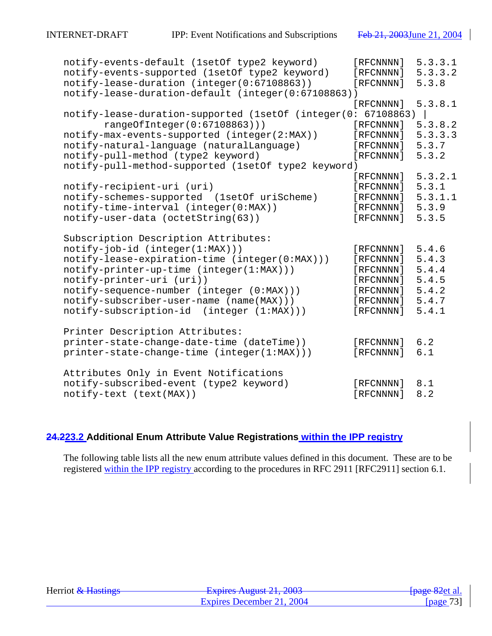| notify-events-default (1setOf type2 keyword)        | [RFCNNNN] | 5.3.3.1 |
|-----------------------------------------------------|-----------|---------|
| notify-events-supported (1setOf type2 keyword)      | [RFCNNNN] | 5.3.3.2 |
| notify-lease-duration (integer(0:67108863))         | [RFCNNNN] | 5.3.8   |
| notify-lease-duration-default (integer(0:67108863)) |           |         |
|                                                     | [RFCNNNN] | 5.3.8.1 |
| notify-lease-duration-supported (1setOf (integer(0: | 67108863) |         |
| rangeOfInteger(0:67108863)))                        | [RFCNNNN] | 5.3.8.2 |
| notify-max-events-supported (integer(2:MAX))        | [RFCNNNN] | 5.3.3.3 |
| notify-natural-language (naturalLanguage)           | [RFCNNNN] | 5.3.7   |
| notify-pull-method (type2 keyword)                  | [RFCNNNN] | 5.3.2   |
| notify-pull-method-supported (1setOf type2 keyword) |           |         |
|                                                     | [RFCNNNN] | 5.3.2.1 |
| notify-recipient-uri (uri)                          | [RFCNNNN] | 5.3.1   |
| notify-schemes-supported (1setOf uriScheme)         | [RFCNNNN] | 5.3.1.1 |
| notify-time-interval (integer(0:MAX))               | [RFCNNNN] | 5.3.9   |
| notify-user-data (octetString(63))                  | [RFCNNNN] | 5.3.5   |
|                                                     |           |         |
| Subscription Description Attributes:                |           |         |
| $notify-job-id (integer(1:MAX))$                    | [RFCNNNN] | 5.4.6   |
| notify-lease-expiration-time (integer(0:MAX)))      | [RFCNNNN] | 5.4.3   |
| notify-printer-up-time (integer(1:MAX)))            | [RFCNNNN] | 5.4.4   |
| notify-printer-uri (uri))                           | [RFCNNNN] | 5.4.5   |
| notify-sequence-number (integer (0:MAX)))           | [RFCNNNN] | 5.4.2   |
| notify-subscriber-user-name (name(MAX)))            | [RFCNNNN] | 5.4.7   |
| notify-subscription-id (integer (1:MAX)))           | [RFCNNNN] | 5.4.1   |
|                                                     |           |         |
| Printer Description Attributes:                     |           |         |
| printer-state-change-date-time (dateTime))          | [RFCNNNN] | 6.2     |
| printer-state-change-time (integer(1:MAX)))         | [RFCNNNN] | 6.1     |
|                                                     |           |         |
| Attributes Only in Event Notifications              |           |         |
| notify-subscribed-event (type2 keyword)             | [RFCNNNN] | 8.1     |
| notify-text (text(MAX))                             | [RFCNNNN] | 8.2     |

# **24.223.2 Additional Enum Attribute Value Registrations within the IPP registry**

The following table lists all the new enum attribute values defined in this document. These are to be registered within the IPP registry according to the procedures in RFC 2911 [RFC2911] section 6.1.

| Herriot & Hastings | Evoirag August $21, 2002$<br><del>12 2003 August 21, 2003</del> | <del>[page 82</del> et al. |
|--------------------|-----------------------------------------------------------------|----------------------------|
|                    | Expires December 21, 2004                                       | [page $73$ ]               |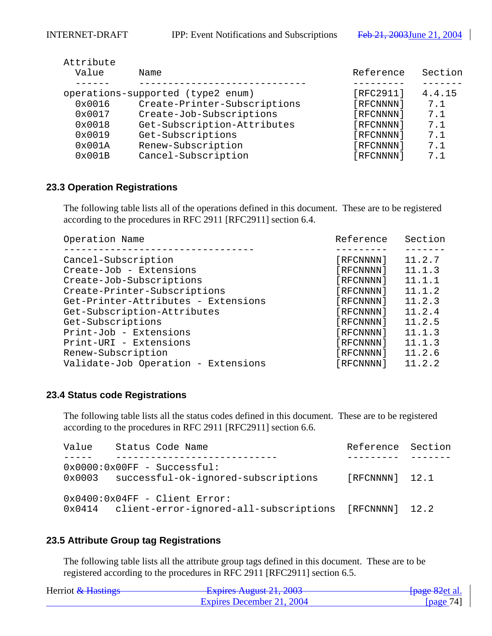| Attribute |                                   |           |         |
|-----------|-----------------------------------|-----------|---------|
| Value     | Name                              | Reference | Section |
|           |                                   |           |         |
|           | operations-supported (type2 enum) | [RFC2911] | 4.4.15  |
| 0x0016    | Create-Printer-Subscriptions      | [RFCNNNN] | 7.1     |
| 0x0017    | Create-Job-Subscriptions          | [RFCNNNN] | 7.1     |
| 0x0018    | Get-Subscription-Attributes       | [RFCNNNN] | 7.1     |
| 0x0019    | Get-Subscriptions                 | [RFCNNNN] | 7.1     |
| 0x001A    | Renew-Subscription                | [RFCNNNN] | 7.1     |
| 0x001B    | Cancel-Subscription               | [RFCNNNN] | 7.1     |

#### **23.3 Operation Registrations**

The following table lists all of the operations defined in this document. These are to be registered according to the procedures in RFC 2911 [RFC2911] section 6.4.

| Operation Name                      | Reference | Section |
|-------------------------------------|-----------|---------|
|                                     |           |         |
| Cancel-Subscription                 | [RFCNNNN] | 11.2.7  |
| Create-Job - Extensions             | [RFCNNNN] | 11.1.3  |
| Create-Job-Subscriptions            | [RFCNNNN] | 11.1.1  |
| Create-Printer-Subscriptions        | [RFCNNNN] | 11.1.2  |
| Get-Printer-Attributes - Extensions | [RFCNNNN] | 11.2.3  |
| Get-Subscription-Attributes         | [RFCNNNN] | 11.2.4  |
| Get-Subscriptions                   | [RFCNNNN] | 11.2.5  |
| Print-Job - Extensions              | [RFCNNNN] | 11.1.3  |
| Print-URI - Extensions              | [RFCNNNN] | 11.1.3  |
| Renew-Subscription                  | [RFCNNNN] | 11.2.6  |
| Validate-Job Operation - Extensions | [RFCNNNN] | 11.2.2  |

#### **23.4 Status code Registrations**

The following table lists all the status codes defined in this document. These are to be registered according to the procedures in RFC 2911 [RFC2911] section 6.6.

| Value | Status Code Name                                                                                | Reference Section |  |
|-------|-------------------------------------------------------------------------------------------------|-------------------|--|
|       | $0x0000:0x00FF - Successful:$<br>0x0003 successful-ok-ignored-subscriptions                     | [RFCNNNN] 12.1    |  |
|       | $0x0400:0x04FF - Client Error:$<br>0x0414 client-error-ignored-all-subscriptions [RFCNNNN] 12.2 |                   |  |

## **23.5 Attribute Group tag Registrations**

The following table lists all the attribute group tags defined in this document. These are to be registered according to the procedures in RFC 2911 [RFC2911] section 6.5.

| Herriot & Hastings | Evoirag August $21,2002$<br>$\frac{1}{4}$ Lapitus Truguot $\angle 1, \angle 000$ | <del>[page 82</del> et al. |
|--------------------|----------------------------------------------------------------------------------|----------------------------|
|                    | Expires December 21, 2004                                                        | [ $page 74$ ]              |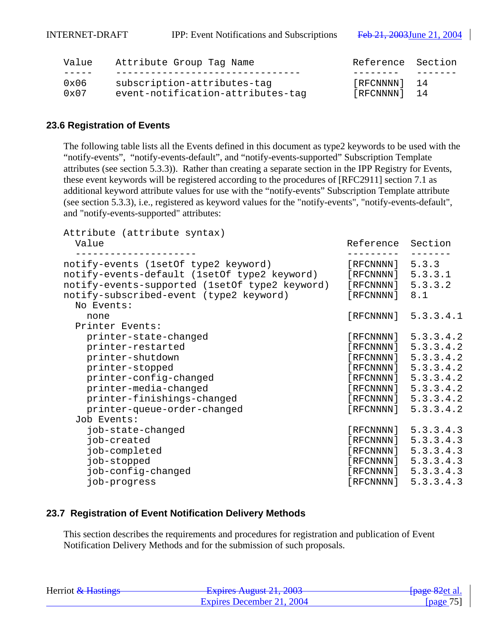INTERNET-DRAFT IPP: Event Notifications and Subscriptions Feb 21, 2003 June 21, 2004

| Value         | Attribute Group Tag Name          | Reference Section |  |
|---------------|-----------------------------------|-------------------|--|
|               |                                   |                   |  |
| 0x06          | subscription-attributes-tag       | [RFCNNNN] 14      |  |
| $0 \times 07$ | event-notification-attributes-tag | [RFCNNNN] 14      |  |

#### **23.6 Registration of Events**

The following table lists all the Events defined in this document as type2 keywords to be used with the "notify-events", "notify-events-default", and "notify-events-supported" Subscription Template attributes (see section 5.3.3)). Rather than creating a separate section in the IPP Registry for Events, these event keywords will be registered according to the procedures of [RFC2911] section 7.1 as additional keyword attribute values for use with the "notify-events" Subscription Template attribute (see section 5.3.3), i.e., registered as keyword values for the "notify-events", "notify-events-default", and "notify-events-supported" attributes:

| Attribute (attribute syntax)<br>Value                                                                                                                                                                                | Reference Section                                                              |                                                                                                                                                                                                                                |
|----------------------------------------------------------------------------------------------------------------------------------------------------------------------------------------------------------------------|--------------------------------------------------------------------------------|--------------------------------------------------------------------------------------------------------------------------------------------------------------------------------------------------------------------------------|
| notify-events (1setOf type2 keyword)<br>notify-events-default (1setOf type2 keyword)<br>notify-events-supported (1setOf type2 keyword)<br>notify-subscribed-event (type2 keyword)<br>No Events:                      | [RECNNNN] 5.3.3<br>$[RECNNNN]$ 5.3.3.1<br>$[RECNNNN]$ 5.3.3.2<br>[RFCNNNN] 8.1 |                                                                                                                                                                                                                                |
| none                                                                                                                                                                                                                 |                                                                                | $[$ RFCNNNN $] 5.3.3.4.1$                                                                                                                                                                                                      |
| Printer Events:<br>printer-state-changed<br>printer-restarted<br>printer-shutdown<br>printer-stopped<br>printer-config-changed<br>printer-media-changed<br>printer-finishings-changed<br>printer-queue-order-changed |                                                                                | $[$ RFCNNNN $] 5.3.3.4.2$<br>$[$ RFCNNNN $] 5.3.3.4.2$<br>$[$ RFCNNNN $] 5.3.3.4.2$<br>$[$ RFCNNNN $] 5.3.3.4.2$<br>$[$ RFCNNNN $] 5.3.3.4.2$<br>$[$ RFCNNNN $] 5.3.3.4.2$<br>[RFCNNNN] 5.3.3.4.2<br>$[$ RFCNNNN $] 5.3.3.4.2$ |
| Job Events:<br>job-state-changed<br>job-created<br>job-completed<br>job-stopped<br>job-config-changed<br>job-progress                                                                                                |                                                                                | [RFCNNNN] 5.3.3.4.3<br>[RFCNNNN] 5.3.3.4.3<br>[RFCNNNN] 5.3.3.4.3<br>[RFCNNNN] 5.3.3.4.3<br>[RFCNNNN] 5.3.3.4.3<br>[RECNNNN] 5.3.3.4.3                                                                                         |

#### **23.7 Registration of Event Notification Delivery Methods**

This section describes the requirements and procedures for registration and publication of Event Notification Delivery Methods and for the submission of such proposals.

| Herriot & Hastings | Evoiras August 21, 2002<br><del>- Expires August 21, 2003</del> | <del>[page 82</del> et al. |
|--------------------|-----------------------------------------------------------------|----------------------------|
|                    | Expires December 21, 2004                                       | [page $75$ ]               |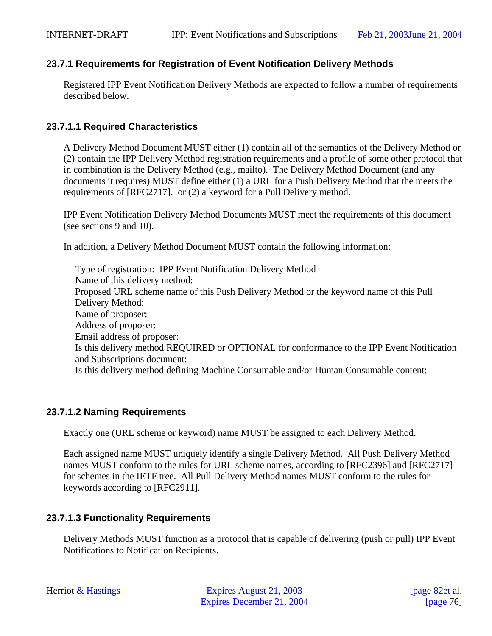## **23.7.1 Requirements for Registration of Event Notification Delivery Methods**

Registered IPP Event Notification Delivery Methods are expected to follow a number of requirements described below.

## **23.7.1.1 Required Characteristics**

A Delivery Method Document MUST either (1) contain all of the semantics of the Delivery Method or (2) contain the IPP Delivery Method registration requirements and a profile of some other protocol that in combination is the Delivery Method (e.g., mailto). The Delivery Method Document (and any documents it requires) MUST define either (1) a URL for a Push Delivery Method that the meets the requirements of [RFC2717]. or (2) a keyword for a Pull Delivery method.

IPP Event Notification Delivery Method Documents MUST meet the requirements of this document (see sections 9 and 10).

In addition, a Delivery Method Document MUST contain the following information:

Type of registration: IPP Event Notification Delivery Method Name of this delivery method: Proposed URL scheme name of this Push Delivery Method or the keyword name of this Pull Delivery Method: Name of proposer: Address of proposer: Email address of proposer: Is this delivery method REQUIRED or OPTIONAL for conformance to the IPP Event Notification and Subscriptions document: Is this delivery method defining Machine Consumable and/or Human Consumable content:

## **23.7.1.2 Naming Requirements**

Exactly one (URL scheme or keyword) name MUST be assigned to each Delivery Method.

Each assigned name MUST uniquely identify a single Delivery Method. All Push Delivery Method names MUST conform to the rules for URL scheme names, according to [RFC2396] and [RFC2717] for schemes in the IETF tree. All Pull Delivery Method names MUST conform to the rules for keywords according to [RFC2911].

## **23.7.1.3 Functionality Requirements**

Delivery Methods MUST function as a protocol that is capable of delivering (push or pull) IPP Event Notifications to Notification Recipients.

| Herriot & Hastings | Evoiras August $21, 2002$<br>$\frac{1}{2}$ Laptics August 21, 2003 | <del>[page 82</del> et al. |
|--------------------|--------------------------------------------------------------------|----------------------------|
|                    | Expires December 21, 2004                                          | [page $76$ ]               |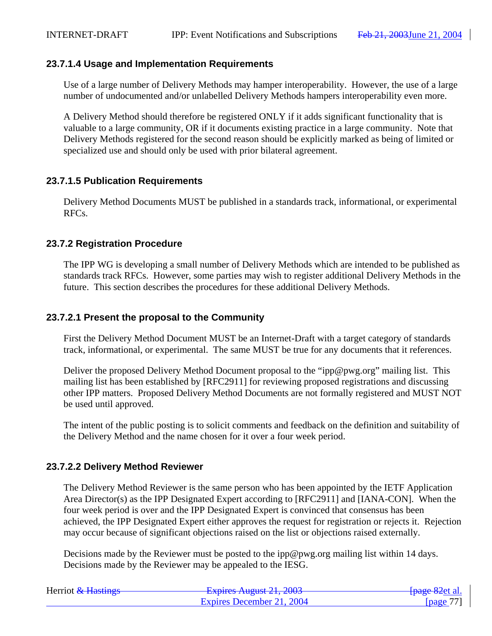#### **23.7.1.4 Usage and Implementation Requirements**

Use of a large number of Delivery Methods may hamper interoperability. However, the use of a large number of undocumented and/or unlabelled Delivery Methods hampers interoperability even more.

A Delivery Method should therefore be registered ONLY if it adds significant functionality that is valuable to a large community, OR if it documents existing practice in a large community. Note that Delivery Methods registered for the second reason should be explicitly marked as being of limited or specialized use and should only be used with prior bilateral agreement.

### **23.7.1.5 Publication Requirements**

Delivery Method Documents MUST be published in a standards track, informational, or experimental RFCs.

### **23.7.2 Registration Procedure**

The IPP WG is developing a small number of Delivery Methods which are intended to be published as standards track RFCs. However, some parties may wish to register additional Delivery Methods in the future. This section describes the procedures for these additional Delivery Methods.

#### **23.7.2.1 Present the proposal to the Community**

First the Delivery Method Document MUST be an Internet-Draft with a target category of standards track, informational, or experimental. The same MUST be true for any documents that it references.

Deliver the proposed Delivery Method Document proposal to the "ipp@pwg.org" mailing list. This mailing list has been established by [RFC2911] for reviewing proposed registrations and discussing other IPP matters. Proposed Delivery Method Documents are not formally registered and MUST NOT be used until approved.

The intent of the public posting is to solicit comments and feedback on the definition and suitability of the Delivery Method and the name chosen for it over a four week period.

#### **23.7.2.2 Delivery Method Reviewer**

The Delivery Method Reviewer is the same person who has been appointed by the IETF Application Area Director(s) as the IPP Designated Expert according to [RFC2911] and [IANA-CON]. When the four week period is over and the IPP Designated Expert is convinced that consensus has been achieved, the IPP Designated Expert either approves the request for registration or rejects it. Rejection may occur because of significant objections raised on the list or objections raised externally.

Decisions made by the Reviewer must be posted to the ipp@pwg.org mailing list within 14 days. Decisions made by the Reviewer may be appealed to the IESG.

| Herriot & Hastings | Evoiras August $21, 2002$<br>$\frac{1}{4}$ Laphes Truguot 21, 2005 | <del>[page 82</del> et al. |
|--------------------|--------------------------------------------------------------------|----------------------------|
|                    | Expires December 21, 2004                                          | [ $page 77$ ]              |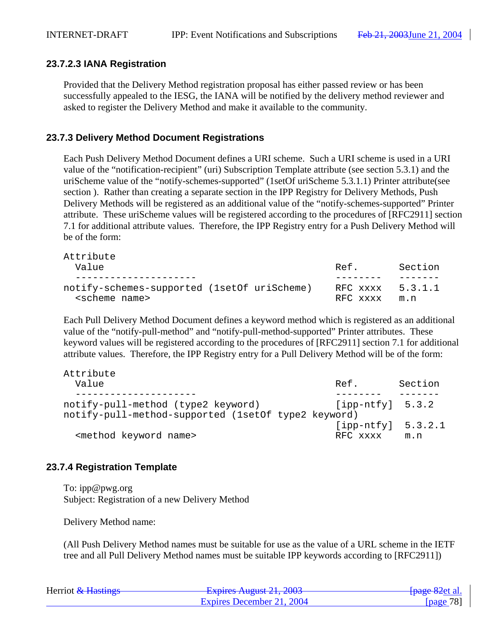Attribute

### **23.7.2.3 IANA Registration**

Provided that the Delivery Method registration proposal has either passed review or has been successfully appealed to the IESG, the IANA will be notified by the delivery method reviewer and asked to register the Delivery Method and make it available to the community.

### **23.7.3 Delivery Method Document Registrations**

Each Push Delivery Method Document defines a URI scheme. Such a URI scheme is used in a URI value of the "notification-recipient" (uri) Subscription Template attribute (see section 5.3.1) and the uriScheme value of the "notify-schemes-supported" (1setOf uriScheme 5.3.1.1) Printer attribute(see section ). Rather than creating a separate section in the IPP Registry for Delivery Methods, Push Delivery Methods will be registered as an additional value of the "notify-schemes-supported" Printer attribute. These uriScheme values will be registered according to the procedures of [RFC2911] section 7.1 for additional attribute values. Therefore, the IPP Registry entry for a Push Delivery Method will be of the form:

| Attribute                                   |                  |         |
|---------------------------------------------|------------------|---------|
| Value                                       | Ref.             | Section |
|                                             |                  |         |
| notify-schemes-supported (1setOf uriScheme) | RFC xxxx 5.3.1.1 |         |
| <scheme name=""></scheme>                   | RFC xxxx m.n     |         |

Each Pull Delivery Method Document defines a keyword method which is registered as an additional value of the "notify-pull-method" and "notify-pull-method-supported" Printer attributes. These keyword values will be registered according to the procedures of [RFC2911] section 7.1 for additional attribute values. Therefore, the IPP Registry entry for a Pull Delivery Method will be of the form:

Attribute Value **Ref.** Section --------------------- -------- ------ notify-pull-method (type2 keyword) [ipp-ntfy] 5.3.2 notify-pull-method-supported (1setOf type2 keyword) [ipp-ntfy] 5.3.2.1 <method keyword name> RFC xxxx m.n

#### **23.7.4 Registration Template**

To: ipp@pwg.org Subject: Registration of a new Delivery Method

Delivery Method name:

(All Push Delivery Method names must be suitable for use as the value of a URL scheme in the IETF tree and all Pull Delivery Method names must be suitable IPP keywords according to [RFC2911])

| Herriot & Hastings | Evnirac August $21, 2002$<br>$\frac{1}{2}$ Laptics August 21, 2005 | <del>[page 82</del> et al. |
|--------------------|--------------------------------------------------------------------|----------------------------|
|                    | Expires December 21, 2004                                          | [page $78$ ]               |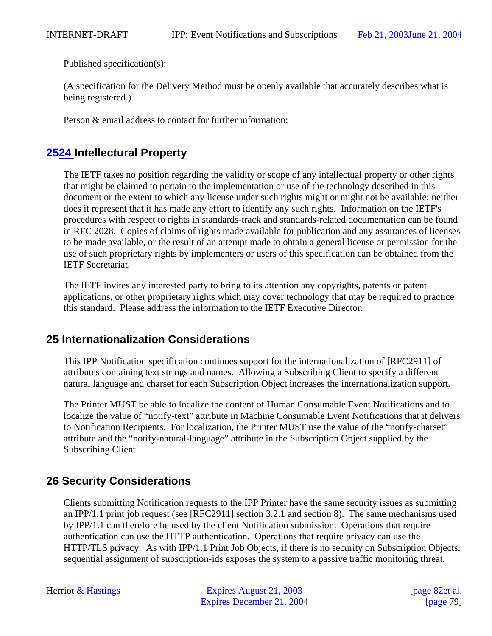Published specification(s):

(A specification for the Delivery Method must be openly available that accurately describes what is being registered.)

Person & email address to contact for further information:

# **2524 Intellectural Property**

The IETF takes no position regarding the validity or scope of any intellectual property or other rights that might be claimed to pertain to the implementation or use of the technology described in this document or the extent to which any license under such rights might or might not be available; neither does it represent that it has made any effort to identify any such rights. Information on the IETF's procedures with respect to rights in standards-track and standards-related documentation can be found in RFC 2028. Copies of claims of rights made available for publication and any assurances of licenses to be made available, or the result of an attempt made to obtain a general license or permission for the use of such proprietary rights by implementers or users of this specification can be obtained from the IETF Secretariat.

The IETF invites any interested party to bring to its attention any copyrights, patents or patent applications, or other proprietary rights which may cover technology that may be required to practice this standard. Please address the information to the IETF Executive Director.

# **25 Internationalization Considerations**

This IPP Notification specification continues support for the internationalization of [RFC2911] of attributes containing text strings and names. Allowing a Subscribing Client to specify a different natural language and charset for each Subscription Object increases the internationalization support.

The Printer MUST be able to localize the content of Human Consumable Event Notifications and to localize the value of "notify-text" attribute in Machine Consumable Event Notifications that it delivers to Notification Recipients. For localization, the Printer MUST use the value of the "notify-charset" attribute and the "notify-natural-language" attribute in the Subscription Object supplied by the Subscribing Client.

# **26 Security Considerations**

Clients submitting Notification requests to the IPP Printer have the same security issues as submitting an IPP/1.1 print job request (see [RFC2911] section 3.2.1 and section 8). The same mechanisms used by IPP/1.1 can therefore be used by the client Notification submission. Operations that require authentication can use the HTTP authentication. Operations that require privacy can use the HTTP/TLS privacy. As with IPP/1.1 Print Job Objects, if there is no security on Subscription Objects, sequential assignment of subscription-ids exposes the system to a passive traffic monitoring threat.

| Herriot & Hastings | Evnirac August $21.2002$<br><b>LAPINS AUGUST 41, 400J</b> | <del>[page 82</del> et al. |
|--------------------|-----------------------------------------------------------|----------------------------|
|                    | Expires December 21, 2004                                 | [ $page 79$ ]              |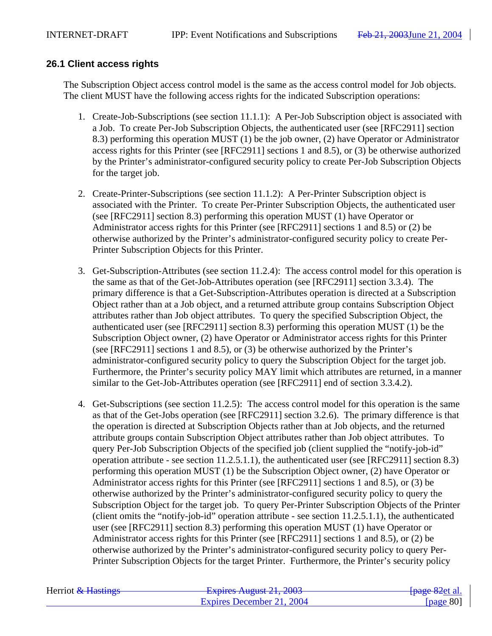# **26.1 Client access rights**

The Subscription Object access control model is the same as the access control model for Job objects. The client MUST have the following access rights for the indicated Subscription operations:

- 1. Create-Job-Subscriptions (see section 11.1.1): A Per-Job Subscription object is associated with a Job. To create Per-Job Subscription Objects, the authenticated user (see [RFC2911] section 8.3) performing this operation MUST (1) be the job owner, (2) have Operator or Administrator access rights for this Printer (see [RFC2911] sections 1 and 8.5), or (3) be otherwise authorized by the Printer's administrator-configured security policy to create Per-Job Subscription Objects for the target job.
- 2. Create-Printer-Subscriptions (see section 11.1.2): A Per-Printer Subscription object is associated with the Printer. To create Per-Printer Subscription Objects, the authenticated user (see [RFC2911] section 8.3) performing this operation MUST (1) have Operator or Administrator access rights for this Printer (see [RFC2911] sections 1 and 8.5) or (2) be otherwise authorized by the Printer's administrator-configured security policy to create Per-Printer Subscription Objects for this Printer.
- 3. Get-Subscription-Attributes (see section 11.2.4): The access control model for this operation is the same as that of the Get-Job-Attributes operation (see [RFC2911] section 3.3.4). The primary difference is that a Get-Subscription-Attributes operation is directed at a Subscription Object rather than at a Job object, and a returned attribute group contains Subscription Object attributes rather than Job object attributes. To query the specified Subscription Object, the authenticated user (see [RFC2911] section 8.3) performing this operation MUST (1) be the Subscription Object owner, (2) have Operator or Administrator access rights for this Printer (see [RFC2911] sections 1 and 8.5), or (3) be otherwise authorized by the Printer's administrator-configured security policy to query the Subscription Object for the target job. Furthermore, the Printer's security policy MAY limit which attributes are returned, in a manner similar to the Get-Job-Attributes operation (see [RFC2911] end of section 3.3.4.2).
- 4. Get-Subscriptions (see section 11.2.5): The access control model for this operation is the same as that of the Get-Jobs operation (see [RFC2911] section 3.2.6). The primary difference is that the operation is directed at Subscription Objects rather than at Job objects, and the returned attribute groups contain Subscription Object attributes rather than Job object attributes. To query Per-Job Subscription Objects of the specified job (client supplied the "notify-job-id" operation attribute - see section 11.2.5.1.1), the authenticated user (see [RFC2911] section 8.3) performing this operation MUST (1) be the Subscription Object owner, (2) have Operator or Administrator access rights for this Printer (see [RFC2911] sections 1 and 8.5), or (3) be otherwise authorized by the Printer's administrator-configured security policy to query the Subscription Object for the target job. To query Per-Printer Subscription Objects of the Printer (client omits the "notify-job-id" operation attribute - see section 11.2.5.1.1), the authenticated user (see [RFC2911] section 8.3) performing this operation MUST (1) have Operator or Administrator access rights for this Printer (see [RFC2911] sections 1 and 8.5), or (2) be otherwise authorized by the Printer's administrator-configured security policy to query Per-Printer Subscription Objects for the target Printer. Furthermore, the Printer's security policy

| Herriot & Hastings | Evoires August $21.2002$<br>$\frac{1}{2}$ $\frac{1}{2}$ $\frac{1}{2}$ $\frac{1}{2}$ $\frac{1}{2}$ $\frac{1}{2}$ $\frac{1}{2}$ $\frac{1}{2}$ $\frac{1}{2}$ $\frac{1}{2}$ $\frac{1}{2}$ $\frac{1}{2}$ $\frac{1}{2}$ $\frac{1}{2}$ $\frac{1}{2}$ $\frac{1}{2}$ $\frac{1}{2}$ $\frac{1}{2}$ $\frac{1}{2}$ $\frac{1}{2}$ $\frac{1}{2}$ $\frac{1}{2}$ | <del>[page 82</del> et al. |
|--------------------|-------------------------------------------------------------------------------------------------------------------------------------------------------------------------------------------------------------------------------------------------------------------------------------------------------------------------------------------------|----------------------------|
|                    | Expires December 21, 2004                                                                                                                                                                                                                                                                                                                       | [ $page 80$ ]              |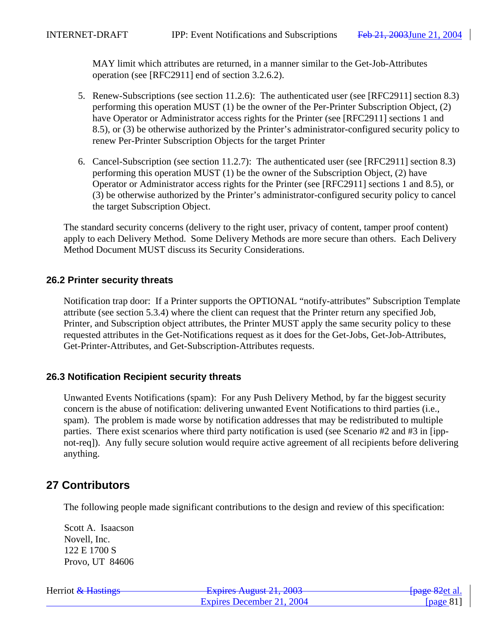MAY limit which attributes are returned, in a manner similar to the Get-Job-Attributes operation (see [RFC2911] end of section 3.2.6.2).

- 5. Renew-Subscriptions (see section 11.2.6): The authenticated user (see [RFC2911] section 8.3) performing this operation MUST (1) be the owner of the Per-Printer Subscription Object, (2) have Operator or Administrator access rights for the Printer (see [RFC2911] sections 1 and 8.5), or (3) be otherwise authorized by the Printer's administrator-configured security policy to renew Per-Printer Subscription Objects for the target Printer
- 6. Cancel-Subscription (see section 11.2.7): The authenticated user (see [RFC2911] section 8.3) performing this operation MUST (1) be the owner of the Subscription Object, (2) have Operator or Administrator access rights for the Printer (see [RFC2911] sections 1 and 8.5), or (3) be otherwise authorized by the Printer's administrator-configured security policy to cancel the target Subscription Object.

The standard security concerns (delivery to the right user, privacy of content, tamper proof content) apply to each Delivery Method. Some Delivery Methods are more secure than others. Each Delivery Method Document MUST discuss its Security Considerations.

## **26.2 Printer security threats**

Notification trap door: If a Printer supports the OPTIONAL "notify-attributes" Subscription Template attribute (see section 5.3.4) where the client can request that the Printer return any specified Job, Printer, and Subscription object attributes, the Printer MUST apply the same security policy to these requested attributes in the Get-Notifications request as it does for the Get-Jobs, Get-Job-Attributes, Get-Printer-Attributes, and Get-Subscription-Attributes requests.

## **26.3 Notification Recipient security threats**

Unwanted Events Notifications (spam): For any Push Delivery Method, by far the biggest security concern is the abuse of notification: delivering unwanted Event Notifications to third parties (i.e., spam). The problem is made worse by notification addresses that may be redistributed to multiple parties. There exist scenarios where third party notification is used (see Scenario #2 and #3 in [ippnot-req]). Any fully secure solution would require active agreement of all recipients before delivering anything.

# **27 Contributors**

The following people made significant contributions to the design and review of this specification:

Scott A. Isaacson Novell, Inc. 122 E 1700 S Provo, UT 84606

| Herriot & Hastings | Evnirac August $21, 2002$<br><del>12 2003 - 12 2003 - 12 2003</del> | <del>[page 82</del> et al. |
|--------------------|---------------------------------------------------------------------|----------------------------|
|                    | Expires December 21, 2004                                           | [ $page 81$ ]              |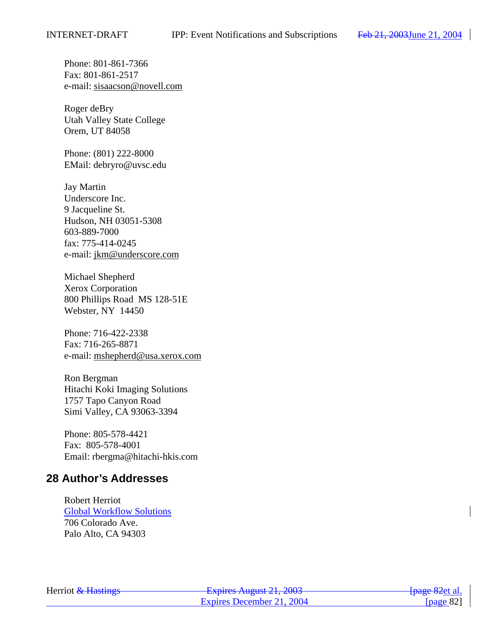Phone: 801-861-7366 Fax: 801-861-2517 e-mail: sisaacson@novell.com

Roger deBry Utah Valley State College Orem, UT 84058

Phone: (801) 222-8000 EMail: debryro@uvsc.edu

Jay Martin Underscore Inc. 9 Jacqueline St. Hudson, NH 03051-5308 603-889-7000 fax: 775-414-0245 e-mail: jkm@underscore.com

Michael Shepherd Xerox Corporation 800 Phillips Road MS 128-51E Webster, NY 14450

Phone: 716-422-2338 Fax: 716-265-8871 e-mail: mshepherd@usa.xerox.com

Ron Bergman Hitachi Koki Imaging Solutions 1757 Tapo Canyon Road Simi Valley, CA 93063-3394

Phone: 805-578-4421 Fax: 805-578-4001 Email: rbergma@hitachi-hkis.com

# **28 Author's Addresses**

Robert Herriot Global Workflow Solutions 706 Colorado Ave. Palo Alto, CA 94303

| Herriot & Hastings | Evnirac August 21, 2002<br><del>- Explics August 21, 2003</del> | <del>[page 82</del> et al. |
|--------------------|-----------------------------------------------------------------|----------------------------|
|                    | Expires December 21, 2004                                       | [ $page 82$ ]              |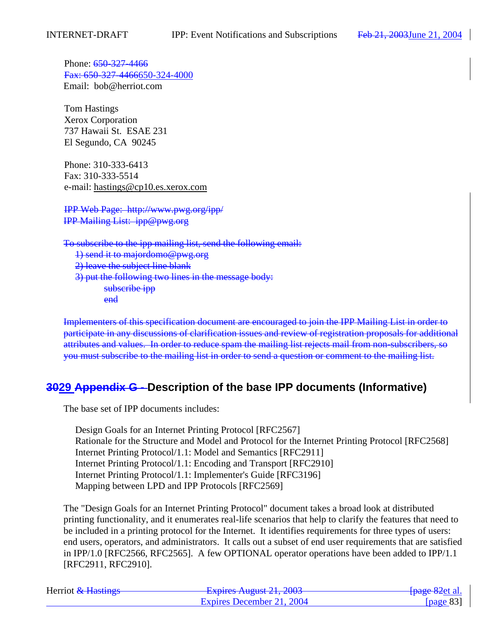Phone: 650-327-4466 Fax: 650-327-4466650-324-4000 Email: bob@herriot.com

Tom Hastings Xerox Corporation 737 Hawaii St. ESAE 231 El Segundo, CA 90245

Phone: 310-333-6413 Fax: 310-333-5514 e-mail: hastings@cp10.es.xerox.com

IPP Web Page: http://www.pwg.org/ipp/ IPP Mailing List: ipp@pwg.org

To subscribe to the ipp mailing list, send the following email: 1) send it to majordomo@pwg.org 2) leave the subject line blank 3) put the following two lines in the message body: subscribe ipp end

Implementers of this specification document are encouraged to join the IPP Mailing List in order to participate in any discussions of clarification issues and review of registration proposals for additional attributes and values. In order to reduce spam the mailing list rejects mail from non-subscribers, so you must subscribe to the mailing list in order to send a question or comment to the mailing list.

# **3029 Appendix G - Description of the base IPP documents (Informative)**

The base set of IPP documents includes:

Design Goals for an Internet Printing Protocol [RFC2567] Rationale for the Structure and Model and Protocol for the Internet Printing Protocol [RFC2568] Internet Printing Protocol/1.1: Model and Semantics [RFC2911] Internet Printing Protocol/1.1: Encoding and Transport [RFC2910] Internet Printing Protocol/1.1: Implementer's Guide [RFC3196] Mapping between LPD and IPP Protocols [RFC2569]

The "Design Goals for an Internet Printing Protocol" document takes a broad look at distributed printing functionality, and it enumerates real-life scenarios that help to clarify the features that need to be included in a printing protocol for the Internet. It identifies requirements for three types of users: end users, operators, and administrators. It calls out a subset of end user requirements that are satisfied in IPP/1.0 [RFC2566, RFC2565]. A few OPTIONAL operator operations have been added to IPP/1.1 [RFC2911, RFC2910].

| Herriot & Hastings | Evoiras August 21, 2002<br>$\frac{1}{4}$ Laplito Truguot 21, 2005 | <del>[page 82</del> et al.] |
|--------------------|-------------------------------------------------------------------|-----------------------------|
|                    | Expires December 21, 2004                                         | [ $page 83$ ]               |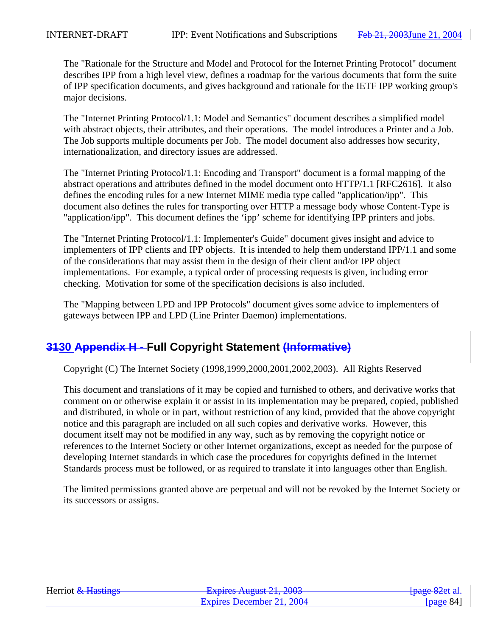The "Rationale for the Structure and Model and Protocol for the Internet Printing Protocol" document describes IPP from a high level view, defines a roadmap for the various documents that form the suite of IPP specification documents, and gives background and rationale for the IETF IPP working group's major decisions.

The "Internet Printing Protocol/1.1: Model and Semantics" document describes a simplified model with abstract objects, their attributes, and their operations. The model introduces a Printer and a Job. The Job supports multiple documents per Job. The model document also addresses how security, internationalization, and directory issues are addressed.

The "Internet Printing Protocol/1.1: Encoding and Transport" document is a formal mapping of the abstract operations and attributes defined in the model document onto HTTP/1.1 [RFC2616]. It also defines the encoding rules for a new Internet MIME media type called "application/ipp". This document also defines the rules for transporting over HTTP a message body whose Content-Type is "application/ipp". This document defines the 'ipp' scheme for identifying IPP printers and jobs.

The "Internet Printing Protocol/1.1: Implementer's Guide" document gives insight and advice to implementers of IPP clients and IPP objects. It is intended to help them understand IPP/1.1 and some of the considerations that may assist them in the design of their client and/or IPP object implementations. For example, a typical order of processing requests is given, including error checking. Motivation for some of the specification decisions is also included.

The "Mapping between LPD and IPP Protocols" document gives some advice to implementers of gateways between IPP and LPD (Line Printer Daemon) implementations.

# **3130 Appendix H - Full Copyright Statement (Informative)**

Copyright (C) The Internet Society (1998,1999,2000,2001,2002,2003). All Rights Reserved

This document and translations of it may be copied and furnished to others, and derivative works that comment on or otherwise explain it or assist in its implementation may be prepared, copied, published and distributed, in whole or in part, without restriction of any kind, provided that the above copyright notice and this paragraph are included on all such copies and derivative works. However, this document itself may not be modified in any way, such as by removing the copyright notice or references to the Internet Society or other Internet organizations, except as needed for the purpose of developing Internet standards in which case the procedures for copyrights defined in the Internet Standards process must be followed, or as required to translate it into languages other than English.

The limited permissions granted above are perpetual and will not be revoked by the Internet Society or its successors or assigns.

| Herriot & Hastings | Evoirag August $21, 2002$<br>$\frac{1}{4}$ Lapinos August 21, 2005 | <del>[page 82</del> et al. |
|--------------------|--------------------------------------------------------------------|----------------------------|
|                    | Expires December 21, 2004                                          | [page $84$ ]               |